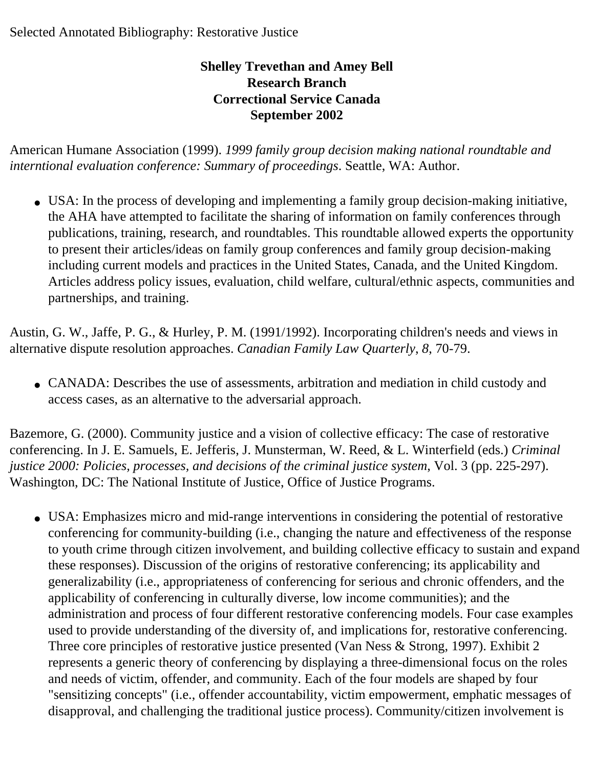## Selected Annotated Bibliography: Restorative Justice

## **Shelley Trevethan and Amey Bell Research Branch Correctional Service Canada September 2002**

American Humane Association (1999). *1999 family group decision making national roundtable and interntional evaluation conference: Summary of proceedings*. Seattle, WA: Author.

• USA: In the process of developing and implementing a family group decision-making initiative, the AHA have attempted to facilitate the sharing of information on family conferences through publications, training, research, and roundtables. This roundtable allowed experts the opportunity to present their articles/ideas on family group conferences and family group decision-making including current models and practices in the United States, Canada, and the United Kingdom. Articles address policy issues, evaluation, child welfare, cultural/ethnic aspects, communities and partnerships, and training.

Austin, G. W., Jaffe, P. G., & Hurley, P. M. (1991/1992). Incorporating children's needs and views in alternative dispute resolution approaches. *Canadian Family Law Quarterly*, *8*, 70-79.

• CANADA: Describes the use of assessments, arbitration and mediation in child custody and access cases, as an alternative to the adversarial approach.

Bazemore, G. (2000). Community justice and a vision of collective efficacy: The case of restorative conferencing. In J. E. Samuels, E. Jefferis, J. Munsterman, W. Reed, & L. Winterfield (eds.) *Criminal justice 2000: Policies, processes, and decisions of the criminal justice system*, Vol. 3 (pp. 225-297). Washington, DC: The National Institute of Justice, Office of Justice Programs.

• USA: Emphasizes micro and mid-range interventions in considering the potential of restorative conferencing for community-building (i.e., changing the nature and effectiveness of the response to youth crime through citizen involvement, and building collective efficacy to sustain and expand these responses). Discussion of the origins of restorative conferencing; its applicability and generalizability (i.e., appropriateness of conferencing for serious and chronic offenders, and the applicability of conferencing in culturally diverse, low income communities); and the administration and process of four different restorative conferencing models. Four case examples used to provide understanding of the diversity of, and implications for, restorative conferencing. Three core principles of restorative justice presented (Van Ness & Strong, 1997). Exhibit 2 represents a generic theory of conferencing by displaying a three-dimensional focus on the roles and needs of victim, offender, and community. Each of the four models are shaped by four "sensitizing concepts" (i.e., offender accountability, victim empowerment, emphatic messages of disapproval, and challenging the traditional justice process). Community/citizen involvement is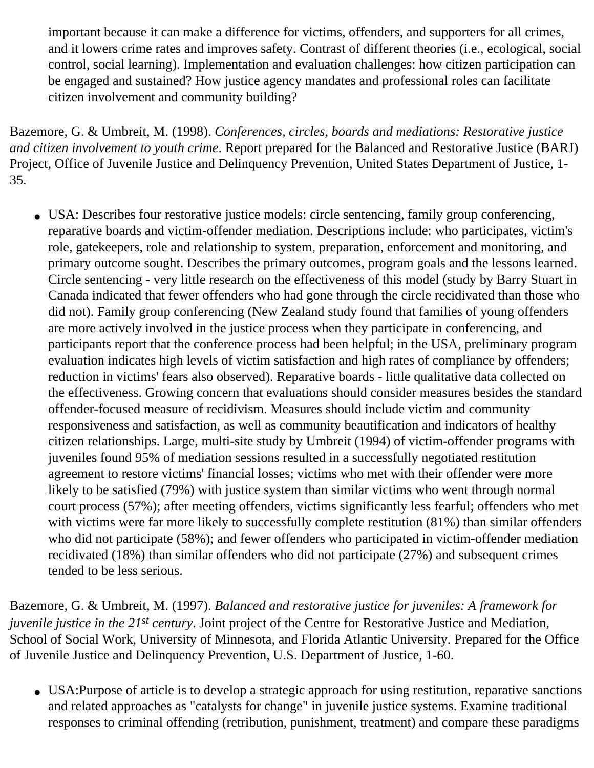important because it can make a difference for victims, offenders, and supporters for all crimes, and it lowers crime rates and improves safety. Contrast of different theories (i.e., ecological, social control, social learning). Implementation and evaluation challenges: how citizen participation can be engaged and sustained? How justice agency mandates and professional roles can facilitate citizen involvement and community building?

Bazemore, G. & Umbreit, M. (1998). *Conferences, circles, boards and mediations: Restorative justice and citizen involvement to youth crime*. Report prepared for the Balanced and Restorative Justice (BARJ) Project, Office of Juvenile Justice and Delinquency Prevention, United States Department of Justice, 1 35.

• USA: Describes four restorative justice models: circle sentencing, family group conferencing, reparative boards and victim-offender mediation. Descriptions include: who participates, victim's role, gatekeepers, role and relationship to system, preparation, enforcement and monitoring, and primary outcome sought. Describes the primary outcomes, program goals and the lessons learned. Circle sentencing - very little research on the effectiveness of this model (study by Barry Stuart in Canada indicated that fewer offenders who had gone through the circle recidivated than those who did not). Family group conferencing (New Zealand study found that families of young offenders are more actively involved in the justice process when they participate in conferencing, and participants report that the conference process had been helpful; in the USA, preliminary program evaluation indicates high levels of victim satisfaction and high rates of compliance by offenders; reduction in victims' fears also observed). Reparative boards - little qualitative data collected on the effectiveness. Growing concern that evaluations should consider measures besides the standard offender-focused measure of recidivism. Measures should include victim and community responsiveness and satisfaction, as well as community beautification and indicators of healthy citizen relationships. Large, multi-site study by Umbreit (1994) of victim-offender programs with juveniles found 95% of mediation sessions resulted in a successfully negotiated restitution agreement to restore victims' financial losses; victims who met with their offender were more likely to be satisfied (79%) with justice system than similar victims who went through normal court process (57%); after meeting offenders, victims significantly less fearful; offenders who met with victims were far more likely to successfully complete restitution (81%) than similar offenders who did not participate (58%); and fewer offenders who participated in victim-offender mediation recidivated (18%) than similar offenders who did not participate (27%) and subsequent crimes tended to be less serious.

Bazemore, G. & Umbreit, M. (1997). *Balanced and restorative justice for juveniles: A framework for juvenile justice in the 21st century*. Joint project of the Centre for Restorative Justice and Mediation, School of Social Work, University of Minnesota, and Florida Atlantic University. Prepared for the Office of Juvenile Justice and Delinquency Prevention, U.S. Department of Justice, 1-60.

• USA: Purpose of article is to develop a strategic approach for using restitution, reparative sanctions and related approaches as "catalysts for change" in juvenile justice systems. Examine traditional responses to criminal offending (retribution, punishment, treatment) and compare these paradigms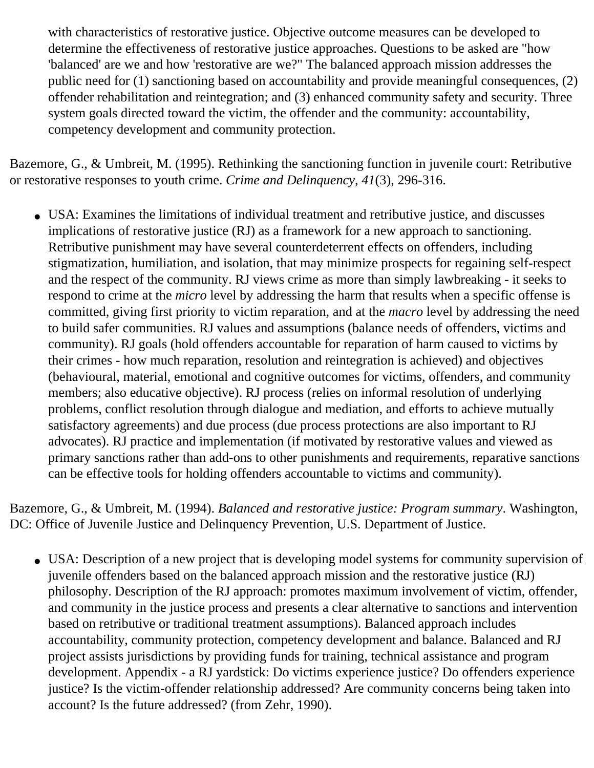with characteristics of restorative justice. Objective outcome measures can be developed to determine the effectiveness of restorative justice approaches. Questions to be asked are "how 'balanced' are we and how 'restorative are we?" The balanced approach mission addresses the public need for (1) sanctioning based on accountability and provide meaningful consequences, (2) offender rehabilitation and reintegration; and (3) enhanced community safety and security. Three system goals directed toward the victim, the offender and the community: accountability, competency development and community protection.

Bazemore, G., & Umbreit, M. (1995). Rethinking the sanctioning function in juvenile court: Retributive or restorative responses to youth crime. *Crime and Delinquency*, *41*(3), 296-316.

• USA: Examines the limitations of individual treatment and retributive justice, and discusses implications of restorative justice (RJ) as a framework for a new approach to sanctioning. Retributive punishment may have several counterdeterrent effects on offenders, including stigmatization, humiliation, and isolation, that may minimize prospects for regaining self-respect and the respect of the community. RJ views crime as more than simply lawbreaking - it seeks to respond to crime at the *micro* level by addressing the harm that results when a specific offense is committed, giving first priority to victim reparation, and at the *macro* level by addressing the need to build safer communities. RJ values and assumptions (balance needs of offenders, victims and community). RJ goals (hold offenders accountable for reparation of harm caused to victims by their crimes - how much reparation, resolution and reintegration is achieved) and objectives (behavioural, material, emotional and cognitive outcomes for victims, offenders, and community members; also educative objective). RJ process (relies on informal resolution of underlying problems, conflict resolution through dialogue and mediation, and efforts to achieve mutually satisfactory agreements) and due process (due process protections are also important to RJ advocates). RJ practice and implementation (if motivated by restorative values and viewed as primary sanctions rather than add-ons to other punishments and requirements, reparative sanctions can be effective tools for holding offenders accountable to victims and community).

Bazemore, G., & Umbreit, M. (1994). *Balanced and restorative justice: Program summary*. Washington, DC: Office of Juvenile Justice and Delinquency Prevention, U.S. Department of Justice.

• USA: Description of a new project that is developing model systems for community supervision of juvenile offenders based on the balanced approach mission and the restorative justice (RJ) philosophy. Description of the RJ approach: promotes maximum involvement of victim, offender, and community in the justice process and presents a clear alternative to sanctions and intervention based on retributive or traditional treatment assumptions). Balanced approach includes accountability, community protection, competency development and balance. Balanced and RJ project assists jurisdictions by providing funds for training, technical assistance and program development. Appendix - a RJ yardstick: Do victims experience justice? Do offenders experience justice? Is the victim-offender relationship addressed? Are community concerns being taken into account? Is the future addressed? (from Zehr, 1990).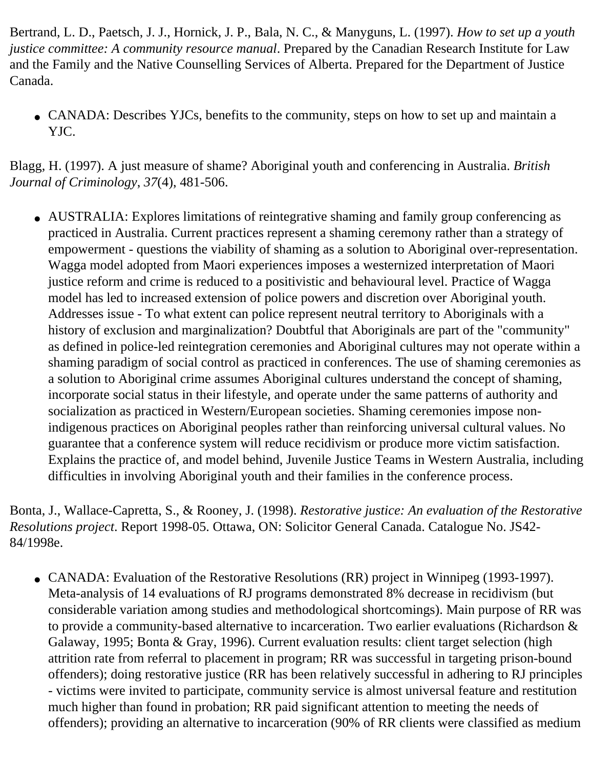Bertrand, L. D., Paetsch, J. J., Hornick, J. P., Bala, N. C., & Manyguns, L. (1997). *How to set up a youth justice committee: A community resource manual*. Prepared by the Canadian Research Institute for Law and the Family and the Native Counselling Services of Alberta. Prepared for the Department of Justice Canada.

• CANADA: Describes YJCs, benefits to the community, steps on how to set up and maintain a YJC.

Blagg, H. (1997). A just measure of shame? Aboriginal youth and conferencing in Australia. *British Journal of Criminology*, *37*(4), 481-506.

• AUSTRALIA: Explores limitations of reintegrative shaming and family group conferencing as practiced in Australia. Current practices represent a shaming ceremony rather than a strategy of empowerment - questions the viability of shaming as a solution to Aboriginal over-representation. Wagga model adopted from Maori experiences imposes a westernized interpretation of Maori justice reform and crime is reduced to a positivistic and behavioural level. Practice of Wagga model has led to increased extension of police powers and discretion over Aboriginal youth. Addresses issue - To what extent can police represent neutral territory to Aboriginals with a history of exclusion and marginalization? Doubtful that Aboriginals are part of the "community" as defined in police-led reintegration ceremonies and Aboriginal cultures may not operate within a shaming paradigm of social control as practiced in conferences. The use of shaming ceremonies as a solution to Aboriginal crime assumes Aboriginal cultures understand the concept of shaming, incorporate social status in their lifestyle, and operate under the same patterns of authority and socialization as practiced in Western/European societies. Shaming ceremonies impose nonindigenous practices on Aboriginal peoples rather than reinforcing universal cultural values. No guarantee that a conference system will reduce recidivism or produce more victim satisfaction. Explains the practice of, and model behind, Juvenile Justice Teams in Western Australia, including difficulties in involving Aboriginal youth and their families in the conference process.

Bonta, J., Wallace-Capretta, S., & Rooney, J. (1998). *Restorative justice: An evaluation of the Restorative Resolutions project*. Report 1998-05. Ottawa, ON: Solicitor General Canada. Catalogue No. JS42 84/1998e.

• CANADA: Evaluation of the Restorative Resolutions (RR) project in Winnipeg (1993-1997). Meta-analysis of 14 evaluations of RJ programs demonstrated 8% decrease in recidivism (but considerable variation among studies and methodological shortcomings). Main purpose of RR was to provide a community-based alternative to incarceration. Two earlier evaluations (Richardson & Galaway, 1995; Bonta & Gray, 1996). Current evaluation results: client target selection (high attrition rate from referral to placement in program; RR was successful in targeting prison-bound offenders); doing restorative justice (RR has been relatively successful in adhering to RJ principles - victims were invited to participate, community service is almost universal feature and restitution much higher than found in probation; RR paid significant attention to meeting the needs of offenders); providing an alternative to incarceration (90% of RR clients were classified as medium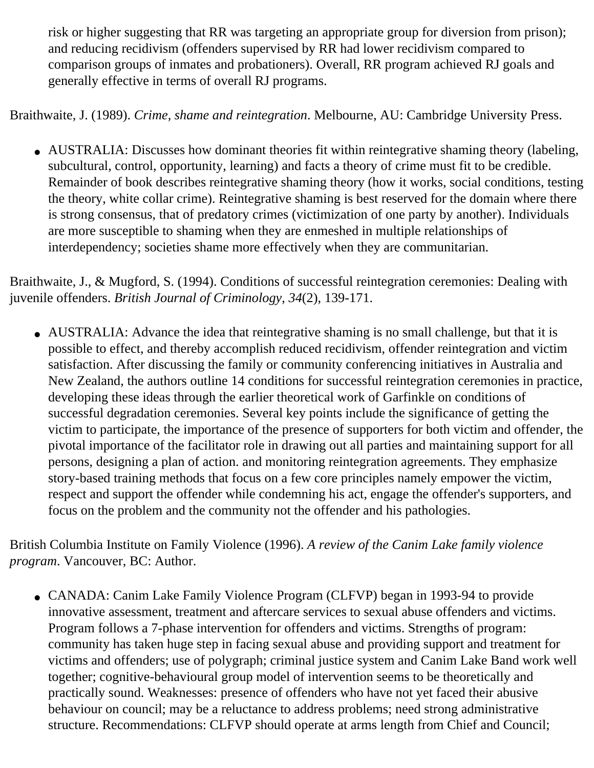risk or higher suggesting that RR was targeting an appropriate group for diversion from prison); and reducing recidivism (offenders supervised by RR had lower recidivism compared to comparison groups of inmates and probationers). Overall, RR program achieved RJ goals and generally effective in terms of overall RJ programs.

Braithwaite, J. (1989). *Crime, shame and reintegration*. Melbourne, AU: Cambridge University Press.

• AUSTRALIA: Discusses how dominant theories fit within reintegrative shaming theory (labeling, subcultural, control, opportunity, learning) and facts a theory of crime must fit to be credible. Remainder of book describes reintegrative shaming theory (how it works, social conditions, testing the theory, white collar crime). Reintegrative shaming is best reserved for the domain where there is strong consensus, that of predatory crimes (victimization of one party by another). Individuals are more susceptible to shaming when they are enmeshed in multiple relationships of interdependency; societies shame more effectively when they are communitarian.

Braithwaite, J., & Mugford, S. (1994). Conditions of successful reintegration ceremonies: Dealing with juvenile offenders. *British Journal of Criminology*, *34*(2), 139-171.

• AUSTRALIA: Advance the idea that reintegrative shaming is no small challenge, but that it is possible to effect, and thereby accomplish reduced recidivism, offender reintegration and victim satisfaction. After discussing the family or community conferencing initiatives in Australia and New Zealand, the authors outline 14 conditions for successful reintegration ceremonies in practice, developing these ideas through the earlier theoretical work of Garfinkle on conditions of successful degradation ceremonies. Several key points include the significance of getting the victim to participate, the importance of the presence of supporters for both victim and offender, the pivotal importance of the facilitator role in drawing out all parties and maintaining support for all persons, designing a plan of action. and monitoring reintegration agreements. They emphasize story-based training methods that focus on a few core principles namely empower the victim, respect and support the offender while condemning his act, engage the offender's supporters, and focus on the problem and the community not the offender and his pathologies.

British Columbia Institute on Family Violence (1996). *A review of the Canim Lake family violence program*. Vancouver, BC: Author.

• CANADA: Canim Lake Family Violence Program (CLFVP) began in 1993-94 to provide innovative assessment, treatment and aftercare services to sexual abuse offenders and victims. Program follows a 7-phase intervention for offenders and victims. Strengths of program: community has taken huge step in facing sexual abuse and providing support and treatment for victims and offenders; use of polygraph; criminal justice system and Canim Lake Band work well together; cognitive-behavioural group model of intervention seems to be theoretically and practically sound. Weaknesses: presence of offenders who have not yet faced their abusive behaviour on council; may be a reluctance to address problems; need strong administrative structure. Recommendations: CLFVP should operate at arms length from Chief and Council;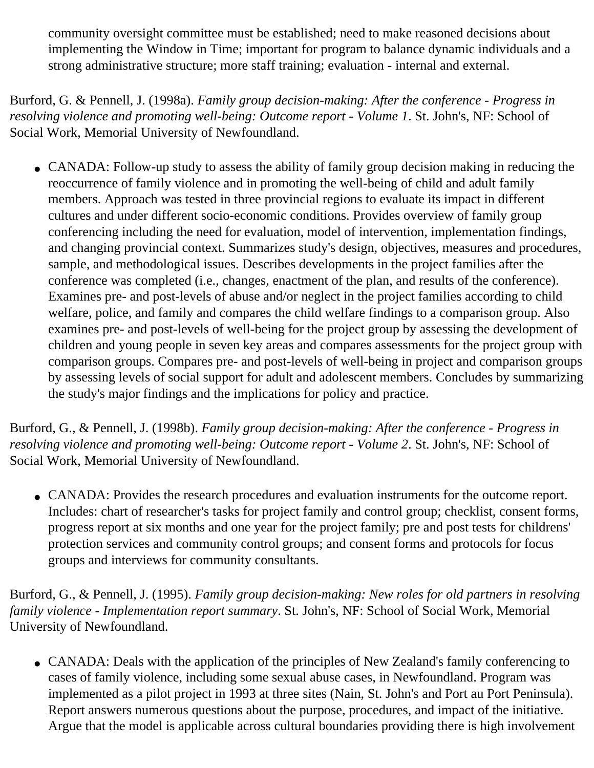community oversight committee must be established; need to make reasoned decisions about implementing the Window in Time; important for program to balance dynamic individuals and a strong administrative structure; more staff training; evaluation - internal and external.

Burford, G. & Pennell, J. (1998a). *Family group decision-making: After the conference - Progress in resolving violence and promoting well-being: Outcome report - Volume 1*. St. John's, NF: School of Social Work, Memorial University of Newfoundland.

• CANADA: Follow-up study to assess the ability of family group decision making in reducing the reoccurrence of family violence and in promoting the well-being of child and adult family members. Approach was tested in three provincial regions to evaluate its impact in different cultures and under different socio-economic conditions. Provides overview of family group conferencing including the need for evaluation, model of intervention, implementation findings, and changing provincial context. Summarizes study's design, objectives, measures and procedures, sample, and methodological issues. Describes developments in the project families after the conference was completed (i.e., changes, enactment of the plan, and results of the conference). Examines pre- and post-levels of abuse and/or neglect in the project families according to child welfare, police, and family and compares the child welfare findings to a comparison group. Also examines pre- and post-levels of well-being for the project group by assessing the development of children and young people in seven key areas and compares assessments for the project group with comparison groups. Compares pre- and post-levels of well-being in project and comparison groups by assessing levels of social support for adult and adolescent members. Concludes by summarizing the study's major findings and the implications for policy and practice.

Burford, G., & Pennell, J. (1998b). *Family group decision-making: After the conference - Progress in resolving violence and promoting well-being: Outcome report - Volume 2*. St. John's, NF: School of Social Work, Memorial University of Newfoundland.

• CANADA: Provides the research procedures and evaluation instruments for the outcome report. Includes: chart of researcher's tasks for project family and control group; checklist, consent forms, progress report at six months and one year for the project family; pre and post tests for childrens' protection services and community control groups; and consent forms and protocols for focus groups and interviews for community consultants.

Burford, G., & Pennell, J. (1995). *Family group decision-making: New roles for old partners in resolving family violence - Implementation report summary*. St. John's, NF: School of Social Work, Memorial University of Newfoundland.

• CANADA: Deals with the application of the principles of New Zealand's family conferencing to cases of family violence, including some sexual abuse cases, in Newfoundland. Program was implemented as a pilot project in 1993 at three sites (Nain, St. John's and Port au Port Peninsula). Report answers numerous questions about the purpose, procedures, and impact of the initiative. Argue that the model is applicable across cultural boundaries providing there is high involvement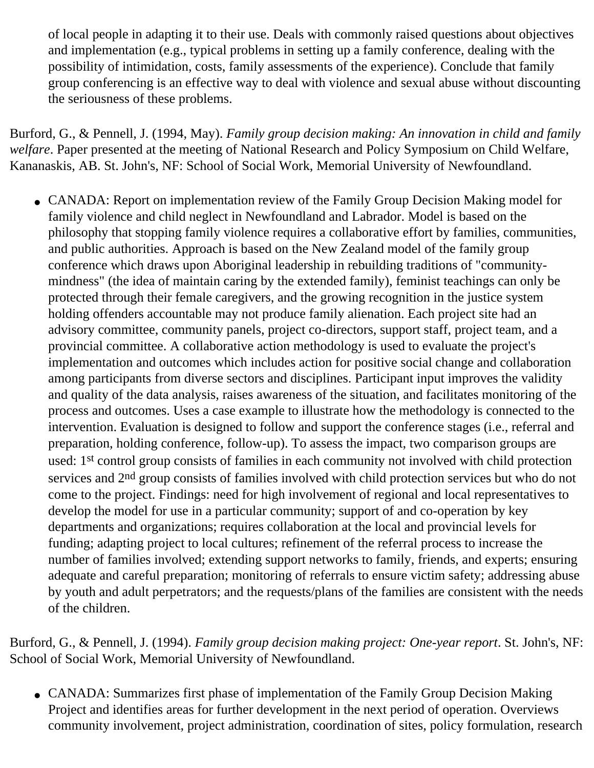of local people in adapting it to their use. Deals with commonly raised questions about objectives and implementation (e.g., typical problems in setting up a family conference, dealing with the possibility of intimidation, costs, family assessments of the experience). Conclude that family group conferencing is an effective way to deal with violence and sexual abuse without discounting the seriousness of these problems.

Burford, G., & Pennell, J. (1994, May). *Family group decision making: An innovation in child and family welfare*. Paper presented at the meeting of National Research and Policy Symposium on Child Welfare, Kananaskis, AB. St. John's, NF: School of Social Work, Memorial University of Newfoundland.

• CANADA: Report on implementation review of the Family Group Decision Making model for family violence and child neglect in Newfoundland and Labrador. Model is based on the philosophy that stopping family violence requires a collaborative effort by families, communities, and public authorities. Approach is based on the New Zealand model of the family group conference which draws upon Aboriginal leadership in rebuilding traditions of "communitymindness" (the idea of maintain caring by the extended family), feminist teachings can only be protected through their female caregivers, and the growing recognition in the justice system holding offenders accountable may not produce family alienation. Each project site had an advisory committee, community panels, project co-directors, support staff, project team, and a provincial committee. A collaborative action methodology is used to evaluate the project's implementation and outcomes which includes action for positive social change and collaboration among participants from diverse sectors and disciplines. Participant input improves the validity and quality of the data analysis, raises awareness of the situation, and facilitates monitoring of the process and outcomes. Uses a case example to illustrate how the methodology is connected to the intervention. Evaluation is designed to follow and support the conference stages (i.e., referral and preparation, holding conference, follow-up). To assess the impact, two comparison groups are used: 1st control group consists of families in each community not involved with child protection services and 2<sup>nd</sup> group consists of families involved with child protection services but who do not come to the project. Findings: need for high involvement of regional and local representatives to develop the model for use in a particular community; support of and co-operation by key departments and organizations; requires collaboration at the local and provincial levels for funding; adapting project to local cultures; refinement of the referral process to increase the number of families involved; extending support networks to family, friends, and experts; ensuring adequate and careful preparation; monitoring of referrals to ensure victim safety; addressing abuse by youth and adult perpetrators; and the requests/plans of the families are consistent with the needs of the children.

Burford, G., & Pennell, J. (1994). *Family group decision making project: One-year report*. St. John's, NF: School of Social Work, Memorial University of Newfoundland.

• CANADA: Summarizes first phase of implementation of the Family Group Decision Making Project and identifies areas for further development in the next period of operation. Overviews community involvement, project administration, coordination of sites, policy formulation, research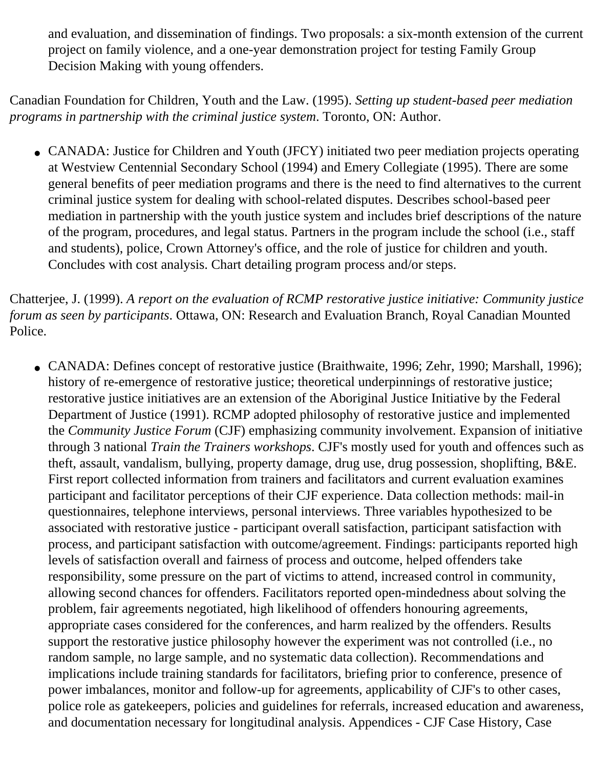and evaluation, and dissemination of findings. Two proposals: a six-month extension of the current project on family violence, and a one-year demonstration project for testing Family Group Decision Making with young offenders.

Canadian Foundation for Children, Youth and the Law. (1995). *Setting up student-based peer mediation programs in partnership with the criminal justice system*. Toronto, ON: Author.

• CANADA: Justice for Children and Youth (JFCY) initiated two peer mediation projects operating at Westview Centennial Secondary School (1994) and Emery Collegiate (1995). There are some general benefits of peer mediation programs and there is the need to find alternatives to the current criminal justice system for dealing with school-related disputes. Describes school-based peer mediation in partnership with the youth justice system and includes brief descriptions of the nature of the program, procedures, and legal status. Partners in the program include the school (i.e., staff and students), police, Crown Attorney's office, and the role of justice for children and youth. Concludes with cost analysis. Chart detailing program process and/or steps.

Chatterjee, J. (1999). *A report on the evaluation of RCMP restorative justice initiative: Community justice forum as seen by participants*. Ottawa, ON: Research and Evaluation Branch, Royal Canadian Mounted Police.

• CANADA: Defines concept of restorative justice (Braithwaite, 1996; Zehr, 1990; Marshall, 1996); history of re-emergence of restorative justice; theoretical underpinnings of restorative justice; restorative justice initiatives are an extension of the Aboriginal Justice Initiative by the Federal Department of Justice (1991). RCMP adopted philosophy of restorative justice and implemented the *Community Justice Forum* (CJF) emphasizing community involvement. Expansion of initiative through 3 national *Train the Trainers workshops*. CJF's mostly used for youth and offences such as theft, assault, vandalism, bullying, property damage, drug use, drug possession, shoplifting, B&E. First report collected information from trainers and facilitators and current evaluation examines participant and facilitator perceptions of their CJF experience. Data collection methods: mail-in questionnaires, telephone interviews, personal interviews. Three variables hypothesized to be associated with restorative justice - participant overall satisfaction, participant satisfaction with process, and participant satisfaction with outcome/agreement. Findings: participants reported high levels of satisfaction overall and fairness of process and outcome, helped offenders take responsibility, some pressure on the part of victims to attend, increased control in community, allowing second chances for offenders. Facilitators reported open-mindedness about solving the problem, fair agreements negotiated, high likelihood of offenders honouring agreements, appropriate cases considered for the conferences, and harm realized by the offenders. Results support the restorative justice philosophy however the experiment was not controlled (i.e., no random sample, no large sample, and no systematic data collection). Recommendations and implications include training standards for facilitators, briefing prior to conference, presence of power imbalances, monitor and follow-up for agreements, applicability of CJF's to other cases, police role as gatekeepers, policies and guidelines for referrals, increased education and awareness, and documentation necessary for longitudinal analysis. Appendices - CJF Case History, Case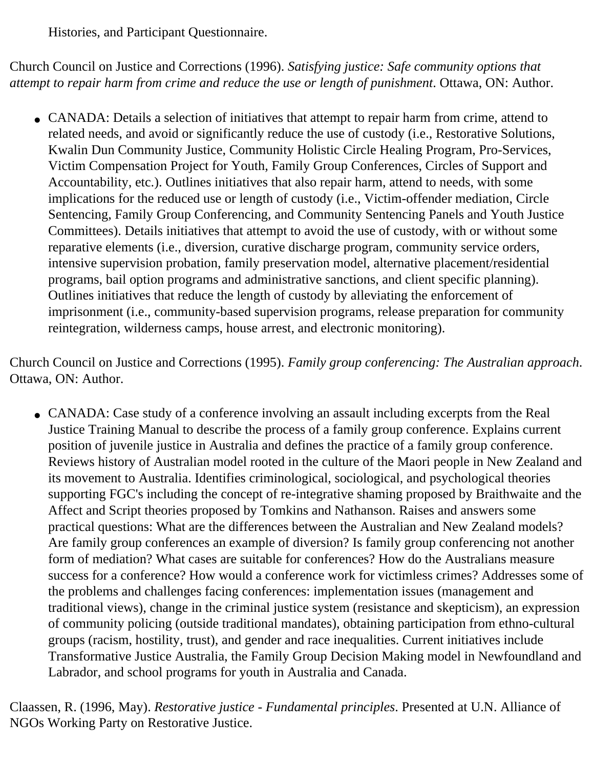Histories, and Participant Questionnaire.

Church Council on Justice and Corrections (1996). *Satisfying justice: Safe community options that attempt to repair harm from crime and reduce the use or length of punishment*. Ottawa, ON: Author.

• CANADA: Details a selection of initiatives that attempt to repair harm from crime, attend to related needs, and avoid or significantly reduce the use of custody (i.e., Restorative Solutions, Kwalin Dun Community Justice, Community Holistic Circle Healing Program, Pro-Services, Victim Compensation Project for Youth, Family Group Conferences, Circles of Support and Accountability, etc.). Outlines initiatives that also repair harm, attend to needs, with some implications for the reduced use or length of custody (i.e., Victim-offender mediation, Circle Sentencing, Family Group Conferencing, and Community Sentencing Panels and Youth Justice Committees). Details initiatives that attempt to avoid the use of custody, with or without some reparative elements (i.e., diversion, curative discharge program, community service orders, intensive supervision probation, family preservation model, alternative placement/residential programs, bail option programs and administrative sanctions, and client specific planning). Outlines initiatives that reduce the length of custody by alleviating the enforcement of imprisonment (i.e., community-based supervision programs, release preparation for community reintegration, wilderness camps, house arrest, and electronic monitoring).

Church Council on Justice and Corrections (1995). *Family group conferencing: The Australian approach*. Ottawa, ON: Author.

• CANADA: Case study of a conference involving an assault including excerpts from the Real Justice Training Manual to describe the process of a family group conference. Explains current position of juvenile justice in Australia and defines the practice of a family group conference. Reviews history of Australian model rooted in the culture of the Maori people in New Zealand and its movement to Australia. Identifies criminological, sociological, and psychological theories supporting FGC's including the concept of re-integrative shaming proposed by Braithwaite and the Affect and Script theories proposed by Tomkins and Nathanson. Raises and answers some practical questions: What are the differences between the Australian and New Zealand models? Are family group conferences an example of diversion? Is family group conferencing not another form of mediation? What cases are suitable for conferences? How do the Australians measure success for a conference? How would a conference work for victimless crimes? Addresses some of the problems and challenges facing conferences: implementation issues (management and traditional views), change in the criminal justice system (resistance and skepticism), an expression of community policing (outside traditional mandates), obtaining participation from ethno-cultural groups (racism, hostility, trust), and gender and race inequalities. Current initiatives include Transformative Justice Australia, the Family Group Decision Making model in Newfoundland and Labrador, and school programs for youth in Australia and Canada.

Claassen, R. (1996, May). *Restorative justice - Fundamental principles*. Presented at U.N. Alliance of NGOs Working Party on Restorative Justice.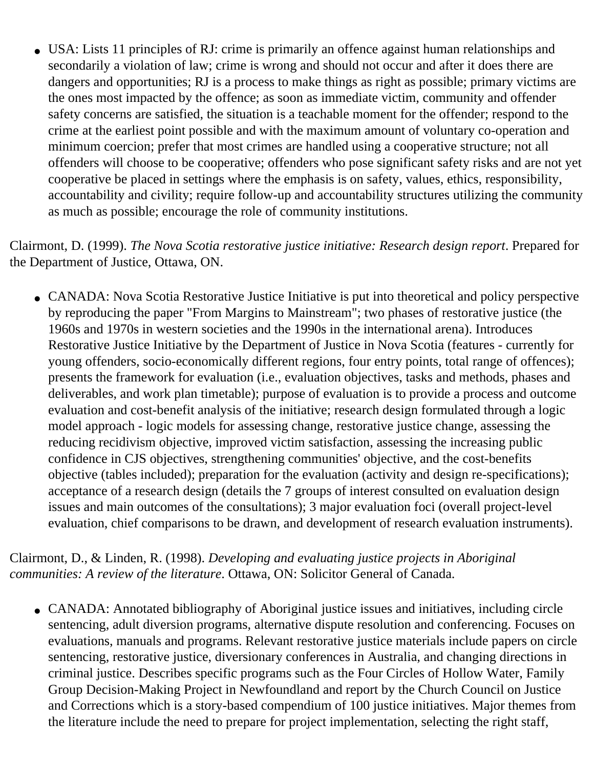• USA: Lists 11 principles of RJ: crime is primarily an offence against human relationships and secondarily a violation of law; crime is wrong and should not occur and after it does there are dangers and opportunities; RJ is a process to make things as right as possible; primary victims are the ones most impacted by the offence; as soon as immediate victim, community and offender safety concerns are satisfied, the situation is a teachable moment for the offender; respond to the crime at the earliest point possible and with the maximum amount of voluntary co-operation and minimum coercion; prefer that most crimes are handled using a cooperative structure; not all offenders will choose to be cooperative; offenders who pose significant safety risks and are not yet cooperative be placed in settings where the emphasis is on safety, values, ethics, responsibility, accountability and civility; require follow-up and accountability structures utilizing the community as much as possible; encourage the role of community institutions.

Clairmont, D. (1999). *The Nova Scotia restorative justice initiative: Research design report*. Prepared for the Department of Justice, Ottawa, ON.

• CANADA: Nova Scotia Restorative Justice Initiative is put into theoretical and policy perspective by reproducing the paper "From Margins to Mainstream"; two phases of restorative justice (the 1960s and 1970s in western societies and the 1990s in the international arena). Introduces Restorative Justice Initiative by the Department of Justice in Nova Scotia (features - currently for young offenders, socio-economically different regions, four entry points, total range of offences); presents the framework for evaluation (i.e., evaluation objectives, tasks and methods, phases and deliverables, and work plan timetable); purpose of evaluation is to provide a process and outcome evaluation and cost-benefit analysis of the initiative; research design formulated through a logic model approach - logic models for assessing change, restorative justice change, assessing the reducing recidivism objective, improved victim satisfaction, assessing the increasing public confidence in CJS objectives, strengthening communities' objective, and the cost-benefits objective (tables included); preparation for the evaluation (activity and design re-specifications); acceptance of a research design (details the 7 groups of interest consulted on evaluation design issues and main outcomes of the consultations); 3 major evaluation foci (overall project-level evaluation, chief comparisons to be drawn, and development of research evaluation instruments).

Clairmont, D., & Linden, R. (1998). *Developing and evaluating justice projects in Aboriginal communities: A review of the literature*. Ottawa, ON: Solicitor General of Canada.

• CANADA: Annotated bibliography of Aboriginal justice issues and initiatives, including circle sentencing, adult diversion programs, alternative dispute resolution and conferencing. Focuses on evaluations, manuals and programs. Relevant restorative justice materials include papers on circle sentencing, restorative justice, diversionary conferences in Australia, and changing directions in criminal justice. Describes specific programs such as the Four Circles of Hollow Water, Family Group Decision-Making Project in Newfoundland and report by the Church Council on Justice and Corrections which is a story-based compendium of 100 justice initiatives. Major themes from the literature include the need to prepare for project implementation, selecting the right staff,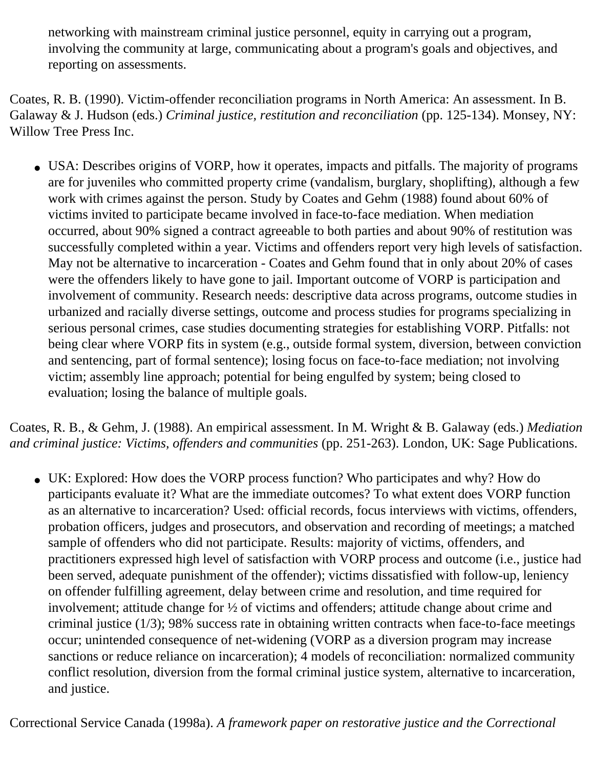networking with mainstream criminal justice personnel, equity in carrying out a program, involving the community at large, communicating about a program's goals and objectives, and reporting on assessments.

Coates, R. B. (1990). Victim-offender reconciliation programs in North America: An assessment. In B. Galaway & J. Hudson (eds.) *Criminal justice, restitution and reconciliation* (pp. 125-134). Monsey, NY: Willow Tree Press Inc.

• USA: Describes origins of VORP, how it operates, impacts and pitfalls. The majority of programs are for juveniles who committed property crime (vandalism, burglary, shoplifting), although a few work with crimes against the person. Study by Coates and Gehm (1988) found about 60% of victims invited to participate became involved in face-to-face mediation. When mediation occurred, about 90% signed a contract agreeable to both parties and about 90% of restitution was successfully completed within a year. Victims and offenders report very high levels of satisfaction. May not be alternative to incarceration - Coates and Gehm found that in only about 20% of cases were the offenders likely to have gone to jail. Important outcome of VORP is participation and involvement of community. Research needs: descriptive data across programs, outcome studies in urbanized and racially diverse settings, outcome and process studies for programs specializing in serious personal crimes, case studies documenting strategies for establishing VORP. Pitfalls: not being clear where VORP fits in system (e.g., outside formal system, diversion, between conviction and sentencing, part of formal sentence); losing focus on face-to-face mediation; not involving victim; assembly line approach; potential for being engulfed by system; being closed to evaluation; losing the balance of multiple goals.

Coates, R. B., & Gehm, J. (1988). An empirical assessment. In M. Wright & B. Galaway (eds.) *Mediation and criminal justice: Victims, offenders and communities* (pp. 251-263). London, UK: Sage Publications.

• UK: Explored: How does the VORP process function? Who participates and why? How do participants evaluate it? What are the immediate outcomes? To what extent does VORP function as an alternative to incarceration? Used: official records, focus interviews with victims, offenders, probation officers, judges and prosecutors, and observation and recording of meetings; a matched sample of offenders who did not participate. Results: majority of victims, offenders, and practitioners expressed high level of satisfaction with VORP process and outcome (i.e., justice had been served, adequate punishment of the offender); victims dissatisfied with follow-up, leniency on offender fulfilling agreement, delay between crime and resolution, and time required for involvement; attitude change for ½ of victims and offenders; attitude change about crime and criminal justice (1/3); 98% success rate in obtaining written contracts when face-to-face meetings occur; unintended consequence of net-widening (VORP as a diversion program may increase sanctions or reduce reliance on incarceration); 4 models of reconciliation: normalized community conflict resolution, diversion from the formal criminal justice system, alternative to incarceration, and justice.

Correctional Service Canada (1998a). *A framework paper on restorative justice and the Correctional*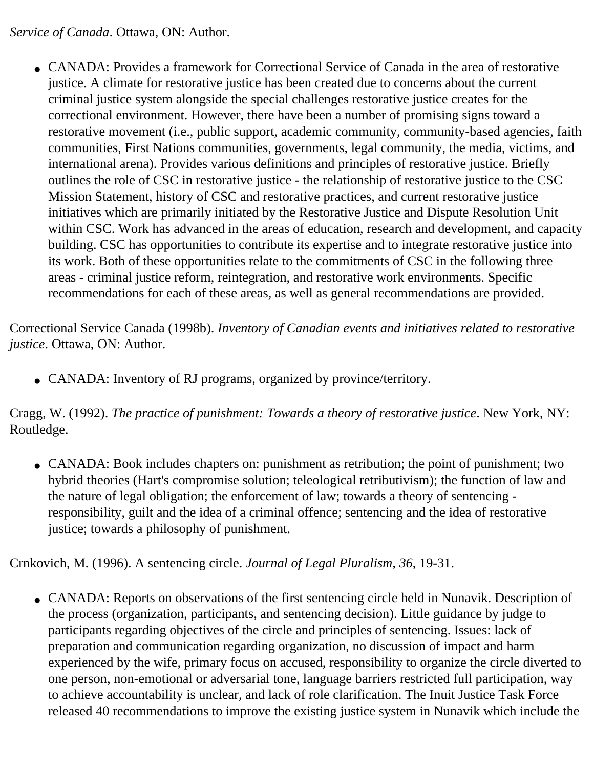*Service of Canada*. Ottawa, ON: Author.

• CANADA: Provides a framework for Correctional Service of Canada in the area of restorative justice. A climate for restorative justice has been created due to concerns about the current criminal justice system alongside the special challenges restorative justice creates for the correctional environment. However, there have been a number of promising signs toward a restorative movement (i.e., public support, academic community, community-based agencies, faith communities, First Nations communities, governments, legal community, the media, victims, and international arena). Provides various definitions and principles of restorative justice. Briefly outlines the role of CSC in restorative justice - the relationship of restorative justice to the CSC Mission Statement, history of CSC and restorative practices, and current restorative justice initiatives which are primarily initiated by the Restorative Justice and Dispute Resolution Unit within CSC. Work has advanced in the areas of education, research and development, and capacity building. CSC has opportunities to contribute its expertise and to integrate restorative justice into its work. Both of these opportunities relate to the commitments of CSC in the following three areas - criminal justice reform, reintegration, and restorative work environments. Specific recommendations for each of these areas, as well as general recommendations are provided.

Correctional Service Canada (1998b). *Inventory of Canadian events and initiatives related to restorative justice*. Ottawa, ON: Author.

• CANADA: Inventory of RJ programs, organized by province/territory.

Cragg, W. (1992). *The practice of punishment: Towards a theory of restorative justice*. New York, NY: Routledge.

• CANADA: Book includes chapters on: punishment as retribution; the point of punishment; two hybrid theories (Hart's compromise solution; teleological retributivism); the function of law and the nature of legal obligation; the enforcement of law; towards a theory of sentencing responsibility, guilt and the idea of a criminal offence; sentencing and the idea of restorative justice; towards a philosophy of punishment.

Crnkovich, M. (1996). A sentencing circle. *Journal of Legal Pluralism*, *36*, 19-31.

• CANADA: Reports on observations of the first sentencing circle held in Nunavik. Description of the process (organization, participants, and sentencing decision). Little guidance by judge to participants regarding objectives of the circle and principles of sentencing. Issues: lack of preparation and communication regarding organization, no discussion of impact and harm experienced by the wife, primary focus on accused, responsibility to organize the circle diverted to one person, non-emotional or adversarial tone, language barriers restricted full participation, way to achieve accountability is unclear, and lack of role clarification. The Inuit Justice Task Force released 40 recommendations to improve the existing justice system in Nunavik which include the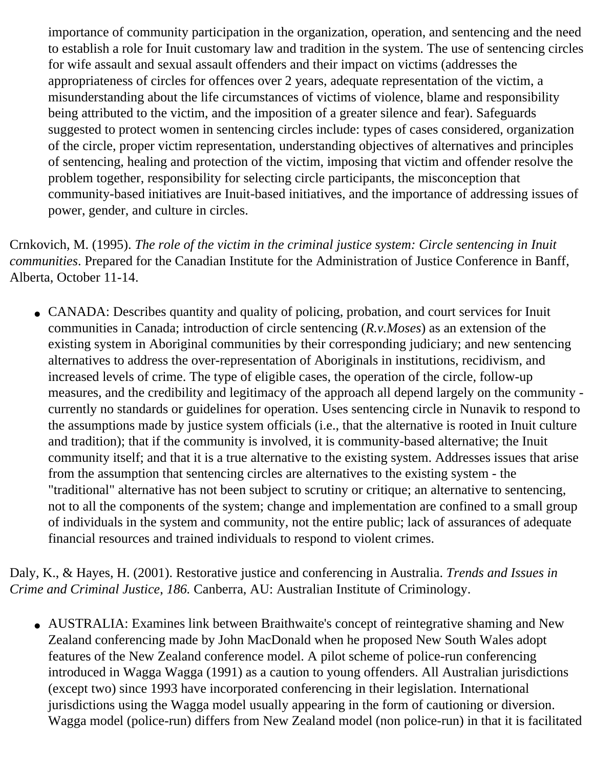importance of community participation in the organization, operation, and sentencing and the need to establish a role for Inuit customary law and tradition in the system. The use of sentencing circles for wife assault and sexual assault offenders and their impact on victims (addresses the appropriateness of circles for offences over 2 years, adequate representation of the victim, a misunderstanding about the life circumstances of victims of violence, blame and responsibility being attributed to the victim, and the imposition of a greater silence and fear). Safeguards suggested to protect women in sentencing circles include: types of cases considered, organization of the circle, proper victim representation, understanding objectives of alternatives and principles of sentencing, healing and protection of the victim, imposing that victim and offender resolve the problem together, responsibility for selecting circle participants, the misconception that community-based initiatives are Inuit-based initiatives, and the importance of addressing issues of power, gender, and culture in circles.

Crnkovich, M. (1995). *The role of the victim in the criminal justice system: Circle sentencing in Inuit communities*. Prepared for the Canadian Institute for the Administration of Justice Conference in Banff, Alberta, October 11-14.

• CANADA: Describes quantity and quality of policing, probation, and court services for Inuit communities in Canada; introduction of circle sentencing (*R.v.Moses*) as an extension of the existing system in Aboriginal communities by their corresponding judiciary; and new sentencing alternatives to address the over-representation of Aboriginals in institutions, recidivism, and increased levels of crime. The type of eligible cases, the operation of the circle, follow-up measures, and the credibility and legitimacy of the approach all depend largely on the community currently no standards or guidelines for operation. Uses sentencing circle in Nunavik to respond to the assumptions made by justice system officials (i.e., that the alternative is rooted in Inuit culture and tradition); that if the community is involved, it is community-based alternative; the Inuit community itself; and that it is a true alternative to the existing system. Addresses issues that arise from the assumption that sentencing circles are alternatives to the existing system - the "traditional" alternative has not been subject to scrutiny or critique; an alternative to sentencing, not to all the components of the system; change and implementation are confined to a small group of individuals in the system and community, not the entire public; lack of assurances of adequate financial resources and trained individuals to respond to violent crimes.

Daly, K., & Hayes, H. (2001). Restorative justice and conferencing in Australia. *Trends and Issues in Crime and Criminal Justice*, *186.* Canberra, AU: Australian Institute of Criminology.

• AUSTRALIA: Examines link between Braithwaite's concept of reintegrative shaming and New Zealand conferencing made by John MacDonald when he proposed New South Wales adopt features of the New Zealand conference model. A pilot scheme of police-run conferencing introduced in Wagga Wagga (1991) as a caution to young offenders. All Australian jurisdictions (except two) since 1993 have incorporated conferencing in their legislation. International jurisdictions using the Wagga model usually appearing in the form of cautioning or diversion. Wagga model (police-run) differs from New Zealand model (non police-run) in that it is facilitated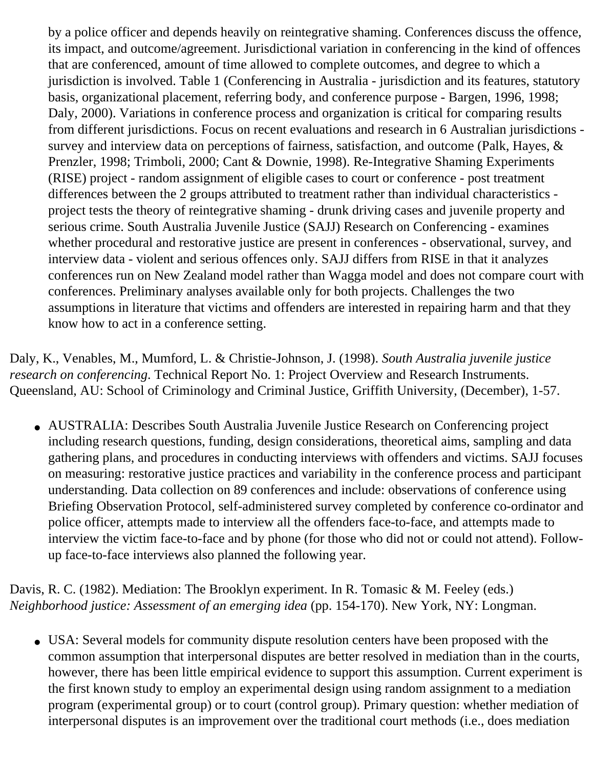by a police officer and depends heavily on reintegrative shaming. Conferences discuss the offence, its impact, and outcome/agreement. Jurisdictional variation in conferencing in the kind of offences that are conferenced, amount of time allowed to complete outcomes, and degree to which a jurisdiction is involved. Table 1 (Conferencing in Australia - jurisdiction and its features, statutory basis, organizational placement, referring body, and conference purpose - Bargen, 1996, 1998; Daly, 2000). Variations in conference process and organization is critical for comparing results from different jurisdictions. Focus on recent evaluations and research in 6 Australian jurisdictions survey and interview data on perceptions of fairness, satisfaction, and outcome (Palk, Hayes, & Prenzler, 1998; Trimboli, 2000; Cant & Downie, 1998). Re-Integrative Shaming Experiments (RISE) project - random assignment of eligible cases to court or conference - post treatment differences between the 2 groups attributed to treatment rather than individual characteristics project tests the theory of reintegrative shaming - drunk driving cases and juvenile property and serious crime. South Australia Juvenile Justice (SAJJ) Research on Conferencing - examines whether procedural and restorative justice are present in conferences - observational, survey, and interview data - violent and serious offences only. SAJJ differs from RISE in that it analyzes conferences run on New Zealand model rather than Wagga model and does not compare court with conferences. Preliminary analyses available only for both projects. Challenges the two assumptions in literature that victims and offenders are interested in repairing harm and that they know how to act in a conference setting.

Daly, K., Venables, M., Mumford, L. & Christie-Johnson, J. (1998). *South Australia juvenile justice research on conferencing*. Technical Report No. 1: Project Overview and Research Instruments. Queensland, AU: School of Criminology and Criminal Justice, Griffith University, (December), 1-57.

• AUSTRALIA: Describes South Australia Juvenile Justice Research on Conferencing project including research questions, funding, design considerations, theoretical aims, sampling and data gathering plans, and procedures in conducting interviews with offenders and victims. SAJJ focuses on measuring: restorative justice practices and variability in the conference process and participant understanding. Data collection on 89 conferences and include: observations of conference using Briefing Observation Protocol, self-administered survey completed by conference co-ordinator and police officer, attempts made to interview all the offenders face-to-face, and attempts made to interview the victim face-to-face and by phone (for those who did not or could not attend). Followup face-to-face interviews also planned the following year.

Davis, R. C. (1982). Mediation: The Brooklyn experiment. In R. Tomasic & M. Feeley (eds.) *Neighborhood justice: Assessment of an emerging idea* (pp. 154-170). New York, NY: Longman.

• USA: Several models for community dispute resolution centers have been proposed with the common assumption that interpersonal disputes are better resolved in mediation than in the courts, however, there has been little empirical evidence to support this assumption. Current experiment is the first known study to employ an experimental design using random assignment to a mediation program (experimental group) or to court (control group). Primary question: whether mediation of interpersonal disputes is an improvement over the traditional court methods (i.e., does mediation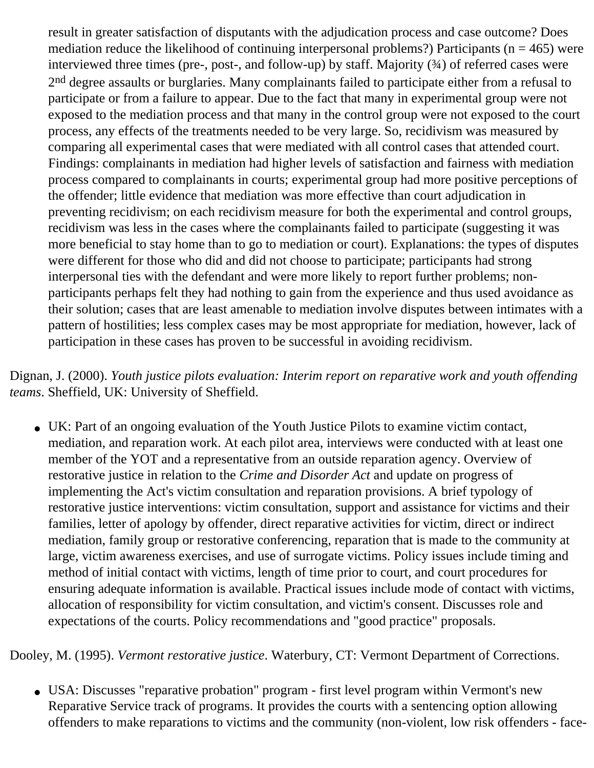result in greater satisfaction of disputants with the adjudication process and case outcome? Does mediation reduce the likelihood of continuing interpersonal problems?) Participants ( $n = 465$ ) were interviewed three times (pre-, post-, and follow-up) by staff. Majority (¾) of referred cases were 2<sup>nd</sup> degree assaults or burglaries. Many complainants failed to participate either from a refusal to participate or from a failure to appear. Due to the fact that many in experimental group were not exposed to the mediation process and that many in the control group were not exposed to the court process, any effects of the treatments needed to be very large. So, recidivism was measured by comparing all experimental cases that were mediated with all control cases that attended court. Findings: complainants in mediation had higher levels of satisfaction and fairness with mediation process compared to complainants in courts; experimental group had more positive perceptions of the offender; little evidence that mediation was more effective than court adjudication in preventing recidivism; on each recidivism measure for both the experimental and control groups, recidivism was less in the cases where the complainants failed to participate (suggesting it was more beneficial to stay home than to go to mediation or court). Explanations: the types of disputes were different for those who did and did not choose to participate; participants had strong interpersonal ties with the defendant and were more likely to report further problems; nonparticipants perhaps felt they had nothing to gain from the experience and thus used avoidance as their solution; cases that are least amenable to mediation involve disputes between intimates with a pattern of hostilities; less complex cases may be most appropriate for mediation, however, lack of participation in these cases has proven to be successful in avoiding recidivism.

Dignan, J. (2000). *Youth justice pilots evaluation: Interim report on reparative work and youth offending teams*. Sheffield, UK: University of Sheffield.

• UK: Part of an ongoing evaluation of the Youth Justice Pilots to examine victim contact, mediation, and reparation work. At each pilot area, interviews were conducted with at least one member of the YOT and a representative from an outside reparation agency. Overview of restorative justice in relation to the *Crime and Disorder Act* and update on progress of implementing the Act's victim consultation and reparation provisions. A brief typology of restorative justice interventions: victim consultation, support and assistance for victims and their families, letter of apology by offender, direct reparative activities for victim, direct or indirect mediation, family group or restorative conferencing, reparation that is made to the community at large, victim awareness exercises, and use of surrogate victims. Policy issues include timing and method of initial contact with victims, length of time prior to court, and court procedures for ensuring adequate information is available. Practical issues include mode of contact with victims, allocation of responsibility for victim consultation, and victim's consent. Discusses role and expectations of the courts. Policy recommendations and "good practice" proposals.

Dooley, M. (1995). *Vermont restorative justice*. Waterbury, CT: Vermont Department of Corrections.

• USA: Discusses "reparative probation" program - first level program within Vermont's new Reparative Service track of programs. It provides the courts with a sentencing option allowing offenders to make reparations to victims and the community (non-violent, low risk offenders - face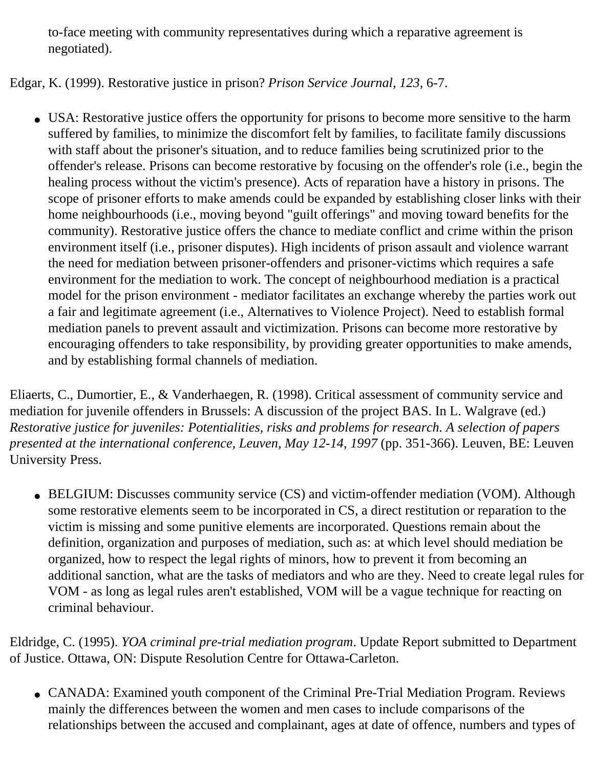to-face meeting with community representatives during which a reparative agreement is negotiated).

## Edgar, K. (1999). Restorative justice in prison? *Prison Service Journal*, *123*, 6-7.

• USA: Restorative justice offers the opportunity for prisons to become more sensitive to the harm suffered by families, to minimize the discomfort felt by families, to facilitate family discussions with staff about the prisoner's situation, and to reduce families being scrutinized prior to the offender's release. Prisons can become restorative by focusing on the offender's role (i.e., begin the healing process without the victim's presence). Acts of reparation have a history in prisons. The scope of prisoner efforts to make amends could be expanded by establishing closer links with their home neighbourhoods (i.e., moving beyond "guilt offerings" and moving toward benefits for the community). Restorative justice offers the chance to mediate conflict and crime within the prison environment itself (i.e., prisoner disputes). High incidents of prison assault and violence warrant the need for mediation between prisoner-offenders and prisoner-victims which requires a safe environment for the mediation to work. The concept of neighbourhood mediation is a practical model for the prison environment - mediator facilitates an exchange whereby the parties work out a fair and legitimate agreement (i.e., Alternatives to Violence Project). Need to establish formal mediation panels to prevent assault and victimization. Prisons can become more restorative by encouraging offenders to take responsibility, by providing greater opportunities to make amends, and by establishing formal channels of mediation.

Eliaerts, C., Dumortier, E., & Vanderhaegen, R. (1998). Critical assessment of community service and mediation for juvenile offenders in Brussels: A discussion of the project BAS. In L. Walgrave (ed.) *Restorative justice for juveniles: Potentialities, risks and problems for research. A selection of papers presented at the international conference, Leuven, May 12-14, 1997* (pp. 351-366). Leuven, BE: Leuven University Press.

• BELGIUM: Discusses community service (CS) and victim-offender mediation (VOM). Although some restorative elements seem to be incorporated in CS, a direct restitution or reparation to the victim is missing and some punitive elements are incorporated. Questions remain about the definition, organization and purposes of mediation, such as: at which level should mediation be organized, how to respect the legal rights of minors, how to prevent it from becoming an additional sanction, what are the tasks of mediators and who are they. Need to create legal rules for VOM - as long as legal rules aren't established, VOM will be a vague technique for reacting on criminal behaviour.

Eldridge, C. (1995). *YOA criminal pre-trial mediation program*. Update Report submitted to Department of Justice. Ottawa, ON: Dispute Resolution Centre for Ottawa-Carleton.

• CANADA: Examined youth component of the Criminal Pre-Trial Mediation Program. Reviews mainly the differences between the women and men cases to include comparisons of the relationships between the accused and complainant, ages at date of offence, numbers and types of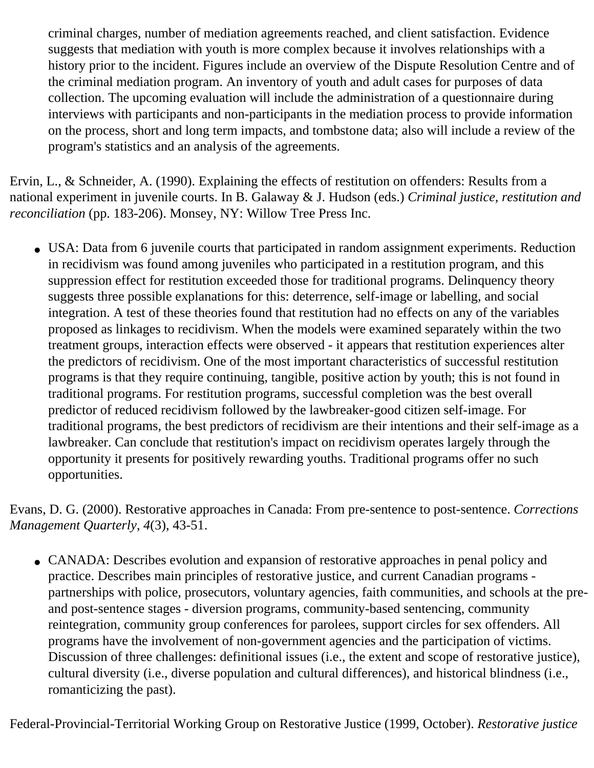criminal charges, number of mediation agreements reached, and client satisfaction. Evidence suggests that mediation with youth is more complex because it involves relationships with a history prior to the incident. Figures include an overview of the Dispute Resolution Centre and of the criminal mediation program. An inventory of youth and adult cases for purposes of data collection. The upcoming evaluation will include the administration of a questionnaire during interviews with participants and non-participants in the mediation process to provide information on the process, short and long term impacts, and tombstone data; also will include a review of the program's statistics and an analysis of the agreements.

Ervin, L., & Schneider, A. (1990). Explaining the effects of restitution on offenders: Results from a national experiment in juvenile courts. In B. Galaway & J. Hudson (eds.) *Criminal justice, restitution and reconciliation* (pp. 183-206). Monsey, NY: Willow Tree Press Inc.

• USA: Data from 6 juvenile courts that participated in random assignment experiments. Reduction in recidivism was found among juveniles who participated in a restitution program, and this suppression effect for restitution exceeded those for traditional programs. Delinquency theory suggests three possible explanations for this: deterrence, self-image or labelling, and social integration. A test of these theories found that restitution had no effects on any of the variables proposed as linkages to recidivism. When the models were examined separately within the two treatment groups, interaction effects were observed - it appears that restitution experiences alter the predictors of recidivism. One of the most important characteristics of successful restitution programs is that they require continuing, tangible, positive action by youth; this is not found in traditional programs. For restitution programs, successful completion was the best overall predictor of reduced recidivism followed by the lawbreaker-good citizen self-image. For traditional programs, the best predictors of recidivism are their intentions and their self-image as a lawbreaker. Can conclude that restitution's impact on recidivism operates largely through the opportunity it presents for positively rewarding youths. Traditional programs offer no such opportunities.

Evans, D. G. (2000). Restorative approaches in Canada: From pre-sentence to post-sentence. *Corrections Management Quarterly*, *4*(3), 43-51.

• CANADA: Describes evolution and expansion of restorative approaches in penal policy and practice. Describes main principles of restorative justice, and current Canadian programs partnerships with police, prosecutors, voluntary agencies, faith communities, and schools at the preand post-sentence stages - diversion programs, community-based sentencing, community reintegration, community group conferences for parolees, support circles for sex offenders. All programs have the involvement of non-government agencies and the participation of victims. Discussion of three challenges: definitional issues (i.e., the extent and scope of restorative justice), cultural diversity (i.e., diverse population and cultural differences), and historical blindness (i.e., romanticizing the past).

Federal-Provincial-Territorial Working Group on Restorative Justice (1999, October). *Restorative justice*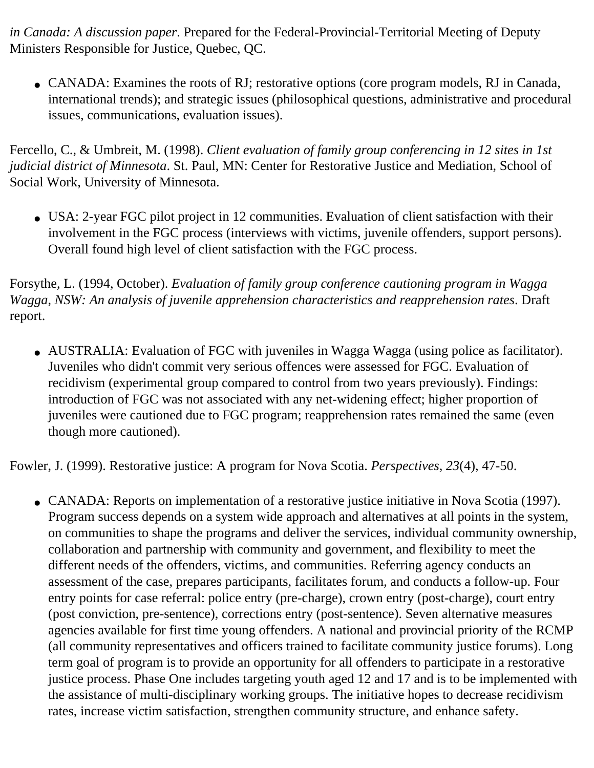*in Canada: A discussion paper*. Prepared for the Federal-Provincial-Territorial Meeting of Deputy Ministers Responsible for Justice, Quebec, QC.

• CANADA: Examines the roots of RJ; restorative options (core program models, RJ in Canada, international trends); and strategic issues (philosophical questions, administrative and procedural issues, communications, evaluation issues).

Fercello, C., & Umbreit, M. (1998). *Client evaluation of family group conferencing in 12 sites in 1st judicial district of Minnesota*. St. Paul, MN: Center for Restorative Justice and Mediation, School of Social Work, University of Minnesota.

• USA: 2-year FGC pilot project in 12 communities. Evaluation of client satisfaction with their involvement in the FGC process (interviews with victims, juvenile offenders, support persons). Overall found high level of client satisfaction with the FGC process.

Forsythe, L. (1994, October). *Evaluation of family group conference cautioning program in Wagga Wagga, NSW: An analysis of juvenile apprehension characteristics and reapprehension rates*. Draft report.

• AUSTRALIA: Evaluation of FGC with juveniles in Wagga Wagga (using police as facilitator). Juveniles who didn't commit very serious offences were assessed for FGC. Evaluation of recidivism (experimental group compared to control from two years previously). Findings: introduction of FGC was not associated with any net-widening effect; higher proportion of juveniles were cautioned due to FGC program; reapprehension rates remained the same (even though more cautioned).

Fowler, J. (1999). Restorative justice: A program for Nova Scotia. *Perspectives*, *23*(4), 47-50.

• CANADA: Reports on implementation of a restorative justice initiative in Nova Scotia (1997). Program success depends on a system wide approach and alternatives at all points in the system, on communities to shape the programs and deliver the services, individual community ownership, collaboration and partnership with community and government, and flexibility to meet the different needs of the offenders, victims, and communities. Referring agency conducts an assessment of the case, prepares participants, facilitates forum, and conducts a follow-up. Four entry points for case referral: police entry (pre-charge), crown entry (post-charge), court entry (post conviction, pre-sentence), corrections entry (post-sentence). Seven alternative measures agencies available for first time young offenders. A national and provincial priority of the RCMP (all community representatives and officers trained to facilitate community justice forums). Long term goal of program is to provide an opportunity for all offenders to participate in a restorative justice process. Phase One includes targeting youth aged 12 and 17 and is to be implemented with the assistance of multi-disciplinary working groups. The initiative hopes to decrease recidivism rates, increase victim satisfaction, strengthen community structure, and enhance safety.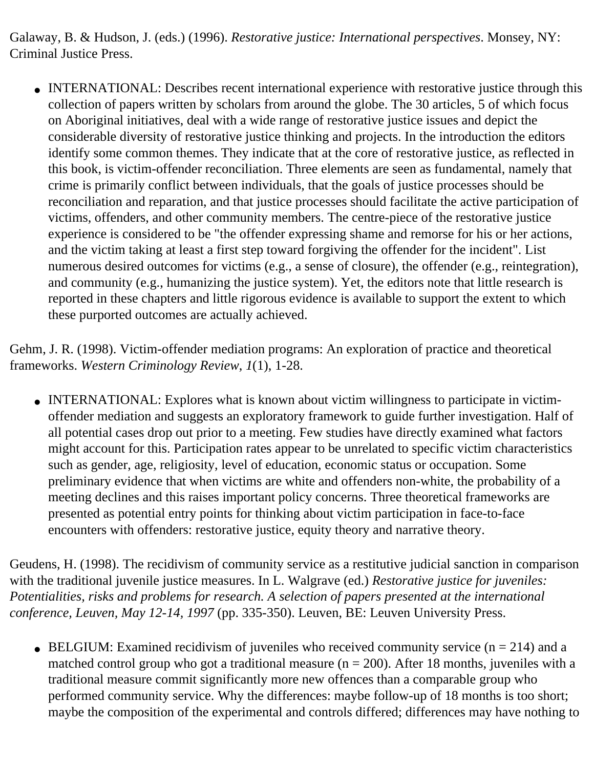Galaway, B. & Hudson, J. (eds.) (1996). *Restorative justice: International perspectives*. Monsey, NY: Criminal Justice Press.

• INTERNATIONAL: Describes recent international experience with restorative justice through this collection of papers written by scholars from around the globe. The 30 articles, 5 of which focus on Aboriginal initiatives, deal with a wide range of restorative justice issues and depict the considerable diversity of restorative justice thinking and projects. In the introduction the editors identify some common themes. They indicate that at the core of restorative justice, as reflected in this book, is victim-offender reconciliation. Three elements are seen as fundamental, namely that crime is primarily conflict between individuals, that the goals of justice processes should be reconciliation and reparation, and that justice processes should facilitate the active participation of victims, offenders, and other community members. The centre-piece of the restorative justice experience is considered to be "the offender expressing shame and remorse for his or her actions, and the victim taking at least a first step toward forgiving the offender for the incident". List numerous desired outcomes for victims (e.g., a sense of closure), the offender (e.g., reintegration), and community (e.g., humanizing the justice system). Yet, the editors note that little research is reported in these chapters and little rigorous evidence is available to support the extent to which these purported outcomes are actually achieved.

Gehm, J. R. (1998). Victim-offender mediation programs: An exploration of practice and theoretical frameworks. *Western Criminology Review*, *1*(1), 1-28.

• INTERNATIONAL: Explores what is known about victim willingness to participate in victimoffender mediation and suggests an exploratory framework to guide further investigation. Half of all potential cases drop out prior to a meeting. Few studies have directly examined what factors might account for this. Participation rates appear to be unrelated to specific victim characteristics such as gender, age, religiosity, level of education, economic status or occupation. Some preliminary evidence that when victims are white and offenders non-white, the probability of a meeting declines and this raises important policy concerns. Three theoretical frameworks are presented as potential entry points for thinking about victim participation in face-to-face encounters with offenders: restorative justice, equity theory and narrative theory.

Geudens, H. (1998). The recidivism of community service as a restitutive judicial sanction in comparison with the traditional juvenile justice measures. In L. Walgrave (ed.) *Restorative justice for juveniles: Potentialities, risks and problems for research. A selection of papers presented at the international conference, Leuven, May 12-14, 1997* (pp. 335-350). Leuven, BE: Leuven University Press.

• BELGIUM: Examined recidivism of juveniles who received community service  $(n = 214)$  and a matched control group who got a traditional measure ( $n = 200$ ). After 18 months, juveniles with a traditional measure commit significantly more new offences than a comparable group who performed community service. Why the differences: maybe follow-up of 18 months is too short; maybe the composition of the experimental and controls differed; differences may have nothing to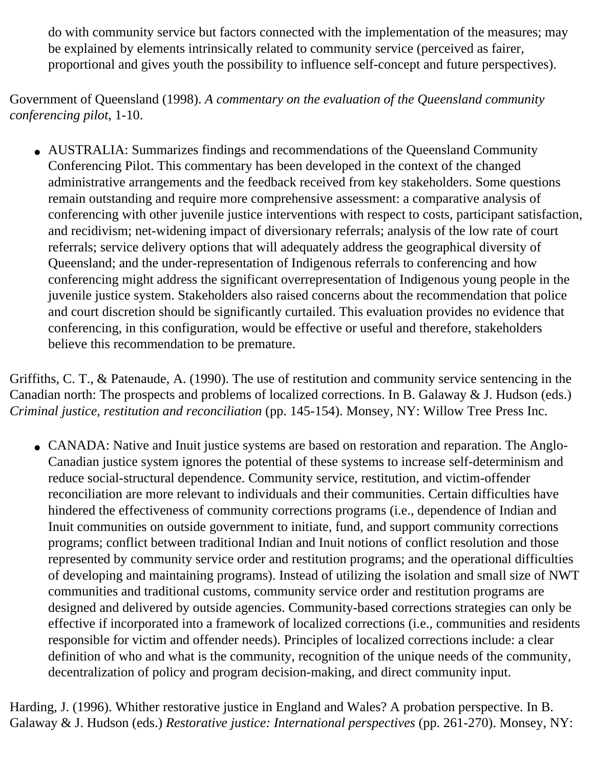do with community service but factors connected with the implementation of the measures; may be explained by elements intrinsically related to community service (perceived as fairer, proportional and gives youth the possibility to influence self-concept and future perspectives).

Government of Queensland (1998). *A commentary on the evaluation of the Queensland community conferencing pilot*, 1-10.

• AUSTRALIA: Summarizes findings and recommendations of the Queensland Community Conferencing Pilot. This commentary has been developed in the context of the changed administrative arrangements and the feedback received from key stakeholders. Some questions remain outstanding and require more comprehensive assessment: a comparative analysis of conferencing with other juvenile justice interventions with respect to costs, participant satisfaction, and recidivism; net-widening impact of diversionary referrals; analysis of the low rate of court referrals; service delivery options that will adequately address the geographical diversity of Queensland; and the under-representation of Indigenous referrals to conferencing and how conferencing might address the significant overrepresentation of Indigenous young people in the juvenile justice system. Stakeholders also raised concerns about the recommendation that police and court discretion should be significantly curtailed. This evaluation provides no evidence that conferencing, in this configuration, would be effective or useful and therefore, stakeholders believe this recommendation to be premature.

Griffiths, C. T., & Patenaude, A. (1990). The use of restitution and community service sentencing in the Canadian north: The prospects and problems of localized corrections. In B. Galaway & J. Hudson (eds.) *Criminal justice, restitution and reconciliation* (pp. 145-154). Monsey, NY: Willow Tree Press Inc.

• CANADA: Native and Inuit justice systems are based on restoration and reparation. The Anglo-Canadian justice system ignores the potential of these systems to increase self-determinism and reduce social-structural dependence. Community service, restitution, and victim-offender reconciliation are more relevant to individuals and their communities. Certain difficulties have hindered the effectiveness of community corrections programs (i.e., dependence of Indian and Inuit communities on outside government to initiate, fund, and support community corrections programs; conflict between traditional Indian and Inuit notions of conflict resolution and those represented by community service order and restitution programs; and the operational difficulties of developing and maintaining programs). Instead of utilizing the isolation and small size of NWT communities and traditional customs, community service order and restitution programs are designed and delivered by outside agencies. Community-based corrections strategies can only be effective if incorporated into a framework of localized corrections (i.e., communities and residents responsible for victim and offender needs). Principles of localized corrections include: a clear definition of who and what is the community, recognition of the unique needs of the community, decentralization of policy and program decision-making, and direct community input.

Harding, J. (1996). Whither restorative justice in England and Wales? A probation perspective. In B. Galaway & J. Hudson (eds.) *Restorative justice: International perspectives* (pp. 261-270). Monsey, NY: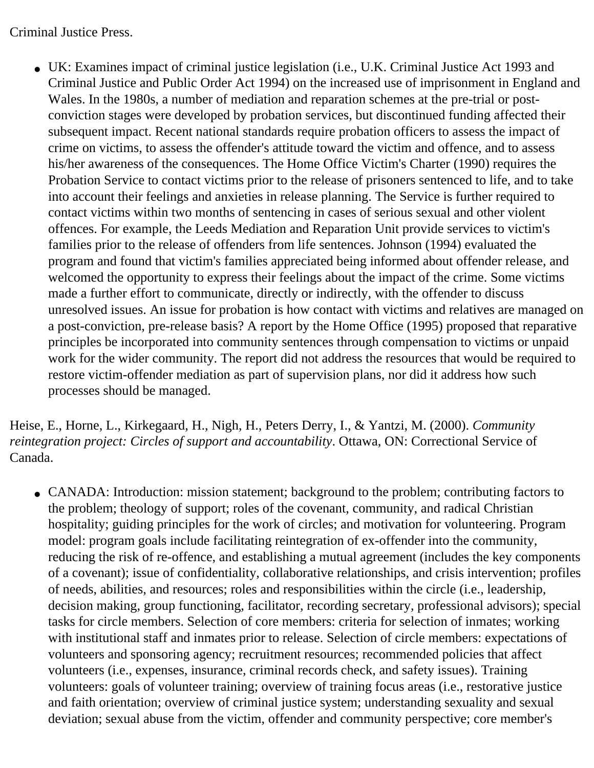Criminal Justice Press.

• UK: Examines impact of criminal justice legislation (i.e., U.K. Criminal Justice Act 1993 and Criminal Justice and Public Order Act 1994) on the increased use of imprisonment in England and Wales. In the 1980s, a number of mediation and reparation schemes at the pre-trial or postconviction stages were developed by probation services, but discontinued funding affected their subsequent impact. Recent national standards require probation officers to assess the impact of crime on victims, to assess the offender's attitude toward the victim and offence, and to assess his/her awareness of the consequences. The Home Office Victim's Charter (1990) requires the Probation Service to contact victims prior to the release of prisoners sentenced to life, and to take into account their feelings and anxieties in release planning. The Service is further required to contact victims within two months of sentencing in cases of serious sexual and other violent offences. For example, the Leeds Mediation and Reparation Unit provide services to victim's families prior to the release of offenders from life sentences. Johnson (1994) evaluated the program and found that victim's families appreciated being informed about offender release, and welcomed the opportunity to express their feelings about the impact of the crime. Some victims made a further effort to communicate, directly or indirectly, with the offender to discuss unresolved issues. An issue for probation is how contact with victims and relatives are managed on a post-conviction, pre-release basis? A report by the Home Office (1995) proposed that reparative principles be incorporated into community sentences through compensation to victims or unpaid work for the wider community. The report did not address the resources that would be required to restore victim-offender mediation as part of supervision plans, nor did it address how such processes should be managed.

Heise, E., Horne, L., Kirkegaard, H., Nigh, H., Peters Derry, I., & Yantzi, M. (2000). *Community reintegration project: Circles of support and accountability*. Ottawa, ON: Correctional Service of Canada.

• CANADA: Introduction: mission statement; background to the problem; contributing factors to the problem; theology of support; roles of the covenant, community, and radical Christian hospitality; guiding principles for the work of circles; and motivation for volunteering. Program model: program goals include facilitating reintegration of ex-offender into the community, reducing the risk of re-offence, and establishing a mutual agreement (includes the key components of a covenant); issue of confidentiality, collaborative relationships, and crisis intervention; profiles of needs, abilities, and resources; roles and responsibilities within the circle (i.e., leadership, decision making, group functioning, facilitator, recording secretary, professional advisors); special tasks for circle members. Selection of core members: criteria for selection of inmates; working with institutional staff and inmates prior to release. Selection of circle members: expectations of volunteers and sponsoring agency; recruitment resources; recommended policies that affect volunteers (i.e., expenses, insurance, criminal records check, and safety issues). Training volunteers: goals of volunteer training; overview of training focus areas (i.e., restorative justice and faith orientation; overview of criminal justice system; understanding sexuality and sexual deviation; sexual abuse from the victim, offender and community perspective; core member's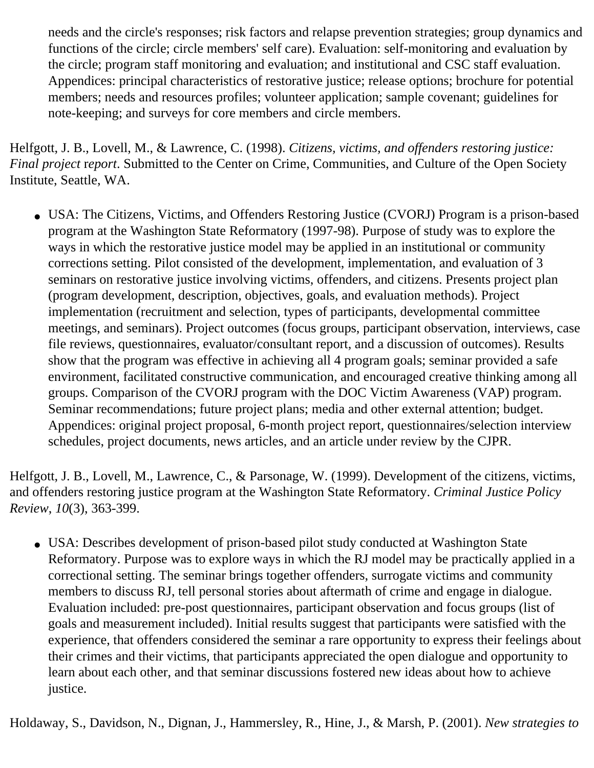needs and the circle's responses; risk factors and relapse prevention strategies; group dynamics and functions of the circle; circle members' self care). Evaluation: self-monitoring and evaluation by the circle; program staff monitoring and evaluation; and institutional and CSC staff evaluation. Appendices: principal characteristics of restorative justice; release options; brochure for potential members; needs and resources profiles; volunteer application; sample covenant; guidelines for note-keeping; and surveys for core members and circle members.

Helfgott, J. B., Lovell, M., & Lawrence, C. (1998). *Citizens, victims, and offenders restoring justice: Final project* r*eport*. Submitted to the Center on Crime, Communities, and Culture of the Open Society Institute, Seattle, WA.

• USA: The Citizens, Victims, and Offenders Restoring Justice (CVORJ) Program is a prison-based program at the Washington State Reformatory (1997-98). Purpose of study was to explore the ways in which the restorative justice model may be applied in an institutional or community corrections setting. Pilot consisted of the development, implementation, and evaluation of 3 seminars on restorative justice involving victims, offenders, and citizens. Presents project plan (program development, description, objectives, goals, and evaluation methods). Project implementation (recruitment and selection, types of participants, developmental committee meetings, and seminars). Project outcomes (focus groups, participant observation, interviews, case file reviews, questionnaires, evaluator/consultant report, and a discussion of outcomes). Results show that the program was effective in achieving all 4 program goals; seminar provided a safe environment, facilitated constructive communication, and encouraged creative thinking among all groups. Comparison of the CVORJ program with the DOC Victim Awareness (VAP) program. Seminar recommendations; future project plans; media and other external attention; budget. Appendices: original project proposal, 6-month project report, questionnaires/selection interview schedules, project documents, news articles, and an article under review by the CJPR.

Helfgott, J. B., Lovell, M., Lawrence, C., & Parsonage, W. (1999). Development of the citizens, victims, and offenders restoring justice program at the Washington State Reformatory. *Criminal Justice Policy Review*, *10*(3), 363-399.

• USA: Describes development of prison-based pilot study conducted at Washington State Reformatory. Purpose was to explore ways in which the RJ model may be practically applied in a correctional setting. The seminar brings together offenders, surrogate victims and community members to discuss RJ, tell personal stories about aftermath of crime and engage in dialogue. Evaluation included: pre-post questionnaires, participant observation and focus groups (list of goals and measurement included). Initial results suggest that participants were satisfied with the experience, that offenders considered the seminar a rare opportunity to express their feelings about their crimes and their victims, that participants appreciated the open dialogue and opportunity to learn about each other, and that seminar discussions fostered new ideas about how to achieve justice.

Holdaway, S., Davidson, N., Dignan, J., Hammersley, R., Hine, J., & Marsh, P. (2001). *New strategies to*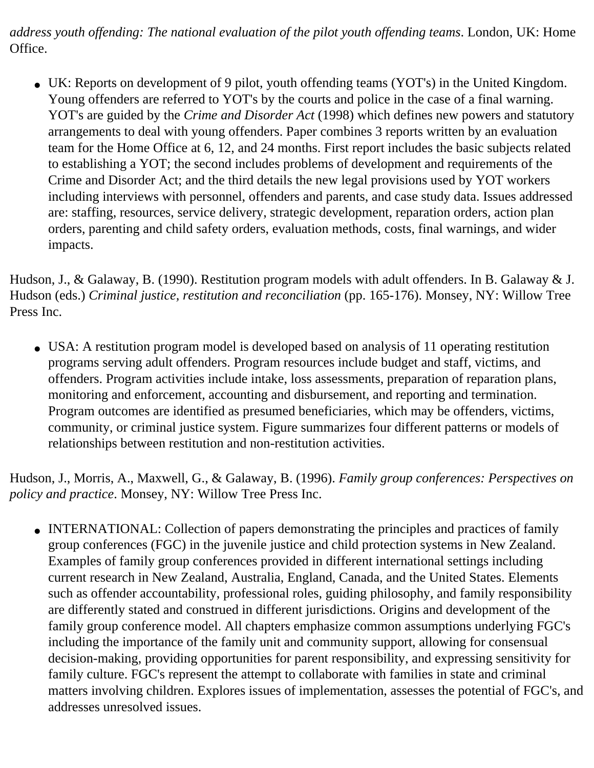*address youth offending: The national evaluation of the pilot youth offending teams*. London, UK: Home Office.

• UK: Reports on development of 9 pilot, youth offending teams (YOT's) in the United Kingdom. Young offenders are referred to YOT's by the courts and police in the case of a final warning. YOT's are guided by the *Crime and Disorder Act* (1998) which defines new powers and statutory arrangements to deal with young offenders. Paper combines 3 reports written by an evaluation team for the Home Office at 6, 12, and 24 months. First report includes the basic subjects related to establishing a YOT; the second includes problems of development and requirements of the Crime and Disorder Act; and the third details the new legal provisions used by YOT workers including interviews with personnel, offenders and parents, and case study data. Issues addressed are: staffing, resources, service delivery, strategic development, reparation orders, action plan orders, parenting and child safety orders, evaluation methods, costs, final warnings, and wider impacts.

Hudson, J., & Galaway, B. (1990). Restitution program models with adult offenders. In B. Galaway & J. Hudson (eds.) *Criminal justice, restitution and reconciliation* (pp. 165-176). Monsey, NY: Willow Tree Press Inc.

• USA: A restitution program model is developed based on analysis of 11 operating restitution programs serving adult offenders. Program resources include budget and staff, victims, and offenders. Program activities include intake, loss assessments, preparation of reparation plans, monitoring and enforcement, accounting and disbursement, and reporting and termination. Program outcomes are identified as presumed beneficiaries, which may be offenders, victims, community, or criminal justice system. Figure summarizes four different patterns or models of relationships between restitution and non-restitution activities.

Hudson, J., Morris, A., Maxwell, G., & Galaway, B. (1996). *Family group conferences: Perspectives on policy and practice*. Monsey, NY: Willow Tree Press Inc.

• INTERNATIONAL: Collection of papers demonstrating the principles and practices of family group conferences (FGC) in the juvenile justice and child protection systems in New Zealand. Examples of family group conferences provided in different international settings including current research in New Zealand, Australia, England, Canada, and the United States. Elements such as offender accountability, professional roles, guiding philosophy, and family responsibility are differently stated and construed in different jurisdictions. Origins and development of the family group conference model. All chapters emphasize common assumptions underlying FGC's including the importance of the family unit and community support, allowing for consensual decision-making, providing opportunities for parent responsibility, and expressing sensitivity for family culture. FGC's represent the attempt to collaborate with families in state and criminal matters involving children. Explores issues of implementation, assesses the potential of FGC's, and addresses unresolved issues.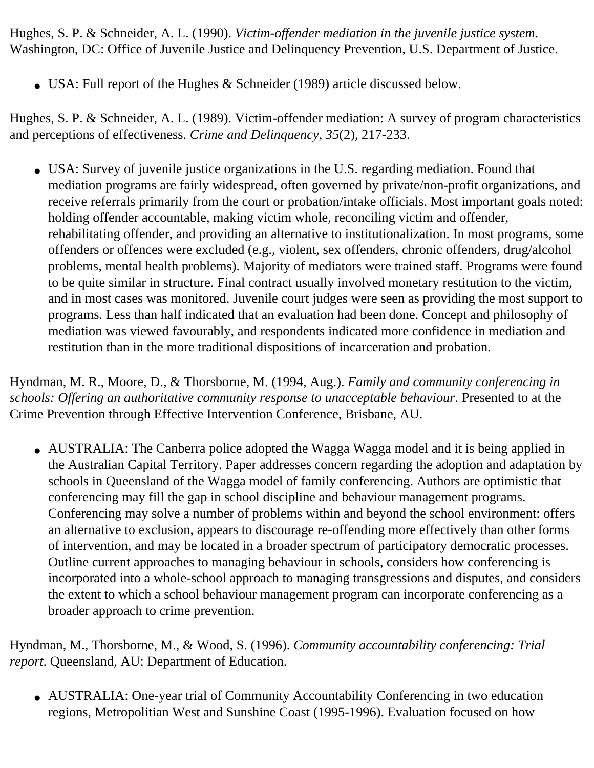Hughes, S. P. & Schneider, A. L. (1990). *Victim-offender mediation in the juvenile justice system*. Washington, DC: Office of Juvenile Justice and Delinquency Prevention, U.S. Department of Justice.

• USA: Full report of the Hughes & Schneider (1989) article discussed below.

Hughes, S. P. & Schneider, A. L. (1989). Victim-offender mediation: A survey of program characteristics and perceptions of effectiveness. *Crime and Delinquency*, *35*(2), 217-233.

• USA: Survey of juvenile justice organizations in the U.S. regarding mediation. Found that mediation programs are fairly widespread, often governed by private/non-profit organizations, and receive referrals primarily from the court or probation/intake officials. Most important goals noted: holding offender accountable, making victim whole, reconciling victim and offender, rehabilitating offender, and providing an alternative to institutionalization. In most programs, some offenders or offences were excluded (e.g., violent, sex offenders, chronic offenders, drug/alcohol problems, mental health problems). Majority of mediators were trained staff. Programs were found to be quite similar in structure. Final contract usually involved monetary restitution to the victim, and in most cases was monitored. Juvenile court judges were seen as providing the most support to programs. Less than half indicated that an evaluation had been done. Concept and philosophy of mediation was viewed favourably, and respondents indicated more confidence in mediation and restitution than in the more traditional dispositions of incarceration and probation.

Hyndman, M. R., Moore, D., & Thorsborne, M. (1994, Aug.). *Family and community conferencing in schools: Offering an authoritative community response to unacceptable behaviour*. Presented to at the Crime Prevention through Effective Intervention Conference, Brisbane, AU.

• AUSTRALIA: The Canberra police adopted the Wagga Wagga model and it is being applied in the Australian Capital Territory. Paper addresses concern regarding the adoption and adaptation by schools in Queensland of the Wagga model of family conferencing. Authors are optimistic that conferencing may fill the gap in school discipline and behaviour management programs. Conferencing may solve a number of problems within and beyond the school environment: offers an alternative to exclusion, appears to discourage re-offending more effectively than other forms of intervention, and may be located in a broader spectrum of participatory democratic processes. Outline current approaches to managing behaviour in schools, considers how conferencing is incorporated into a whole-school approach to managing transgressions and disputes, and considers the extent to which a school behaviour management program can incorporate conferencing as a broader approach to crime prevention.

Hyndman, M., Thorsborne, M., & Wood, S. (1996). *Community accountability conferencing: Trial report*. Queensland, AU: Department of Education.

• AUSTRALIA: One-year trial of Community Accountability Conferencing in two education regions, Metropolitian West and Sunshine Coast (1995-1996). Evaluation focused on how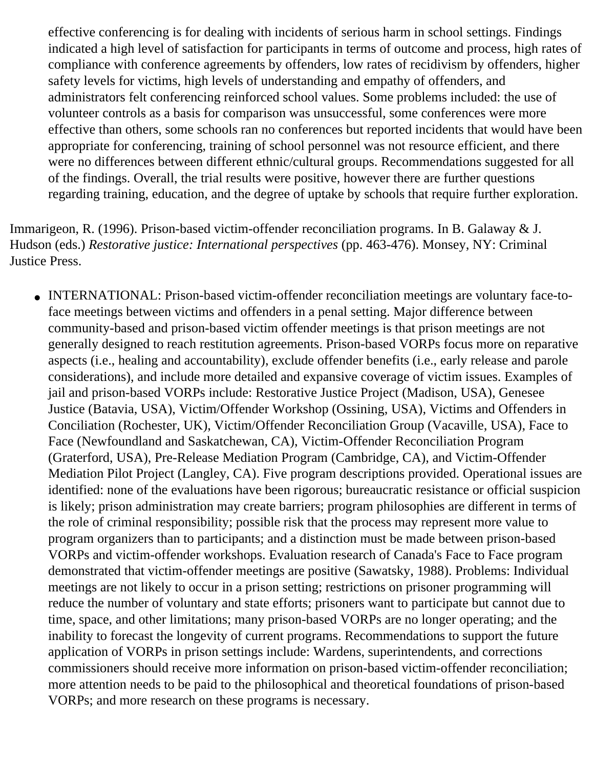effective conferencing is for dealing with incidents of serious harm in school settings. Findings indicated a high level of satisfaction for participants in terms of outcome and process, high rates of compliance with conference agreements by offenders, low rates of recidivism by offenders, higher safety levels for victims, high levels of understanding and empathy of offenders, and administrators felt conferencing reinforced school values. Some problems included: the use of volunteer controls as a basis for comparison was unsuccessful, some conferences were more effective than others, some schools ran no conferences but reported incidents that would have been appropriate for conferencing, training of school personnel was not resource efficient, and there were no differences between different ethnic/cultural groups. Recommendations suggested for all of the findings. Overall, the trial results were positive, however there are further questions regarding training, education, and the degree of uptake by schools that require further exploration.

Immarigeon, R. (1996). Prison-based victim-offender reconciliation programs. In B. Galaway & J. Hudson (eds.) *Restorative justice: International perspectives* (pp. 463-476). Monsey, NY: Criminal Justice Press.

• INTERNATIONAL: Prison-based victim-offender reconciliation meetings are voluntary face-toface meetings between victims and offenders in a penal setting. Major difference between community-based and prison-based victim offender meetings is that prison meetings are not generally designed to reach restitution agreements. Prison-based VORPs focus more on reparative aspects (i.e., healing and accountability), exclude offender benefits (i.e., early release and parole considerations), and include more detailed and expansive coverage of victim issues. Examples of jail and prison-based VORPs include: Restorative Justice Project (Madison, USA), Genesee Justice (Batavia, USA), Victim/Offender Workshop (Ossining, USA), Victims and Offenders in Conciliation (Rochester, UK), Victim/Offender Reconciliation Group (Vacaville, USA), Face to Face (Newfoundland and Saskatchewan, CA), Victim-Offender Reconciliation Program (Graterford, USA), Pre-Release Mediation Program (Cambridge, CA), and Victim-Offender Mediation Pilot Project (Langley, CA). Five program descriptions provided. Operational issues are identified: none of the evaluations have been rigorous; bureaucratic resistance or official suspicion is likely; prison administration may create barriers; program philosophies are different in terms of the role of criminal responsibility; possible risk that the process may represent more value to program organizers than to participants; and a distinction must be made between prison-based VORPs and victim-offender workshops. Evaluation research of Canada's Face to Face program demonstrated that victim-offender meetings are positive (Sawatsky, 1988). Problems: Individual meetings are not likely to occur in a prison setting; restrictions on prisoner programming will reduce the number of voluntary and state efforts; prisoners want to participate but cannot due to time, space, and other limitations; many prison-based VORPs are no longer operating; and the inability to forecast the longevity of current programs. Recommendations to support the future application of VORPs in prison settings include: Wardens, superintendents, and corrections commissioners should receive more information on prison-based victim-offender reconciliation; more attention needs to be paid to the philosophical and theoretical foundations of prison-based VORPs; and more research on these programs is necessary.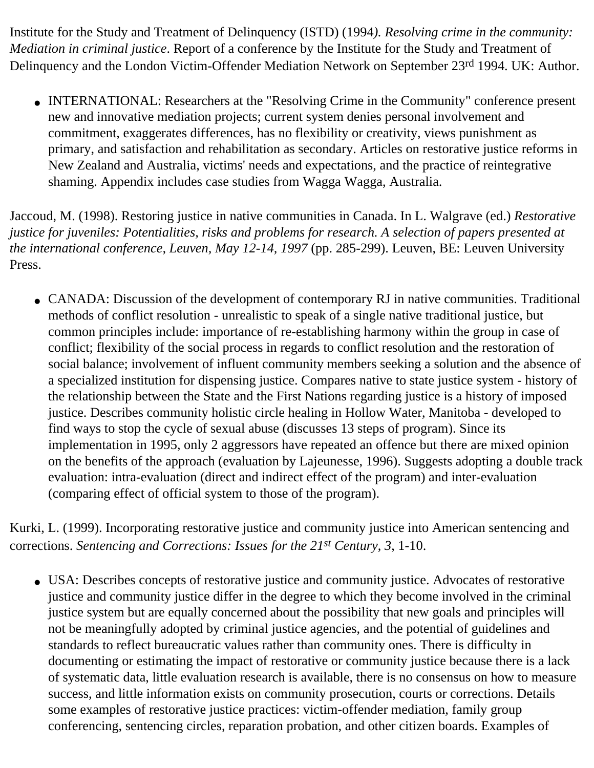Institute for the Study and Treatment of Delinquency (ISTD) (1994*). Resolving crime in the community: Mediation in criminal justice*. Report of a conference by the Institute for the Study and Treatment of Delinquency and the London Victim-Offender Mediation Network on September 23rd 1994. UK: Author.

• INTERNATIONAL: Researchers at the "Resolving Crime in the Community" conference present new and innovative mediation projects; current system denies personal involvement and commitment, exaggerates differences, has no flexibility or creativity, views punishment as primary, and satisfaction and rehabilitation as secondary. Articles on restorative justice reforms in New Zealand and Australia, victims' needs and expectations, and the practice of reintegrative shaming. Appendix includes case studies from Wagga Wagga, Australia.

Jaccoud, M. (1998). Restoring justice in native communities in Canada. In L. Walgrave (ed.) *Restorative justice for juveniles: Potentialities, risks and problems for research. A selection of papers presented at the international conference, Leuven, May 12-14, 1997* (pp. 285-299). Leuven, BE: Leuven University Press.

• CANADA: Discussion of the development of contemporary RJ in native communities. Traditional methods of conflict resolution - unrealistic to speak of a single native traditional justice, but common principles include: importance of re-establishing harmony within the group in case of conflict; flexibility of the social process in regards to conflict resolution and the restoration of social balance; involvement of influent community members seeking a solution and the absence of a specialized institution for dispensing justice. Compares native to state justice system - history of the relationship between the State and the First Nations regarding justice is a history of imposed justice. Describes community holistic circle healing in Hollow Water, Manitoba - developed to find ways to stop the cycle of sexual abuse (discusses 13 steps of program). Since its implementation in 1995, only 2 aggressors have repeated an offence but there are mixed opinion on the benefits of the approach (evaluation by Lajeunesse, 1996). Suggests adopting a double track evaluation: intra-evaluation (direct and indirect effect of the program) and inter-evaluation (comparing effect of official system to those of the program).

Kurki, L. (1999). Incorporating restorative justice and community justice into American sentencing and corrections. *Sentencing and Corrections: Issues for the 21st Century*, *3*, 1-10.

• USA: Describes concepts of restorative justice and community justice. Advocates of restorative justice and community justice differ in the degree to which they become involved in the criminal justice system but are equally concerned about the possibility that new goals and principles will not be meaningfully adopted by criminal justice agencies, and the potential of guidelines and standards to reflect bureaucratic values rather than community ones. There is difficulty in documenting or estimating the impact of restorative or community justice because there is a lack of systematic data, little evaluation research is available, there is no consensus on how to measure success, and little information exists on community prosecution, courts or corrections. Details some examples of restorative justice practices: victim-offender mediation, family group conferencing, sentencing circles, reparation probation, and other citizen boards. Examples of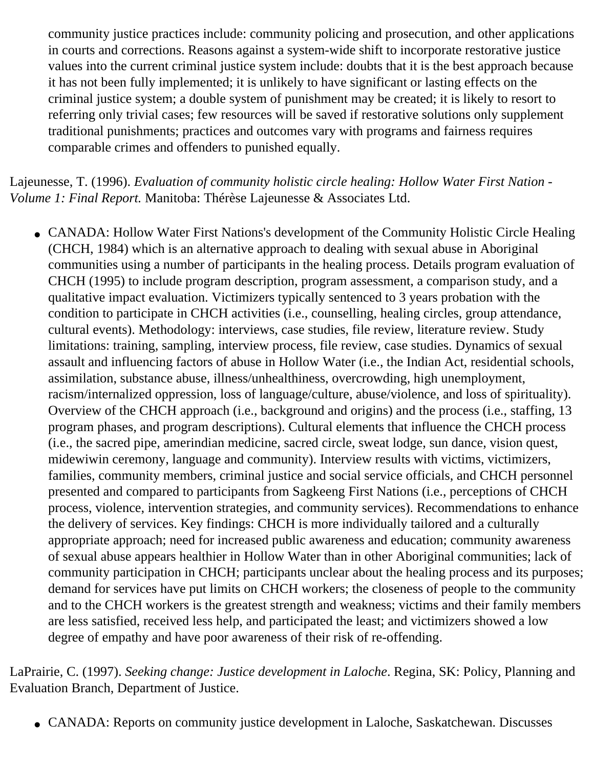community justice practices include: community policing and prosecution, and other applications in courts and corrections. Reasons against a system-wide shift to incorporate restorative justice values into the current criminal justice system include: doubts that it is the best approach because it has not been fully implemented; it is unlikely to have significant or lasting effects on the criminal justice system; a double system of punishment may be created; it is likely to resort to referring only trivial cases; few resources will be saved if restorative solutions only supplement traditional punishments; practices and outcomes vary with programs and fairness requires comparable crimes and offenders to punished equally.

Lajeunesse, T. (1996). *Evaluation of community holistic circle healing: Hollow Water First Nation - Volume 1: Final Report.* Manitoba: Thérèse Lajeunesse & Associates Ltd.

• CANADA: Hollow Water First Nations's development of the Community Holistic Circle Healing (CHCH, 1984) which is an alternative approach to dealing with sexual abuse in Aboriginal communities using a number of participants in the healing process. Details program evaluation of CHCH (1995) to include program description, program assessment, a comparison study, and a qualitative impact evaluation. Victimizers typically sentenced to 3 years probation with the condition to participate in CHCH activities (i.e., counselling, healing circles, group attendance, cultural events). Methodology: interviews, case studies, file review, literature review. Study limitations: training, sampling, interview process, file review, case studies. Dynamics of sexual assault and influencing factors of abuse in Hollow Water (i.e., the Indian Act, residential schools, assimilation, substance abuse, illness/unhealthiness, overcrowding, high unemployment, racism/internalized oppression, loss of language/culture, abuse/violence, and loss of spirituality). Overview of the CHCH approach (i.e., background and origins) and the process (i.e., staffing, 13 program phases, and program descriptions). Cultural elements that influence the CHCH process (i.e., the sacred pipe, amerindian medicine, sacred circle, sweat lodge, sun dance, vision quest, midewiwin ceremony, language and community). Interview results with victims, victimizers, families, community members, criminal justice and social service officials, and CHCH personnel presented and compared to participants from Sagkeeng First Nations (i.e., perceptions of CHCH process, violence, intervention strategies, and community services). Recommendations to enhance the delivery of services. Key findings: CHCH is more individually tailored and a culturally appropriate approach; need for increased public awareness and education; community awareness of sexual abuse appears healthier in Hollow Water than in other Aboriginal communities; lack of community participation in CHCH; participants unclear about the healing process and its purposes; demand for services have put limits on CHCH workers; the closeness of people to the community and to the CHCH workers is the greatest strength and weakness; victims and their family members are less satisfied, received less help, and participated the least; and victimizers showed a low degree of empathy and have poor awareness of their risk of re-offending.

LaPrairie, C. (1997). *Seeking change: Justice development in Laloche*. Regina, SK: Policy, Planning and Evaluation Branch, Department of Justice.

• CANADA: Reports on community justice development in Laloche, Saskatchewan. Discusses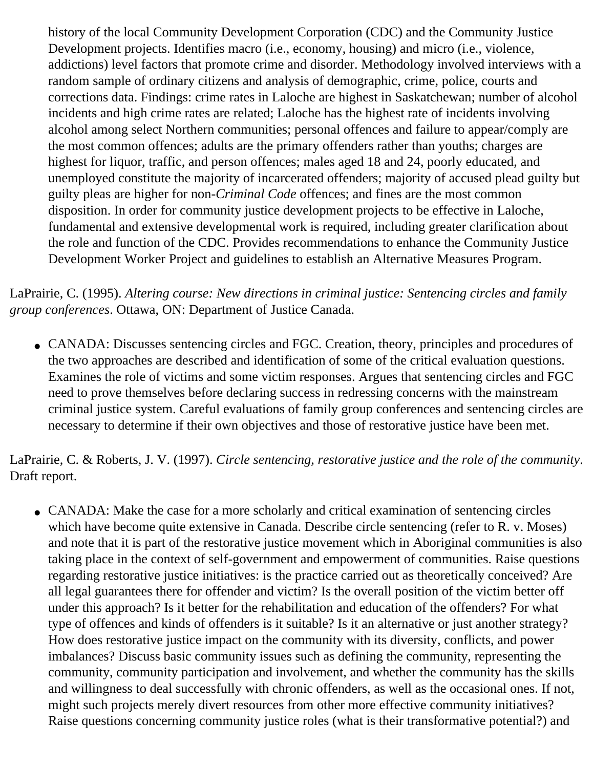history of the local Community Development Corporation (CDC) and the Community Justice Development projects. Identifies macro (i.e., economy, housing) and micro (i.e., violence, addictions) level factors that promote crime and disorder. Methodology involved interviews with a random sample of ordinary citizens and analysis of demographic, crime, police, courts and corrections data. Findings: crime rates in Laloche are highest in Saskatchewan; number of alcohol incidents and high crime rates are related; Laloche has the highest rate of incidents involving alcohol among select Northern communities; personal offences and failure to appear/comply are the most common offences; adults are the primary offenders rather than youths; charges are highest for liquor, traffic, and person offences; males aged 18 and 24, poorly educated, and unemployed constitute the majority of incarcerated offenders; majority of accused plead guilty but guilty pleas are higher for non-*Criminal Code* offences; and fines are the most common disposition. In order for community justice development projects to be effective in Laloche, fundamental and extensive developmental work is required, including greater clarification about the role and function of the CDC. Provides recommendations to enhance the Community Justice Development Worker Project and guidelines to establish an Alternative Measures Program.

LaPrairie, C. (1995). *Altering course: New directions in criminal justice: Sentencing circles and family group conferences*. Ottawa, ON: Department of Justice Canada.

• CANADA: Discusses sentencing circles and FGC. Creation, theory, principles and procedures of the two approaches are described and identification of some of the critical evaluation questions. Examines the role of victims and some victim responses. Argues that sentencing circles and FGC need to prove themselves before declaring success in redressing concerns with the mainstream criminal justice system. Careful evaluations of family group conferences and sentencing circles are necessary to determine if their own objectives and those of restorative justice have been met.

LaPrairie, C. & Roberts, J. V. (1997). *Circle sentencing, restorative justice and the role of the community*. Draft report.

• CANADA: Make the case for a more scholarly and critical examination of sentencing circles which have become quite extensive in Canada. Describe circle sentencing (refer to R. v. Moses) and note that it is part of the restorative justice movement which in Aboriginal communities is also taking place in the context of self-government and empowerment of communities. Raise questions regarding restorative justice initiatives: is the practice carried out as theoretically conceived? Are all legal guarantees there for offender and victim? Is the overall position of the victim better off under this approach? Is it better for the rehabilitation and education of the offenders? For what type of offences and kinds of offenders is it suitable? Is it an alternative or just another strategy? How does restorative justice impact on the community with its diversity, conflicts, and power imbalances? Discuss basic community issues such as defining the community, representing the community, community participation and involvement, and whether the community has the skills and willingness to deal successfully with chronic offenders, as well as the occasional ones. If not, might such projects merely divert resources from other more effective community initiatives? Raise questions concerning community justice roles (what is their transformative potential?) and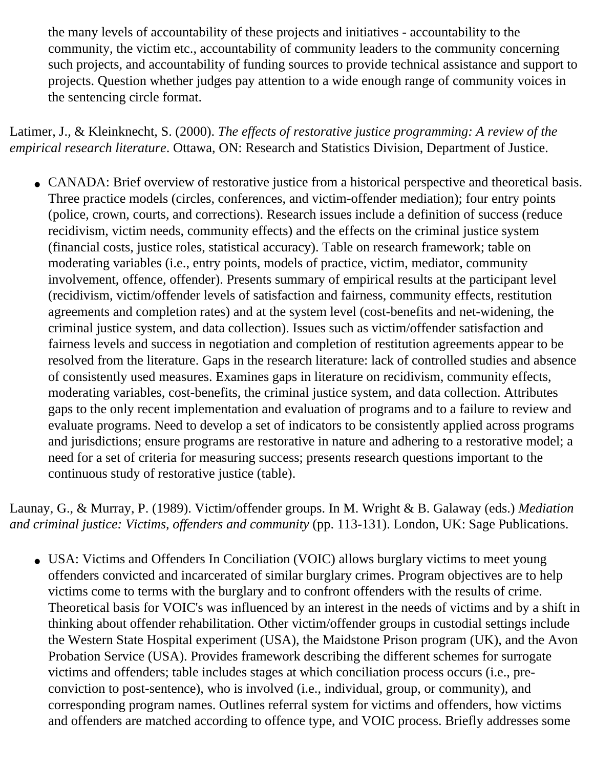the many levels of accountability of these projects and initiatives - accountability to the community, the victim etc., accountability of community leaders to the community concerning such projects, and accountability of funding sources to provide technical assistance and support to projects. Question whether judges pay attention to a wide enough range of community voices in the sentencing circle format.

Latimer, J., & Kleinknecht, S. (2000). *The effects of restorative justice programming: A review of the empirical research literature*. Ottawa, ON: Research and Statistics Division, Department of Justice.

• CANADA: Brief overview of restorative justice from a historical perspective and theoretical basis. Three practice models (circles, conferences, and victim-offender mediation); four entry points (police, crown, courts, and corrections). Research issues include a definition of success (reduce recidivism, victim needs, community effects) and the effects on the criminal justice system (financial costs, justice roles, statistical accuracy). Table on research framework; table on moderating variables (i.e., entry points, models of practice, victim, mediator, community involvement, offence, offender). Presents summary of empirical results at the participant level (recidivism, victim/offender levels of satisfaction and fairness, community effects, restitution agreements and completion rates) and at the system level (cost-benefits and net-widening, the criminal justice system, and data collection). Issues such as victim/offender satisfaction and fairness levels and success in negotiation and completion of restitution agreements appear to be resolved from the literature. Gaps in the research literature: lack of controlled studies and absence of consistently used measures. Examines gaps in literature on recidivism, community effects, moderating variables, cost-benefits, the criminal justice system, and data collection. Attributes gaps to the only recent implementation and evaluation of programs and to a failure to review and evaluate programs. Need to develop a set of indicators to be consistently applied across programs and jurisdictions; ensure programs are restorative in nature and adhering to a restorative model; a need for a set of criteria for measuring success; presents research questions important to the continuous study of restorative justice (table).

Launay, G., & Murray, P. (1989). Victim/offender groups. In M. Wright & B. Galaway (eds.) *Mediation and criminal justice: Victims, offenders and community* (pp. 113-131). London, UK: Sage Publications.

• USA: Victims and Offenders In Conciliation (VOIC) allows burglary victims to meet young offenders convicted and incarcerated of similar burglary crimes. Program objectives are to help victims come to terms with the burglary and to confront offenders with the results of crime. Theoretical basis for VOIC's was influenced by an interest in the needs of victims and by a shift in thinking about offender rehabilitation. Other victim/offender groups in custodial settings include the Western State Hospital experiment (USA), the Maidstone Prison program (UK), and the Avon Probation Service (USA). Provides framework describing the different schemes for surrogate victims and offenders; table includes stages at which conciliation process occurs (i.e., preconviction to post-sentence), who is involved (i.e., individual, group, or community), and corresponding program names. Outlines referral system for victims and offenders, how victims and offenders are matched according to offence type, and VOIC process. Briefly addresses some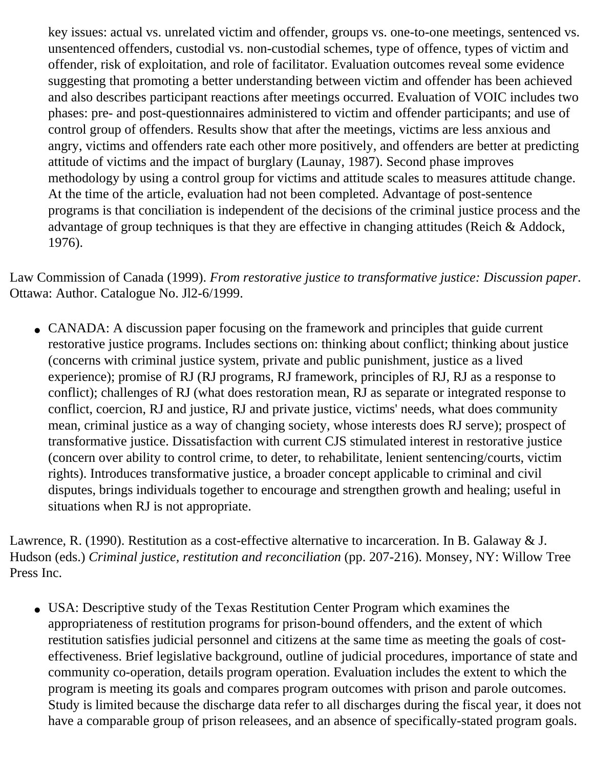key issues: actual vs. unrelated victim and offender, groups vs. one-to-one meetings, sentenced vs. unsentenced offenders, custodial vs. non-custodial schemes, type of offence, types of victim and offender, risk of exploitation, and role of facilitator. Evaluation outcomes reveal some evidence suggesting that promoting a better understanding between victim and offender has been achieved and also describes participant reactions after meetings occurred. Evaluation of VOIC includes two phases: pre- and post-questionnaires administered to victim and offender participants; and use of control group of offenders. Results show that after the meetings, victims are less anxious and angry, victims and offenders rate each other more positively, and offenders are better at predicting attitude of victims and the impact of burglary (Launay, 1987). Second phase improves methodology by using a control group for victims and attitude scales to measures attitude change. At the time of the article, evaluation had not been completed. Advantage of post-sentence programs is that conciliation is independent of the decisions of the criminal justice process and the advantage of group techniques is that they are effective in changing attitudes (Reich & Addock, 1976).

Law Commission of Canada (1999). *From restorative justice to transformative justice: Discussion paper*. Ottawa: Author. Catalogue No. Jl2-6/1999.

• CANADA: A discussion paper focusing on the framework and principles that guide current restorative justice programs. Includes sections on: thinking about conflict; thinking about justice (concerns with criminal justice system, private and public punishment, justice as a lived experience); promise of RJ (RJ programs, RJ framework, principles of RJ, RJ as a response to conflict); challenges of RJ (what does restoration mean, RJ as separate or integrated response to conflict, coercion, RJ and justice, RJ and private justice, victims' needs, what does community mean, criminal justice as a way of changing society, whose interests does RJ serve); prospect of transformative justice. Dissatisfaction with current CJS stimulated interest in restorative justice (concern over ability to control crime, to deter, to rehabilitate, lenient sentencing/courts, victim rights). Introduces transformative justice, a broader concept applicable to criminal and civil disputes, brings individuals together to encourage and strengthen growth and healing; useful in situations when RJ is not appropriate.

Lawrence, R. (1990). Restitution as a cost-effective alternative to incarceration. In B. Galaway & J. Hudson (eds.) *Criminal justice, restitution and reconciliation* (pp. 207-216). Monsey, NY: Willow Tree Press Inc.

• USA: Descriptive study of the Texas Restitution Center Program which examines the appropriateness of restitution programs for prison-bound offenders, and the extent of which restitution satisfies judicial personnel and citizens at the same time as meeting the goals of costeffectiveness. Brief legislative background, outline of judicial procedures, importance of state and community co-operation, details program operation. Evaluation includes the extent to which the program is meeting its goals and compares program outcomes with prison and parole outcomes. Study is limited because the discharge data refer to all discharges during the fiscal year, it does not have a comparable group of prison releasees, and an absence of specifically-stated program goals.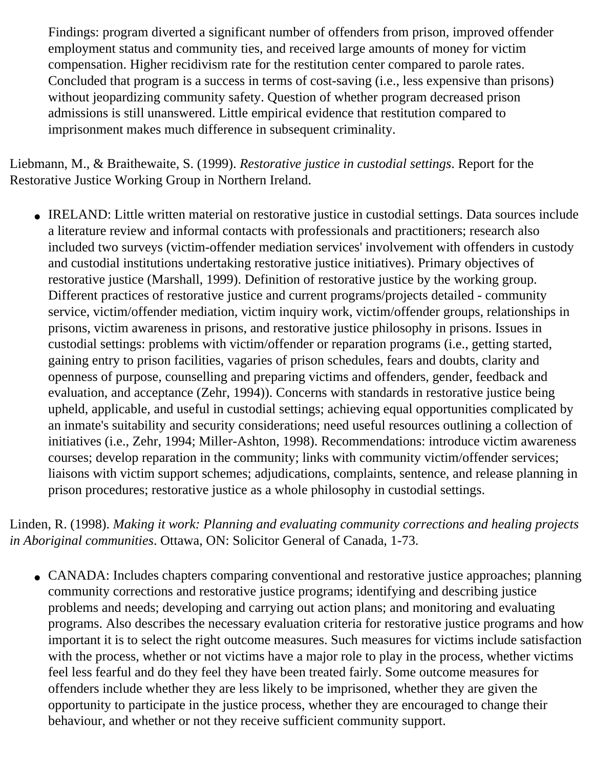Findings: program diverted a significant number of offenders from prison, improved offender employment status and community ties, and received large amounts of money for victim compensation. Higher recidivism rate for the restitution center compared to parole rates. Concluded that program is a success in terms of cost-saving (i.e., less expensive than prisons) without jeopardizing community safety. Question of whether program decreased prison admissions is still unanswered. Little empirical evidence that restitution compared to imprisonment makes much difference in subsequent criminality.

Liebmann, M., & Braithewaite, S. (1999). *Restorative justice in custodial settings*. Report for the Restorative Justice Working Group in Northern Ireland.

• IRELAND: Little written material on restorative justice in custodial settings. Data sources include a literature review and informal contacts with professionals and practitioners; research also included two surveys (victim-offender mediation services' involvement with offenders in custody and custodial institutions undertaking restorative justice initiatives). Primary objectives of restorative justice (Marshall, 1999). Definition of restorative justice by the working group. Different practices of restorative justice and current programs/projects detailed - community service, victim/offender mediation, victim inquiry work, victim/offender groups, relationships in prisons, victim awareness in prisons, and restorative justice philosophy in prisons. Issues in custodial settings: problems with victim/offender or reparation programs (i.e., getting started, gaining entry to prison facilities, vagaries of prison schedules, fears and doubts, clarity and openness of purpose, counselling and preparing victims and offenders, gender, feedback and evaluation, and acceptance (Zehr, 1994)). Concerns with standards in restorative justice being upheld, applicable, and useful in custodial settings; achieving equal opportunities complicated by an inmate's suitability and security considerations; need useful resources outlining a collection of initiatives (i.e., Zehr, 1994; Miller-Ashton, 1998). Recommendations: introduce victim awareness courses; develop reparation in the community; links with community victim/offender services; liaisons with victim support schemes; adjudications, complaints, sentence, and release planning in prison procedures; restorative justice as a whole philosophy in custodial settings.

Linden, R. (1998). *Making it work: Planning and evaluating community corrections and healing projects in Aboriginal communities*. Ottawa, ON: Solicitor General of Canada, 1-73.

• CANADA: Includes chapters comparing conventional and restorative justice approaches; planning community corrections and restorative justice programs; identifying and describing justice problems and needs; developing and carrying out action plans; and monitoring and evaluating programs. Also describes the necessary evaluation criteria for restorative justice programs and how important it is to select the right outcome measures. Such measures for victims include satisfaction with the process, whether or not victims have a major role to play in the process, whether victims feel less fearful and do they feel they have been treated fairly. Some outcome measures for offenders include whether they are less likely to be imprisoned, whether they are given the opportunity to participate in the justice process, whether they are encouraged to change their behaviour, and whether or not they receive sufficient community support.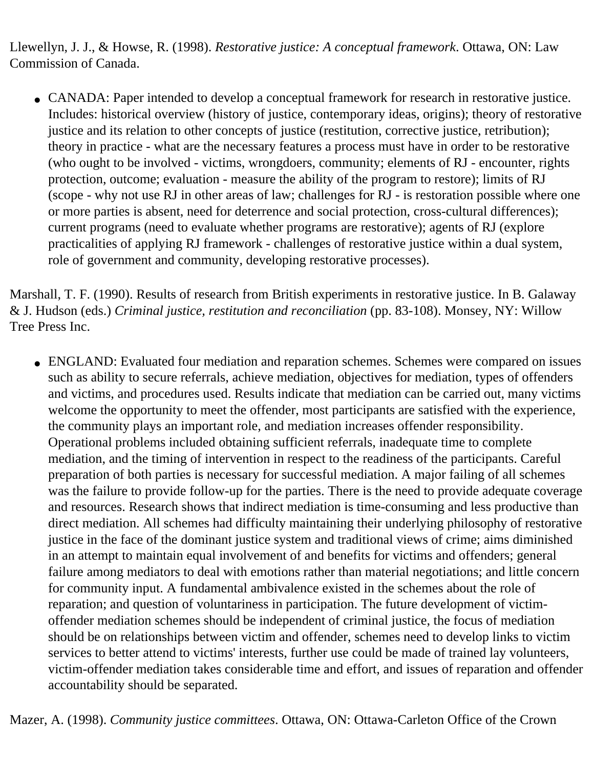Llewellyn, J. J., & Howse, R. (1998). *Restorative justice: A conceptual framework*. Ottawa, ON: Law Commission of Canada.

• CANADA: Paper intended to develop a conceptual framework for research in restorative justice. Includes: historical overview (history of justice, contemporary ideas, origins); theory of restorative justice and its relation to other concepts of justice (restitution, corrective justice, retribution); theory in practice - what are the necessary features a process must have in order to be restorative (who ought to be involved - victims, wrongdoers, community; elements of RJ - encounter, rights protection, outcome; evaluation - measure the ability of the program to restore); limits of RJ (scope - why not use RJ in other areas of law; challenges for RJ - is restoration possible where one or more parties is absent, need for deterrence and social protection, cross-cultural differences); current programs (need to evaluate whether programs are restorative); agents of RJ (explore practicalities of applying RJ framework - challenges of restorative justice within a dual system, role of government and community, developing restorative processes).

Marshall, T. F. (1990). Results of research from British experiments in restorative justice. In B. Galaway & J. Hudson (eds.) *Criminal justice, restitution and reconciliation* (pp. 83-108). Monsey, NY: Willow Tree Press Inc.

• ENGLAND: Evaluated four mediation and reparation schemes. Schemes were compared on issues such as ability to secure referrals, achieve mediation, objectives for mediation, types of offenders and victims, and procedures used. Results indicate that mediation can be carried out, many victims welcome the opportunity to meet the offender, most participants are satisfied with the experience, the community plays an important role, and mediation increases offender responsibility. Operational problems included obtaining sufficient referrals, inadequate time to complete mediation, and the timing of intervention in respect to the readiness of the participants. Careful preparation of both parties is necessary for successful mediation. A major failing of all schemes was the failure to provide follow-up for the parties. There is the need to provide adequate coverage and resources. Research shows that indirect mediation is time-consuming and less productive than direct mediation. All schemes had difficulty maintaining their underlying philosophy of restorative justice in the face of the dominant justice system and traditional views of crime; aims diminished in an attempt to maintain equal involvement of and benefits for victims and offenders; general failure among mediators to deal with emotions rather than material negotiations; and little concern for community input. A fundamental ambivalence existed in the schemes about the role of reparation; and question of voluntariness in participation. The future development of victimoffender mediation schemes should be independent of criminal justice, the focus of mediation should be on relationships between victim and offender, schemes need to develop links to victim services to better attend to victims' interests, further use could be made of trained lay volunteers, victim-offender mediation takes considerable time and effort, and issues of reparation and offender accountability should be separated.

Mazer, A. (1998). *Community justice committees*. Ottawa, ON: Ottawa-Carleton Office of the Crown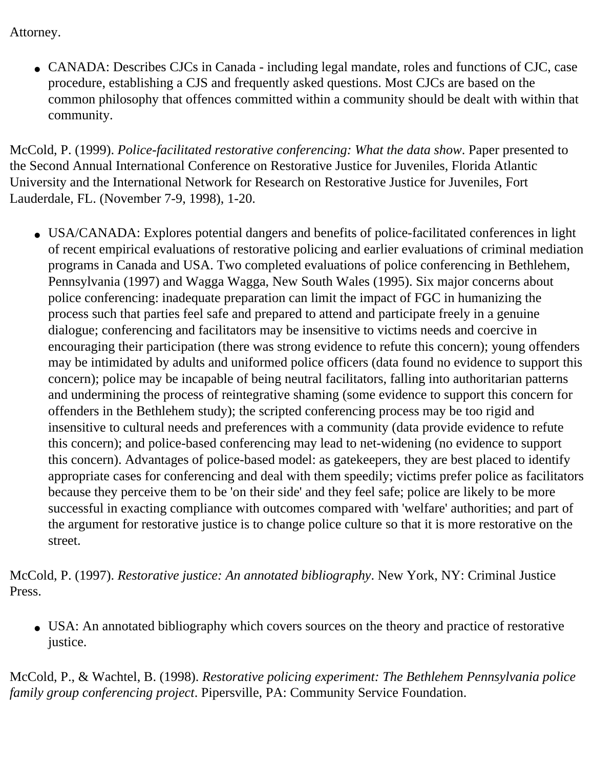Attorney.

• CANADA: Describes CJCs in Canada - including legal mandate, roles and functions of CJC, case procedure, establishing a CJS and frequently asked questions. Most CJCs are based on the common philosophy that offences committed within a community should be dealt with within that community.

McCold, P. (1999). *Police-facilitated restorative conferencing: What the data show*. Paper presented to the Second Annual International Conference on Restorative Justice for Juveniles, Florida Atlantic University and the International Network for Research on Restorative Justice for Juveniles, Fort Lauderdale, FL. (November 7-9, 1998), 1-20.

• USA/CANADA: Explores potential dangers and benefits of police-facilitated conferences in light of recent empirical evaluations of restorative policing and earlier evaluations of criminal mediation programs in Canada and USA. Two completed evaluations of police conferencing in Bethlehem, Pennsylvania (1997) and Wagga Wagga, New South Wales (1995). Six major concerns about police conferencing: inadequate preparation can limit the impact of FGC in humanizing the process such that parties feel safe and prepared to attend and participate freely in a genuine dialogue; conferencing and facilitators may be insensitive to victims needs and coercive in encouraging their participation (there was strong evidence to refute this concern); young offenders may be intimidated by adults and uniformed police officers (data found no evidence to support this concern); police may be incapable of being neutral facilitators, falling into authoritarian patterns and undermining the process of reintegrative shaming (some evidence to support this concern for offenders in the Bethlehem study); the scripted conferencing process may be too rigid and insensitive to cultural needs and preferences with a community (data provide evidence to refute this concern); and police-based conferencing may lead to net-widening (no evidence to support this concern). Advantages of police-based model: as gatekeepers, they are best placed to identify appropriate cases for conferencing and deal with them speedily; victims prefer police as facilitators because they perceive them to be 'on their side' and they feel safe; police are likely to be more successful in exacting compliance with outcomes compared with 'welfare' authorities; and part of the argument for restorative justice is to change police culture so that it is more restorative on the street.

McCold, P. (1997). *Restorative justice: An annotated bibliography*. New York, NY: Criminal Justice Press.

• USA: An annotated bibliography which covers sources on the theory and practice of restorative justice.

McCold, P., & Wachtel, B. (1998). *Restorative policing experiment: The Bethlehem Pennsylvania police family group conferencing project*. Pipersville, PA: Community Service Foundation.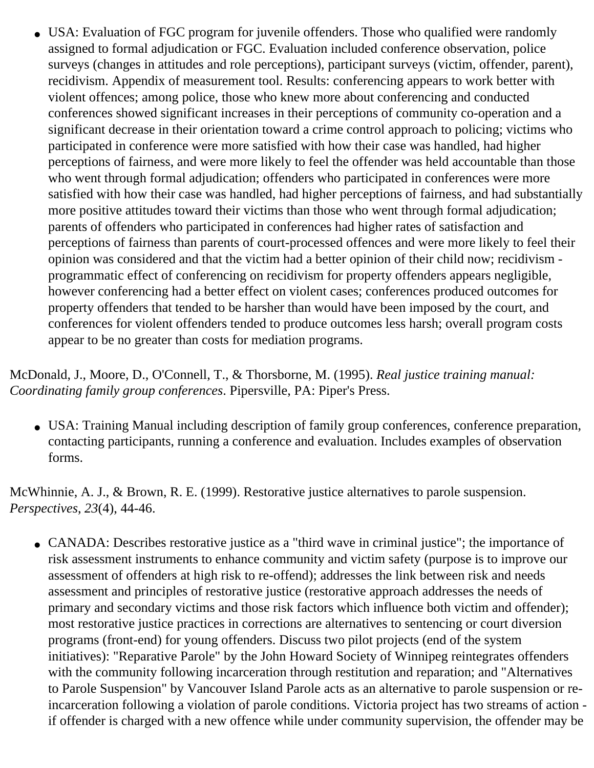• USA: Evaluation of FGC program for juvenile offenders. Those who qualified were randomly assigned to formal adjudication or FGC. Evaluation included conference observation, police surveys (changes in attitudes and role perceptions), participant surveys (victim, offender, parent), recidivism. Appendix of measurement tool. Results: conferencing appears to work better with violent offences; among police, those who knew more about conferencing and conducted conferences showed significant increases in their perceptions of community co-operation and a significant decrease in their orientation toward a crime control approach to policing; victims who participated in conference were more satisfied with how their case was handled, had higher perceptions of fairness, and were more likely to feel the offender was held accountable than those who went through formal adjudication; offenders who participated in conferences were more satisfied with how their case was handled, had higher perceptions of fairness, and had substantially more positive attitudes toward their victims than those who went through formal adjudication; parents of offenders who participated in conferences had higher rates of satisfaction and perceptions of fairness than parents of court-processed offences and were more likely to feel their opinion was considered and that the victim had a better opinion of their child now; recidivism programmatic effect of conferencing on recidivism for property offenders appears negligible, however conferencing had a better effect on violent cases; conferences produced outcomes for property offenders that tended to be harsher than would have been imposed by the court, and conferences for violent offenders tended to produce outcomes less harsh; overall program costs appear to be no greater than costs for mediation programs.

McDonald, J., Moore, D., O'Connell, T., & Thorsborne, M. (1995). *Real justice training manual: Coordinating family group conferences*. Pipersville, PA: Piper's Press.

• USA: Training Manual including description of family group conferences, conference preparation, contacting participants, running a conference and evaluation. Includes examples of observation forms.

McWhinnie, A. J., & Brown, R. E. (1999). Restorative justice alternatives to parole suspension. *Perspectives*, *23*(4), 44-46.

• CANADA: Describes restorative justice as a "third wave in criminal justice"; the importance of risk assessment instruments to enhance community and victim safety (purpose is to improve our assessment of offenders at high risk to re-offend); addresses the link between risk and needs assessment and principles of restorative justice (restorative approach addresses the needs of primary and secondary victims and those risk factors which influence both victim and offender); most restorative justice practices in corrections are alternatives to sentencing or court diversion programs (front-end) for young offenders. Discuss two pilot projects (end of the system initiatives): "Reparative Parole" by the John Howard Society of Winnipeg reintegrates offenders with the community following incarceration through restitution and reparation; and "Alternatives to Parole Suspension" by Vancouver Island Parole acts as an alternative to parole suspension or reincarceration following a violation of parole conditions. Victoria project has two streams of action if offender is charged with a new offence while under community supervision, the offender may be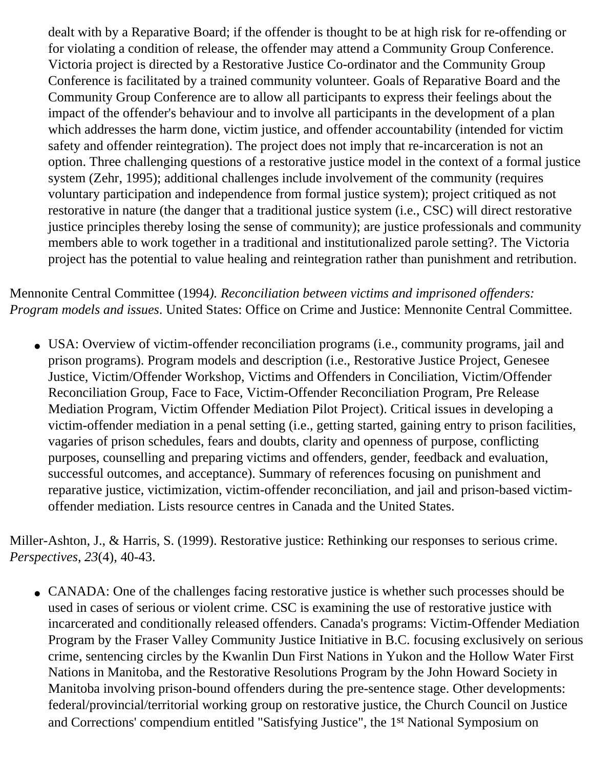dealt with by a Reparative Board; if the offender is thought to be at high risk for re-offending or for violating a condition of release, the offender may attend a Community Group Conference. Victoria project is directed by a Restorative Justice Co-ordinator and the Community Group Conference is facilitated by a trained community volunteer. Goals of Reparative Board and the Community Group Conference are to allow all participants to express their feelings about the impact of the offender's behaviour and to involve all participants in the development of a plan which addresses the harm done, victim justice, and offender accountability (intended for victim safety and offender reintegration). The project does not imply that re-incarceration is not an option. Three challenging questions of a restorative justice model in the context of a formal justice system (Zehr, 1995); additional challenges include involvement of the community (requires voluntary participation and independence from formal justice system); project critiqued as not restorative in nature (the danger that a traditional justice system (i.e., CSC) will direct restorative justice principles thereby losing the sense of community); are justice professionals and community members able to work together in a traditional and institutionalized parole setting?. The Victoria project has the potential to value healing and reintegration rather than punishment and retribution.

Mennonite Central Committee (1994*). Reconciliation between victims and imprisoned offenders: Program models and issues*. United States: Office on Crime and Justice: Mennonite Central Committee.

• USA: Overview of victim-offender reconciliation programs (i.e., community programs, jail and prison programs). Program models and description (i.e., Restorative Justice Project, Genesee Justice, Victim/Offender Workshop, Victims and Offenders in Conciliation, Victim/Offender Reconciliation Group, Face to Face, Victim-Offender Reconciliation Program, Pre Release Mediation Program, Victim Offender Mediation Pilot Project). Critical issues in developing a victim-offender mediation in a penal setting (i.e., getting started, gaining entry to prison facilities, vagaries of prison schedules, fears and doubts, clarity and openness of purpose, conflicting purposes, counselling and preparing victims and offenders, gender, feedback and evaluation, successful outcomes, and acceptance). Summary of references focusing on punishment and reparative justice, victimization, victim-offender reconciliation, and jail and prison-based victimoffender mediation. Lists resource centres in Canada and the United States.

Miller-Ashton, J., & Harris, S. (1999). Restorative justice: Rethinking our responses to serious crime. *Perspectives*, *23*(4), 40-43.

• CANADA: One of the challenges facing restorative justice is whether such processes should be used in cases of serious or violent crime. CSC is examining the use of restorative justice with incarcerated and conditionally released offenders. Canada's programs: Victim-Offender Mediation Program by the Fraser Valley Community Justice Initiative in B.C. focusing exclusively on serious crime, sentencing circles by the Kwanlin Dun First Nations in Yukon and the Hollow Water First Nations in Manitoba, and the Restorative Resolutions Program by the John Howard Society in Manitoba involving prison-bound offenders during the pre-sentence stage. Other developments: federal/provincial/territorial working group on restorative justice, the Church Council on Justice and Corrections' compendium entitled "Satisfying Justice", the 1st National Symposium on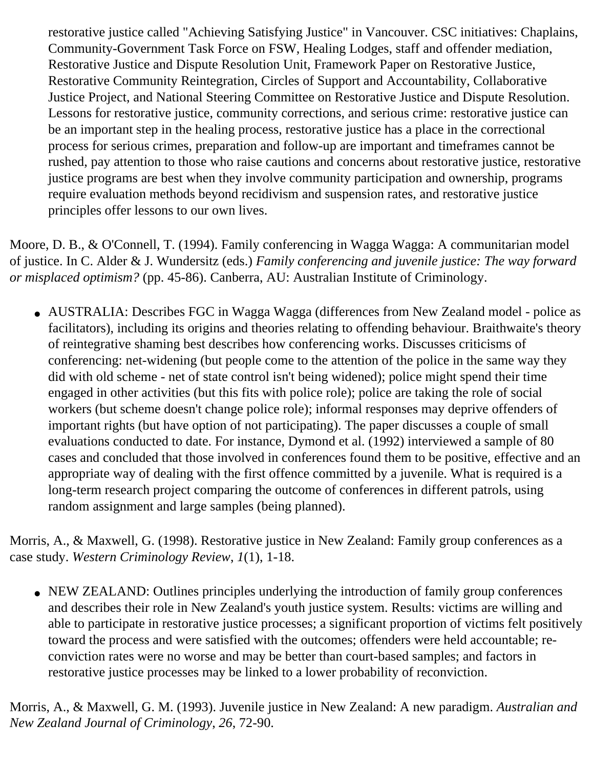restorative justice called "Achieving Satisfying Justice" in Vancouver. CSC initiatives: Chaplains, Community-Government Task Force on FSW, Healing Lodges, staff and offender mediation, Restorative Justice and Dispute Resolution Unit, Framework Paper on Restorative Justice, Restorative Community Reintegration, Circles of Support and Accountability, Collaborative Justice Project, and National Steering Committee on Restorative Justice and Dispute Resolution. Lessons for restorative justice, community corrections, and serious crime: restorative justice can be an important step in the healing process, restorative justice has a place in the correctional process for serious crimes, preparation and follow-up are important and timeframes cannot be rushed, pay attention to those who raise cautions and concerns about restorative justice, restorative justice programs are best when they involve community participation and ownership, programs require evaluation methods beyond recidivism and suspension rates, and restorative justice principles offer lessons to our own lives.

Moore, D. B., & O'Connell, T. (1994). Family conferencing in Wagga Wagga: A communitarian model of justice. In C. Alder & J. Wundersitz (eds.) *Family conferencing and juvenile justice: The way forward or misplaced optimism?* (pp. 45-86). Canberra, AU: Australian Institute of Criminology.

• AUSTRALIA: Describes FGC in Wagga Wagga (differences from New Zealand model - police as facilitators), including its origins and theories relating to offending behaviour. Braithwaite's theory of reintegrative shaming best describes how conferencing works. Discusses criticisms of conferencing: net-widening (but people come to the attention of the police in the same way they did with old scheme - net of state control isn't being widened); police might spend their time engaged in other activities (but this fits with police role); police are taking the role of social workers (but scheme doesn't change police role); informal responses may deprive offenders of important rights (but have option of not participating). The paper discusses a couple of small evaluations conducted to date. For instance, Dymond et al. (1992) interviewed a sample of 80 cases and concluded that those involved in conferences found them to be positive, effective and an appropriate way of dealing with the first offence committed by a juvenile. What is required is a long-term research project comparing the outcome of conferences in different patrols, using random assignment and large samples (being planned).

Morris, A., & Maxwell, G. (1998). Restorative justice in New Zealand: Family group conferences as a case study. *Western Criminology Review*, *1*(1), 1-18.

• NEW ZEALAND: Outlines principles underlying the introduction of family group conferences and describes their role in New Zealand's youth justice system. Results: victims are willing and able to participate in restorative justice processes; a significant proportion of victims felt positively toward the process and were satisfied with the outcomes; offenders were held accountable; reconviction rates were no worse and may be better than court-based samples; and factors in restorative justice processes may be linked to a lower probability of reconviction.

Morris, A., & Maxwell, G. M. (1993). Juvenile justice in New Zealand: A new paradigm. *Australian and New Zealand Journal of Criminology*, *26*, 72-90.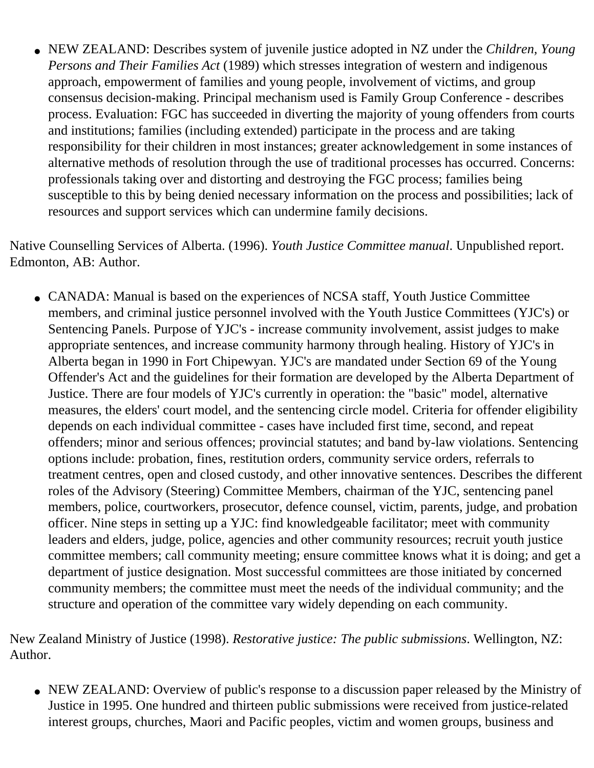• NEW ZEALAND: Describes system of juvenile justice adopted in NZ under the *Children, Young Persons and Their Families Act* (1989) which stresses integration of western and indigenous approach, empowerment of families and young people, involvement of victims, and group consensus decision-making. Principal mechanism used is Family Group Conference - describes process. Evaluation: FGC has succeeded in diverting the majority of young offenders from courts and institutions; families (including extended) participate in the process and are taking responsibility for their children in most instances; greater acknowledgement in some instances of alternative methods of resolution through the use of traditional processes has occurred. Concerns: professionals taking over and distorting and destroying the FGC process; families being susceptible to this by being denied necessary information on the process and possibilities; lack of resources and support services which can undermine family decisions.

Native Counselling Services of Alberta. (1996). *Youth Justice Committee manual*. Unpublished report. Edmonton, AB: Author.

• CANADA: Manual is based on the experiences of NCSA staff, Youth Justice Committee members, and criminal justice personnel involved with the Youth Justice Committees (YJC's) or Sentencing Panels. Purpose of YJC's - increase community involvement, assist judges to make appropriate sentences, and increase community harmony through healing. History of YJC's in Alberta began in 1990 in Fort Chipewyan. YJC's are mandated under Section 69 of the Young Offender's Act and the guidelines for their formation are developed by the Alberta Department of Justice. There are four models of YJC's currently in operation: the "basic" model, alternative measures, the elders' court model, and the sentencing circle model. Criteria for offender eligibility depends on each individual committee - cases have included first time, second, and repeat offenders; minor and serious offences; provincial statutes; and band by-law violations. Sentencing options include: probation, fines, restitution orders, community service orders, referrals to treatment centres, open and closed custody, and other innovative sentences. Describes the different roles of the Advisory (Steering) Committee Members, chairman of the YJC, sentencing panel members, police, courtworkers, prosecutor, defence counsel, victim, parents, judge, and probation officer. Nine steps in setting up a YJC: find knowledgeable facilitator; meet with community leaders and elders, judge, police, agencies and other community resources; recruit youth justice committee members; call community meeting; ensure committee knows what it is doing; and get a department of justice designation. Most successful committees are those initiated by concerned community members; the committee must meet the needs of the individual community; and the structure and operation of the committee vary widely depending on each community.

New Zealand Ministry of Justice (1998). *Restorative justice: The public submissions*. Wellington, NZ: Author.

• NEW ZEALAND: Overview of public's response to a discussion paper released by the Ministry of Justice in 1995. One hundred and thirteen public submissions were received from justice-related interest groups, churches, Maori and Pacific peoples, victim and women groups, business and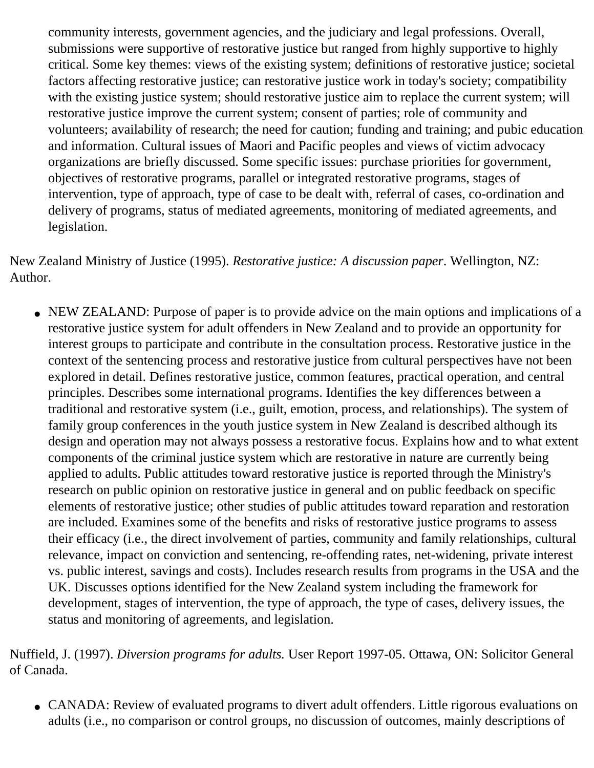community interests, government agencies, and the judiciary and legal professions. Overall, submissions were supportive of restorative justice but ranged from highly supportive to highly critical. Some key themes: views of the existing system; definitions of restorative justice; societal factors affecting restorative justice; can restorative justice work in today's society; compatibility with the existing justice system; should restorative justice aim to replace the current system; will restorative justice improve the current system; consent of parties; role of community and volunteers; availability of research; the need for caution; funding and training; and pubic education and information. Cultural issues of Maori and Pacific peoples and views of victim advocacy organizations are briefly discussed. Some specific issues: purchase priorities for government, objectives of restorative programs, parallel or integrated restorative programs, stages of intervention, type of approach, type of case to be dealt with, referral of cases, co-ordination and delivery of programs, status of mediated agreements, monitoring of mediated agreements, and legislation.

New Zealand Ministry of Justice (1995). *Restorative justice: A discussion paper*. Wellington, NZ: Author.

• NEW ZEALAND: Purpose of paper is to provide advice on the main options and implications of a restorative justice system for adult offenders in New Zealand and to provide an opportunity for interest groups to participate and contribute in the consultation process. Restorative justice in the context of the sentencing process and restorative justice from cultural perspectives have not been explored in detail. Defines restorative justice, common features, practical operation, and central principles. Describes some international programs. Identifies the key differences between a traditional and restorative system (i.e., guilt, emotion, process, and relationships). The system of family group conferences in the youth justice system in New Zealand is described although its design and operation may not always possess a restorative focus. Explains how and to what extent components of the criminal justice system which are restorative in nature are currently being applied to adults. Public attitudes toward restorative justice is reported through the Ministry's research on public opinion on restorative justice in general and on public feedback on specific elements of restorative justice; other studies of public attitudes toward reparation and restoration are included. Examines some of the benefits and risks of restorative justice programs to assess their efficacy (i.e., the direct involvement of parties, community and family relationships, cultural relevance, impact on conviction and sentencing, re-offending rates, net-widening, private interest vs. public interest, savings and costs). Includes research results from programs in the USA and the UK. Discusses options identified for the New Zealand system including the framework for development, stages of intervention, the type of approach, the type of cases, delivery issues, the status and monitoring of agreements, and legislation.

Nuffield, J. (1997). *Diversion programs for adults.* User Report 1997-05. Ottawa, ON: Solicitor General of Canada.

• CANADA: Review of evaluated programs to divert adult offenders. Little rigorous evaluations on adults (i.e., no comparison or control groups, no discussion of outcomes, mainly descriptions of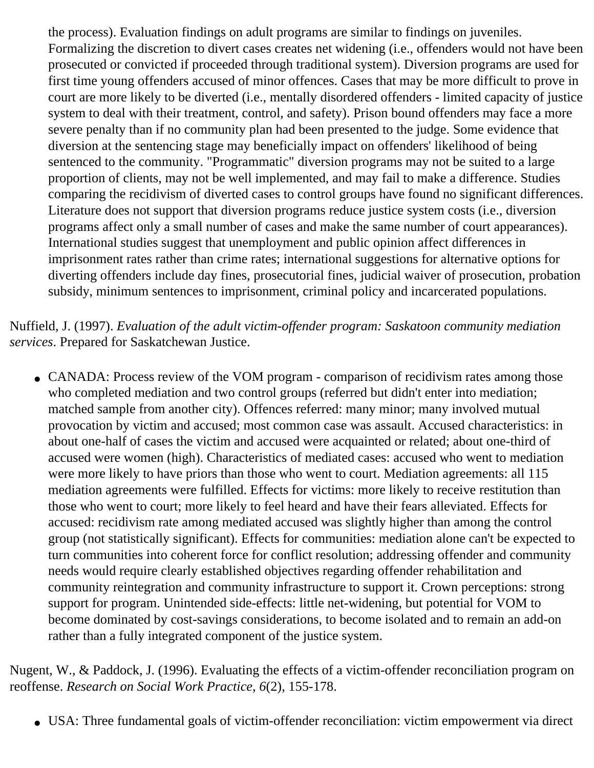the process). Evaluation findings on adult programs are similar to findings on juveniles. Formalizing the discretion to divert cases creates net widening (i.e., offenders would not have been prosecuted or convicted if proceeded through traditional system). Diversion programs are used for first time young offenders accused of minor offences. Cases that may be more difficult to prove in court are more likely to be diverted (i.e., mentally disordered offenders - limited capacity of justice system to deal with their treatment, control, and safety). Prison bound offenders may face a more severe penalty than if no community plan had been presented to the judge. Some evidence that diversion at the sentencing stage may beneficially impact on offenders' likelihood of being sentenced to the community. "Programmatic" diversion programs may not be suited to a large proportion of clients, may not be well implemented, and may fail to make a difference. Studies comparing the recidivism of diverted cases to control groups have found no significant differences. Literature does not support that diversion programs reduce justice system costs (i.e., diversion programs affect only a small number of cases and make the same number of court appearances). International studies suggest that unemployment and public opinion affect differences in imprisonment rates rather than crime rates; international suggestions for alternative options for diverting offenders include day fines, prosecutorial fines, judicial waiver of prosecution, probation subsidy, minimum sentences to imprisonment, criminal policy and incarcerated populations.

Nuffield, J. (1997). *Evaluation of the adult victim-offender program: Saskatoon community mediation services*. Prepared for Saskatchewan Justice.

• CANADA: Process review of the VOM program - comparison of recidivism rates among those who completed mediation and two control groups (referred but didn't enter into mediation; matched sample from another city). Offences referred: many minor; many involved mutual provocation by victim and accused; most common case was assault. Accused characteristics: in about one-half of cases the victim and accused were acquainted or related; about one-third of accused were women (high). Characteristics of mediated cases: accused who went to mediation were more likely to have priors than those who went to court. Mediation agreements: all 115 mediation agreements were fulfilled. Effects for victims: more likely to receive restitution than those who went to court; more likely to feel heard and have their fears alleviated. Effects for accused: recidivism rate among mediated accused was slightly higher than among the control group (not statistically significant). Effects for communities: mediation alone can't be expected to turn communities into coherent force for conflict resolution; addressing offender and community needs would require clearly established objectives regarding offender rehabilitation and community reintegration and community infrastructure to support it. Crown perceptions: strong support for program. Unintended side-effects: little net-widening, but potential for VOM to become dominated by cost-savings considerations, to become isolated and to remain an add-on rather than a fully integrated component of the justice system.

Nugent, W., & Paddock, J. (1996). Evaluating the effects of a victim-offender reconciliation program on reoffense. *Research on Social Work Practice*, *6*(2), 155-178.

• USA: Three fundamental goals of victim-offender reconciliation: victim empowerment via direct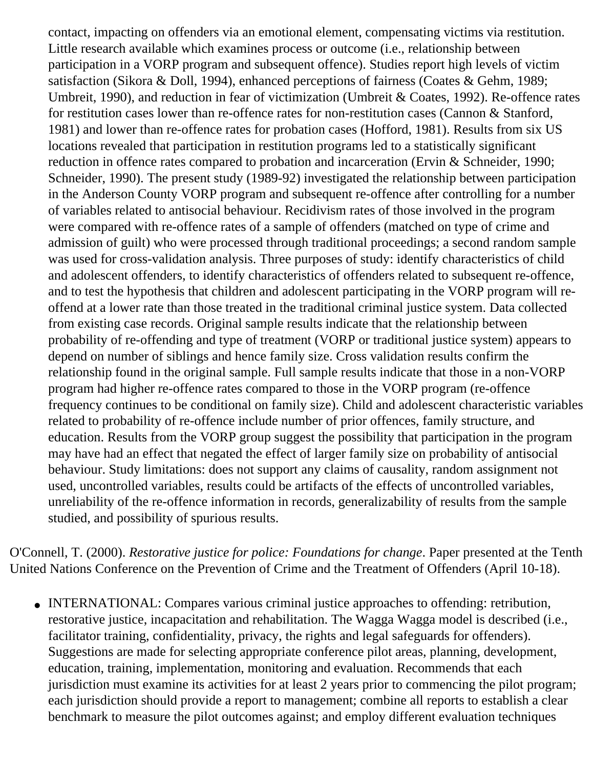contact, impacting on offenders via an emotional element, compensating victims via restitution. Little research available which examines process or outcome (i.e., relationship between participation in a VORP program and subsequent offence). Studies report high levels of victim satisfaction (Sikora & Doll, 1994), enhanced perceptions of fairness (Coates & Gehm, 1989; Umbreit, 1990), and reduction in fear of victimization (Umbreit & Coates, 1992). Re-offence rates for restitution cases lower than re-offence rates for non-restitution cases (Cannon & Stanford, 1981) and lower than re-offence rates for probation cases (Hofford, 1981). Results from six US locations revealed that participation in restitution programs led to a statistically significant reduction in offence rates compared to probation and incarceration (Ervin & Schneider, 1990; Schneider, 1990). The present study (1989-92) investigated the relationship between participation in the Anderson County VORP program and subsequent re-offence after controlling for a number of variables related to antisocial behaviour. Recidivism rates of those involved in the program were compared with re-offence rates of a sample of offenders (matched on type of crime and admission of guilt) who were processed through traditional proceedings; a second random sample was used for cross-validation analysis. Three purposes of study: identify characteristics of child and adolescent offenders, to identify characteristics of offenders related to subsequent re-offence, and to test the hypothesis that children and adolescent participating in the VORP program will reoffend at a lower rate than those treated in the traditional criminal justice system. Data collected from existing case records. Original sample results indicate that the relationship between probability of re-offending and type of treatment (VORP or traditional justice system) appears to depend on number of siblings and hence family size. Cross validation results confirm the relationship found in the original sample. Full sample results indicate that those in a non-VORP program had higher re-offence rates compared to those in the VORP program (re-offence frequency continues to be conditional on family size). Child and adolescent characteristic variables related to probability of re-offence include number of prior offences, family structure, and education. Results from the VORP group suggest the possibility that participation in the program may have had an effect that negated the effect of larger family size on probability of antisocial behaviour. Study limitations: does not support any claims of causality, random assignment not used, uncontrolled variables, results could be artifacts of the effects of uncontrolled variables, unreliability of the re-offence information in records, generalizability of results from the sample studied, and possibility of spurious results.

O'Connell, T. (2000). *Restorative justice for police: Foundations for change*. Paper presented at the Tenth United Nations Conference on the Prevention of Crime and the Treatment of Offenders (April 10-18).

• INTERNATIONAL: Compares various criminal justice approaches to offending: retribution, restorative justice, incapacitation and rehabilitation. The Wagga Wagga model is described (i.e., facilitator training, confidentiality, privacy, the rights and legal safeguards for offenders). Suggestions are made for selecting appropriate conference pilot areas, planning, development, education, training, implementation, monitoring and evaluation. Recommends that each jurisdiction must examine its activities for at least 2 years prior to commencing the pilot program; each jurisdiction should provide a report to management; combine all reports to establish a clear benchmark to measure the pilot outcomes against; and employ different evaluation techniques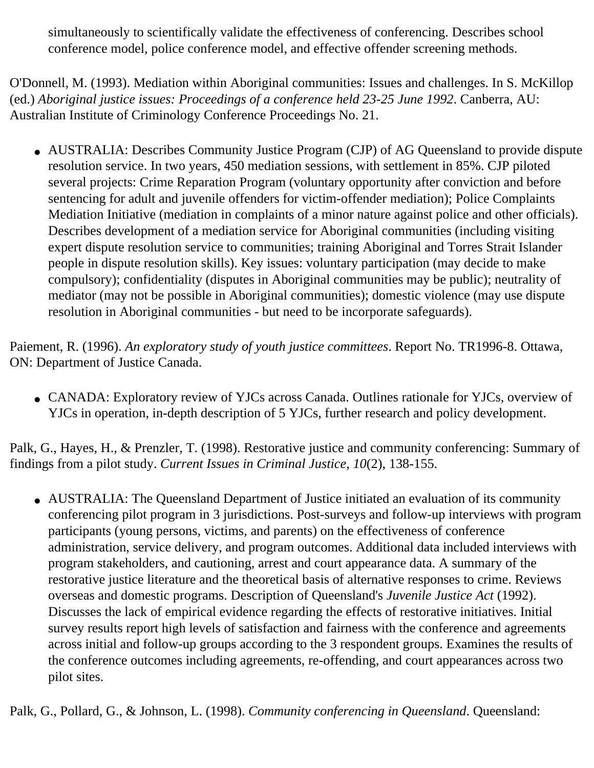simultaneously to scientifically validate the effectiveness of conferencing. Describes school conference model, police conference model, and effective offender screening methods.

O'Donnell, M. (1993). Mediation within Aboriginal communities: Issues and challenges. In S. McKillop (ed.) *Aboriginal justice issues: Proceedings of a conference held 23-25 June 1992*. Canberra, AU: Australian Institute of Criminology Conference Proceedings No. 21.

• AUSTRALIA: Describes Community Justice Program (CJP) of AG Queensland to provide dispute resolution service. In two years, 450 mediation sessions, with settlement in 85%. CJP piloted several projects: Crime Reparation Program (voluntary opportunity after conviction and before sentencing for adult and juvenile offenders for victim-offender mediation); Police Complaints Mediation Initiative (mediation in complaints of a minor nature against police and other officials). Describes development of a mediation service for Aboriginal communities (including visiting expert dispute resolution service to communities; training Aboriginal and Torres Strait Islander people in dispute resolution skills). Key issues: voluntary participation (may decide to make compulsory); confidentiality (disputes in Aboriginal communities may be public); neutrality of mediator (may not be possible in Aboriginal communities); domestic violence (may use dispute resolution in Aboriginal communities - but need to be incorporate safeguards).

Paiement, R. (1996). *An exploratory study of youth justice committees*. Report No. TR1996-8. Ottawa, ON: Department of Justice Canada.

• CANADA: Exploratory review of YJCs across Canada. Outlines rationale for YJCs, overview of YJCs in operation, in-depth description of 5 YJCs, further research and policy development.

Palk, G., Hayes, H., & Prenzler, T. (1998). Restorative justice and community conferencing: Summary of findings from a pilot study. *Current Issues in Criminal Justice*, *10*(2), 138-155.

• AUSTRALIA: The Queensland Department of Justice initiated an evaluation of its community conferencing pilot program in 3 jurisdictions. Post-surveys and follow-up interviews with program participants (young persons, victims, and parents) on the effectiveness of conference administration, service delivery, and program outcomes. Additional data included interviews with program stakeholders, and cautioning, arrest and court appearance data. A summary of the restorative justice literature and the theoretical basis of alternative responses to crime. Reviews overseas and domestic programs. Description of Queensland's *Juvenile Justice Act* (1992). Discusses the lack of empirical evidence regarding the effects of restorative initiatives. Initial survey results report high levels of satisfaction and fairness with the conference and agreements across initial and follow-up groups according to the 3 respondent groups. Examines the results of the conference outcomes including agreements, re-offending, and court appearances across two pilot sites.

Palk, G., Pollard, G., & Johnson, L. (1998). *Community conferencing in Queensland*. Queensland: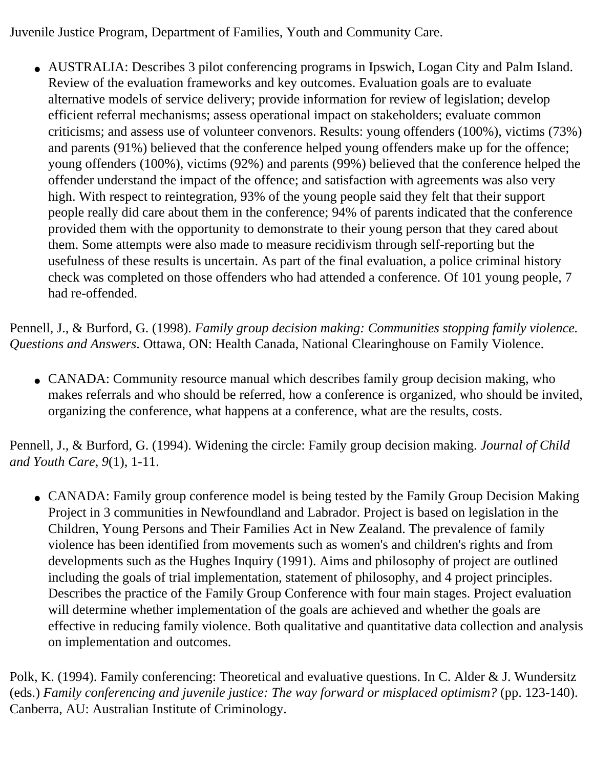Juvenile Justice Program, Department of Families, Youth and Community Care.

• AUSTRALIA: Describes 3 pilot conferencing programs in Ipswich, Logan City and Palm Island. Review of the evaluation frameworks and key outcomes. Evaluation goals are to evaluate alternative models of service delivery; provide information for review of legislation; develop efficient referral mechanisms; assess operational impact on stakeholders; evaluate common criticisms; and assess use of volunteer convenors. Results: young offenders (100%), victims (73%) and parents (91%) believed that the conference helped young offenders make up for the offence; young offenders (100%), victims (92%) and parents (99%) believed that the conference helped the offender understand the impact of the offence; and satisfaction with agreements was also very high. With respect to reintegration, 93% of the young people said they felt that their support people really did care about them in the conference; 94% of parents indicated that the conference provided them with the opportunity to demonstrate to their young person that they cared about them. Some attempts were also made to measure recidivism through self-reporting but the usefulness of these results is uncertain. As part of the final evaluation, a police criminal history check was completed on those offenders who had attended a conference. Of 101 young people, 7 had re-offended.

Pennell, J., & Burford, G. (1998). *Family group decision making: Communities stopping family violence. Questions and Answers*. Ottawa, ON: Health Canada, National Clearinghouse on Family Violence.

• CANADA: Community resource manual which describes family group decision making, who makes referrals and who should be referred, how a conference is organized, who should be invited, organizing the conference, what happens at a conference, what are the results, costs.

Pennell, J., & Burford, G. (1994). Widening the circle: Family group decision making. *Journal of Child and Youth Care*, *9*(1), 1-11.

• CANADA: Family group conference model is being tested by the Family Group Decision Making Project in 3 communities in Newfoundland and Labrador. Project is based on legislation in the Children, Young Persons and Their Families Act in New Zealand. The prevalence of family violence has been identified from movements such as women's and children's rights and from developments such as the Hughes Inquiry (1991). Aims and philosophy of project are outlined including the goals of trial implementation, statement of philosophy, and 4 project principles. Describes the practice of the Family Group Conference with four main stages. Project evaluation will determine whether implementation of the goals are achieved and whether the goals are effective in reducing family violence. Both qualitative and quantitative data collection and analysis on implementation and outcomes.

Polk, K. (1994). Family conferencing: Theoretical and evaluative questions. In C. Alder & J. Wundersitz (eds.) *Family conferencing and juvenile justice: The way forward or misplaced optimism?* (pp. 123-140). Canberra, AU: Australian Institute of Criminology.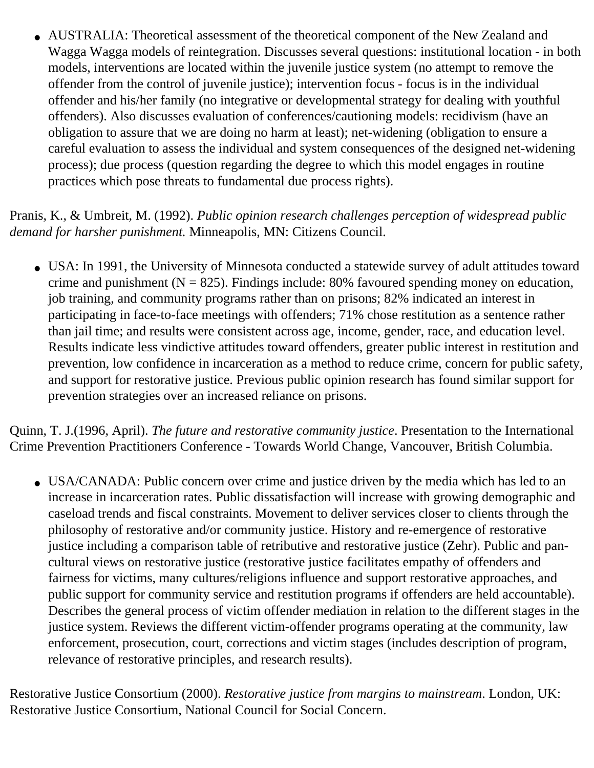• AUSTRALIA: Theoretical assessment of the theoretical component of the New Zealand and Wagga Wagga models of reintegration. Discusses several questions: institutional location - in both models, interventions are located within the juvenile justice system (no attempt to remove the offender from the control of juvenile justice); intervention focus - focus is in the individual offender and his/her family (no integrative or developmental strategy for dealing with youthful offenders). Also discusses evaluation of conferences/cautioning models: recidivism (have an obligation to assure that we are doing no harm at least); net-widening (obligation to ensure a careful evaluation to assess the individual and system consequences of the designed net-widening process); due process (question regarding the degree to which this model engages in routine practices which pose threats to fundamental due process rights).

Pranis, K., & Umbreit, M. (1992). *Public opinion research challenges perception of widespread public demand for harsher punishment.* Minneapolis, MN: Citizens Council.

• USA: In 1991, the University of Minnesota conducted a statewide survey of adult attitudes toward crime and punishment ( $N = 825$ ). Findings include: 80% favoured spending money on education, job training, and community programs rather than on prisons; 82% indicated an interest in participating in face-to-face meetings with offenders; 71% chose restitution as a sentence rather than jail time; and results were consistent across age, income, gender, race, and education level. Results indicate less vindictive attitudes toward offenders, greater public interest in restitution and prevention, low confidence in incarceration as a method to reduce crime, concern for public safety, and support for restorative justice. Previous public opinion research has found similar support for prevention strategies over an increased reliance on prisons.

Quinn, T. J.(1996, April). *The future and restorative community justice*. Presentation to the International Crime Prevention Practitioners Conference - Towards World Change, Vancouver, British Columbia.

• USA/CANADA: Public concern over crime and justice driven by the media which has led to an increase in incarceration rates. Public dissatisfaction will increase with growing demographic and caseload trends and fiscal constraints. Movement to deliver services closer to clients through the philosophy of restorative and/or community justice. History and re-emergence of restorative justice including a comparison table of retributive and restorative justice (Zehr). Public and pancultural views on restorative justice (restorative justice facilitates empathy of offenders and fairness for victims, many cultures/religions influence and support restorative approaches, and public support for community service and restitution programs if offenders are held accountable). Describes the general process of victim offender mediation in relation to the different stages in the justice system. Reviews the different victim-offender programs operating at the community, law enforcement, prosecution, court, corrections and victim stages (includes description of program, relevance of restorative principles, and research results).

Restorative Justice Consortium (2000). *Restorative justice from margins to mainstream*. London, UK: Restorative Justice Consortium, National Council for Social Concern.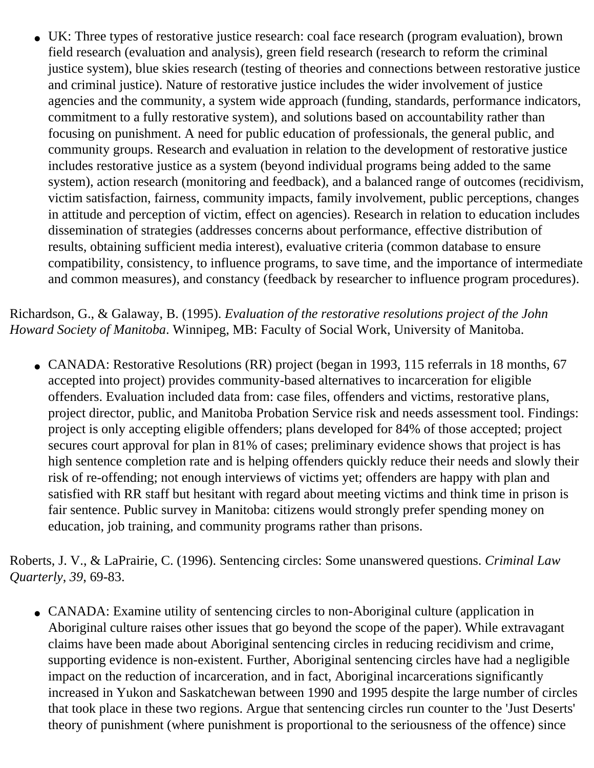• UK: Three types of restorative justice research: coal face research (program evaluation), brown field research (evaluation and analysis), green field research (research to reform the criminal justice system), blue skies research (testing of theories and connections between restorative justice and criminal justice). Nature of restorative justice includes the wider involvement of justice agencies and the community, a system wide approach (funding, standards, performance indicators, commitment to a fully restorative system), and solutions based on accountability rather than focusing on punishment. A need for public education of professionals, the general public, and community groups. Research and evaluation in relation to the development of restorative justice includes restorative justice as a system (beyond individual programs being added to the same system), action research (monitoring and feedback), and a balanced range of outcomes (recidivism, victim satisfaction, fairness, community impacts, family involvement, public perceptions, changes in attitude and perception of victim, effect on agencies). Research in relation to education includes dissemination of strategies (addresses concerns about performance, effective distribution of results, obtaining sufficient media interest), evaluative criteria (common database to ensure compatibility, consistency, to influence programs, to save time, and the importance of intermediate and common measures), and constancy (feedback by researcher to influence program procedures).

Richardson, G., & Galaway, B. (1995). *Evaluation of the restorative resolutions project of the John Howard Society of Manitoba*. Winnipeg, MB: Faculty of Social Work, University of Manitoba.

• CANADA: Restorative Resolutions (RR) project (began in 1993, 115 referrals in 18 months, 67 accepted into project) provides community-based alternatives to incarceration for eligible offenders. Evaluation included data from: case files, offenders and victims, restorative plans, project director, public, and Manitoba Probation Service risk and needs assessment tool. Findings: project is only accepting eligible offenders; plans developed for 84% of those accepted; project secures court approval for plan in 81% of cases; preliminary evidence shows that project is has high sentence completion rate and is helping offenders quickly reduce their needs and slowly their risk of re-offending; not enough interviews of victims yet; offenders are happy with plan and satisfied with RR staff but hesitant with regard about meeting victims and think time in prison is fair sentence. Public survey in Manitoba: citizens would strongly prefer spending money on education, job training, and community programs rather than prisons.

Roberts, J. V., & LaPrairie, C. (1996). Sentencing circles: Some unanswered questions. *Criminal Law Quarterly*, *39*, 69-83.

• CANADA: Examine utility of sentencing circles to non-Aboriginal culture (application in Aboriginal culture raises other issues that go beyond the scope of the paper). While extravagant claims have been made about Aboriginal sentencing circles in reducing recidivism and crime, supporting evidence is non-existent. Further, Aboriginal sentencing circles have had a negligible impact on the reduction of incarceration, and in fact, Aboriginal incarcerations significantly increased in Yukon and Saskatchewan between 1990 and 1995 despite the large number of circles that took place in these two regions. Argue that sentencing circles run counter to the 'Just Deserts' theory of punishment (where punishment is proportional to the seriousness of the offence) since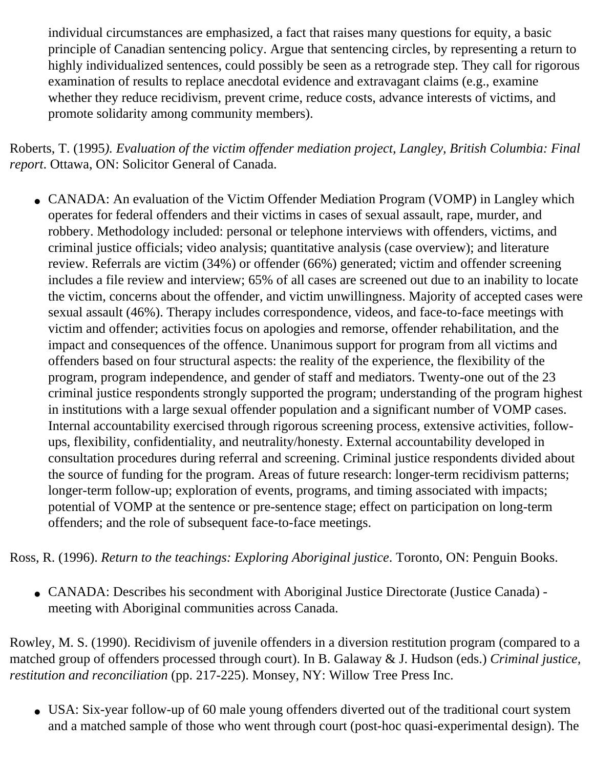individual circumstances are emphasized, a fact that raises many questions for equity, a basic principle of Canadian sentencing policy. Argue that sentencing circles, by representing a return to highly individualized sentences, could possibly be seen as a retrograde step. They call for rigorous examination of results to replace anecdotal evidence and extravagant claims (e.g., examine whether they reduce recidivism, prevent crime, reduce costs, advance interests of victims, and promote solidarity among community members).

Roberts, T. (1995*). Evaluation of the victim offender mediation project, Langley, British Columbia: Final report*. Ottawa, ON: Solicitor General of Canada.

• CANADA: An evaluation of the Victim Offender Mediation Program (VOMP) in Langley which operates for federal offenders and their victims in cases of sexual assault, rape, murder, and robbery. Methodology included: personal or telephone interviews with offenders, victims, and criminal justice officials; video analysis; quantitative analysis (case overview); and literature review. Referrals are victim (34%) or offender (66%) generated; victim and offender screening includes a file review and interview; 65% of all cases are screened out due to an inability to locate the victim, concerns about the offender, and victim unwillingness. Majority of accepted cases were sexual assault (46%). Therapy includes correspondence, videos, and face-to-face meetings with victim and offender; activities focus on apologies and remorse, offender rehabilitation, and the impact and consequences of the offence. Unanimous support for program from all victims and offenders based on four structural aspects: the reality of the experience, the flexibility of the program, program independence, and gender of staff and mediators. Twenty-one out of the 23 criminal justice respondents strongly supported the program; understanding of the program highest in institutions with a large sexual offender population and a significant number of VOMP cases. Internal accountability exercised through rigorous screening process, extensive activities, followups, flexibility, confidentiality, and neutrality/honesty. External accountability developed in consultation procedures during referral and screening. Criminal justice respondents divided about the source of funding for the program. Areas of future research: longer-term recidivism patterns; longer-term follow-up; exploration of events, programs, and timing associated with impacts; potential of VOMP at the sentence or pre-sentence stage; effect on participation on long-term offenders; and the role of subsequent face-to-face meetings.

Ross, R. (1996). *Return to the teachings: Exploring Aboriginal justice*. Toronto, ON: Penguin Books.

• CANADA: Describes his secondment with Aboriginal Justice Directorate (Justice Canada) meeting with Aboriginal communities across Canada.

Rowley, M. S. (1990). Recidivism of juvenile offenders in a diversion restitution program (compared to a matched group of offenders processed through court). In B. Galaway & J. Hudson (eds.) *Criminal justice, restitution and reconciliation* (pp. 217-225). Monsey, NY: Willow Tree Press Inc.

• USA: Six-year follow-up of 60 male young offenders diverted out of the traditional court system and a matched sample of those who went through court (post-hoc quasi-experimental design). The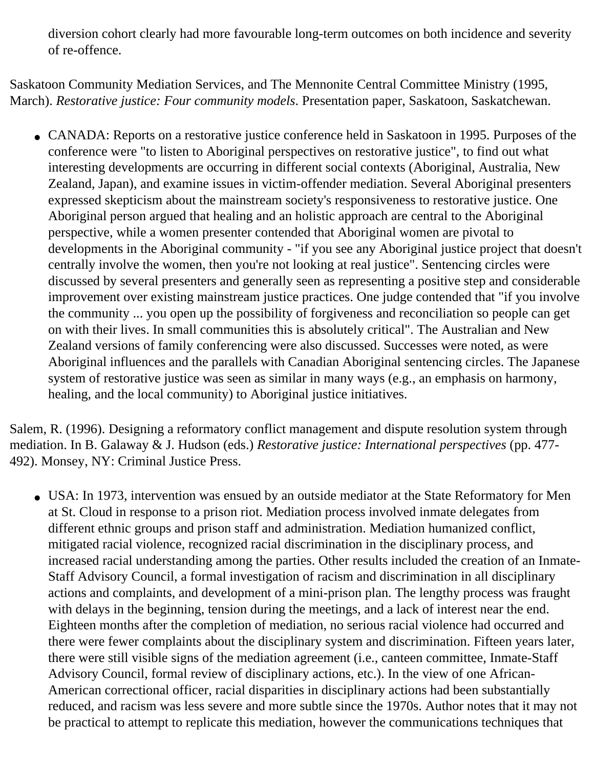diversion cohort clearly had more favourable long-term outcomes on both incidence and severity of re-offence.

Saskatoon Community Mediation Services, and The Mennonite Central Committee Ministry (1995, March). *Restorative justice: Four community models*. Presentation paper, Saskatoon, Saskatchewan.

• CANADA: Reports on a restorative justice conference held in Saskatoon in 1995. Purposes of the conference were "to listen to Aboriginal perspectives on restorative justice", to find out what interesting developments are occurring in different social contexts (Aboriginal, Australia, New Zealand, Japan), and examine issues in victim-offender mediation. Several Aboriginal presenters expressed skepticism about the mainstream society's responsiveness to restorative justice. One Aboriginal person argued that healing and an holistic approach are central to the Aboriginal perspective, while a women presenter contended that Aboriginal women are pivotal to developments in the Aboriginal community - "if you see any Aboriginal justice project that doesn't centrally involve the women, then you're not looking at real justice". Sentencing circles were discussed by several presenters and generally seen as representing a positive step and considerable improvement over existing mainstream justice practices. One judge contended that "if you involve the community ... you open up the possibility of forgiveness and reconciliation so people can get on with their lives. In small communities this is absolutely critical". The Australian and New Zealand versions of family conferencing were also discussed. Successes were noted, as were Aboriginal influences and the parallels with Canadian Aboriginal sentencing circles. The Japanese system of restorative justice was seen as similar in many ways (e.g., an emphasis on harmony, healing, and the local community) to Aboriginal justice initiatives.

Salem, R. (1996). Designing a reformatory conflict management and dispute resolution system through mediation. In B. Galaway & J. Hudson (eds.) *Restorative justice: International perspectives* (pp. 477 492). Monsey, NY: Criminal Justice Press.

• USA: In 1973, intervention was ensued by an outside mediator at the State Reformatory for Men at St. Cloud in response to a prison riot. Mediation process involved inmate delegates from different ethnic groups and prison staff and administration. Mediation humanized conflict, mitigated racial violence, recognized racial discrimination in the disciplinary process, and increased racial understanding among the parties. Other results included the creation of an Inmate-Staff Advisory Council, a formal investigation of racism and discrimination in all disciplinary actions and complaints, and development of a mini-prison plan. The lengthy process was fraught with delays in the beginning, tension during the meetings, and a lack of interest near the end. Eighteen months after the completion of mediation, no serious racial violence had occurred and there were fewer complaints about the disciplinary system and discrimination. Fifteen years later, there were still visible signs of the mediation agreement (i.e., canteen committee, Inmate-Staff Advisory Council, formal review of disciplinary actions, etc.). In the view of one African-American correctional officer, racial disparities in disciplinary actions had been substantially reduced, and racism was less severe and more subtle since the 1970s. Author notes that it may not be practical to attempt to replicate this mediation, however the communications techniques that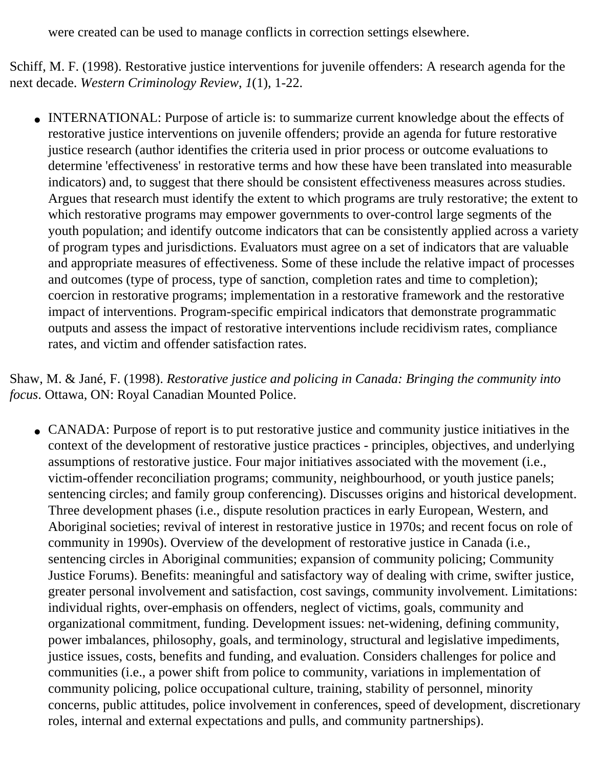were created can be used to manage conflicts in correction settings elsewhere.

Schiff, M. F. (1998). Restorative justice interventions for juvenile offenders: A research agenda for the next decade. *Western Criminology Review*, *1*(1), 1-22.

• INTERNATIONAL: Purpose of article is: to summarize current knowledge about the effects of restorative justice interventions on juvenile offenders; provide an agenda for future restorative justice research (author identifies the criteria used in prior process or outcome evaluations to determine 'effectiveness' in restorative terms and how these have been translated into measurable indicators) and, to suggest that there should be consistent effectiveness measures across studies. Argues that research must identify the extent to which programs are truly restorative; the extent to which restorative programs may empower governments to over-control large segments of the youth population; and identify outcome indicators that can be consistently applied across a variety of program types and jurisdictions. Evaluators must agree on a set of indicators that are valuable and appropriate measures of effectiveness. Some of these include the relative impact of processes and outcomes (type of process, type of sanction, completion rates and time to completion); coercion in restorative programs; implementation in a restorative framework and the restorative impact of interventions. Program-specific empirical indicators that demonstrate programmatic outputs and assess the impact of restorative interventions include recidivism rates, compliance rates, and victim and offender satisfaction rates.

Shaw, M. & Jané, F. (1998). *Restorative justice and policing in Canada: Bringing the community into focus*. Ottawa, ON: Royal Canadian Mounted Police.

• CANADA: Purpose of report is to put restorative justice and community justice initiatives in the context of the development of restorative justice practices - principles, objectives, and underlying assumptions of restorative justice. Four major initiatives associated with the movement (i.e., victim-offender reconciliation programs; community, neighbourhood, or youth justice panels; sentencing circles; and family group conferencing). Discusses origins and historical development. Three development phases (i.e., dispute resolution practices in early European, Western, and Aboriginal societies; revival of interest in restorative justice in 1970s; and recent focus on role of community in 1990s). Overview of the development of restorative justice in Canada (i.e., sentencing circles in Aboriginal communities; expansion of community policing; Community Justice Forums). Benefits: meaningful and satisfactory way of dealing with crime, swifter justice, greater personal involvement and satisfaction, cost savings, community involvement. Limitations: individual rights, over-emphasis on offenders, neglect of victims, goals, community and organizational commitment, funding. Development issues: net-widening, defining community, power imbalances, philosophy, goals, and terminology, structural and legislative impediments, justice issues, costs, benefits and funding, and evaluation. Considers challenges for police and communities (i.e., a power shift from police to community, variations in implementation of community policing, police occupational culture, training, stability of personnel, minority concerns, public attitudes, police involvement in conferences, speed of development, discretionary roles, internal and external expectations and pulls, and community partnerships).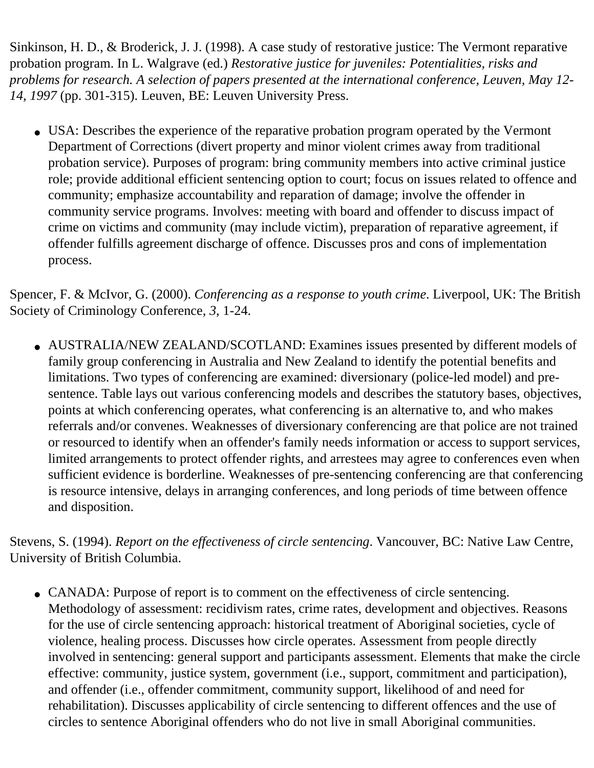Sinkinson, H. D., & Broderick, J. J. (1998). A case study of restorative justice: The Vermont reparative probation program. In L. Walgrave (ed.) *Restorative justice for juveniles: Potentialities, risks and problems for research. A selection of papers presented at the international conference, Leuven, May 12 14, 1997* (pp. 301-315). Leuven, BE: Leuven University Press.

• USA: Describes the experience of the reparative probation program operated by the Vermont Department of Corrections (divert property and minor violent crimes away from traditional probation service). Purposes of program: bring community members into active criminal justice role; provide additional efficient sentencing option to court; focus on issues related to offence and community; emphasize accountability and reparation of damage; involve the offender in community service programs. Involves: meeting with board and offender to discuss impact of crime on victims and community (may include victim), preparation of reparative agreement, if offender fulfills agreement discharge of offence. Discusses pros and cons of implementation process.

Spencer, F. & McIvor, G. (2000). *Conferencing as a response to youth crime*. Liverpool, UK: The British Society of Criminology Conference, *3*, 1-24.

• AUSTRALIA/NEW ZEALAND/SCOTLAND: Examines issues presented by different models of family group conferencing in Australia and New Zealand to identify the potential benefits and limitations. Two types of conferencing are examined: diversionary (police-led model) and presentence. Table lays out various conferencing models and describes the statutory bases, objectives, points at which conferencing operates, what conferencing is an alternative to, and who makes referrals and/or convenes. Weaknesses of diversionary conferencing are that police are not trained or resourced to identify when an offender's family needs information or access to support services, limited arrangements to protect offender rights, and arrestees may agree to conferences even when sufficient evidence is borderline. Weaknesses of pre-sentencing conferencing are that conferencing is resource intensive, delays in arranging conferences, and long periods of time between offence and disposition.

Stevens, S. (1994). *Report on the effectiveness of circle sentencing*. Vancouver, BC: Native Law Centre, University of British Columbia.

• CANADA: Purpose of report is to comment on the effectiveness of circle sentencing. Methodology of assessment: recidivism rates, crime rates, development and objectives. Reasons for the use of circle sentencing approach: historical treatment of Aboriginal societies, cycle of violence, healing process. Discusses how circle operates. Assessment from people directly involved in sentencing: general support and participants assessment. Elements that make the circle effective: community, justice system, government (i.e., support, commitment and participation), and offender (i.e., offender commitment, community support, likelihood of and need for rehabilitation). Discusses applicability of circle sentencing to different offences and the use of circles to sentence Aboriginal offenders who do not live in small Aboriginal communities.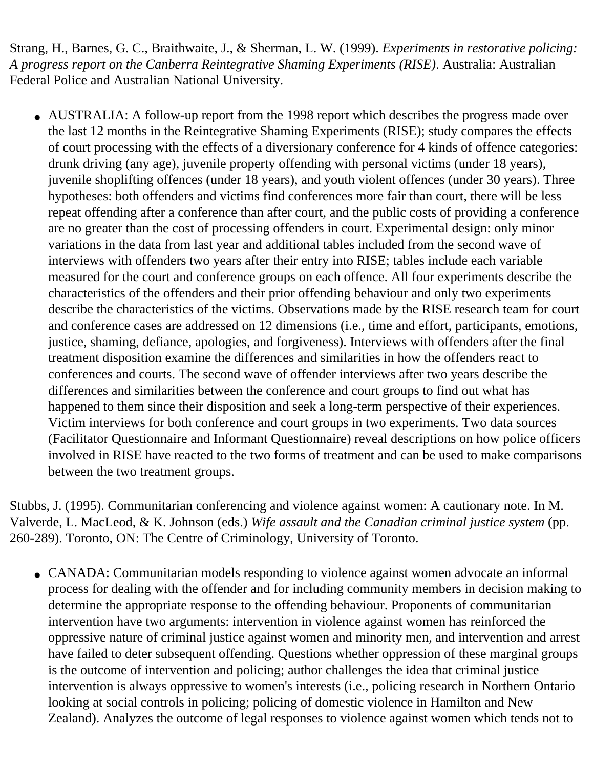Strang, H., Barnes, G. C., Braithwaite, J., & Sherman, L. W. (1999). *Experiments in restorative policing: A progress report on the Canberra Reintegrative Shaming Experiments (RISE)*. Australia: Australian Federal Police and Australian National University.

• AUSTRALIA: A follow-up report from the 1998 report which describes the progress made over the last 12 months in the Reintegrative Shaming Experiments (RISE); study compares the effects of court processing with the effects of a diversionary conference for 4 kinds of offence categories: drunk driving (any age), juvenile property offending with personal victims (under 18 years), juvenile shoplifting offences (under 18 years), and youth violent offences (under 30 years). Three hypotheses: both offenders and victims find conferences more fair than court, there will be less repeat offending after a conference than after court, and the public costs of providing a conference are no greater than the cost of processing offenders in court. Experimental design: only minor variations in the data from last year and additional tables included from the second wave of interviews with offenders two years after their entry into RISE; tables include each variable measured for the court and conference groups on each offence. All four experiments describe the characteristics of the offenders and their prior offending behaviour and only two experiments describe the characteristics of the victims. Observations made by the RISE research team for court and conference cases are addressed on 12 dimensions (i.e., time and effort, participants, emotions, justice, shaming, defiance, apologies, and forgiveness). Interviews with offenders after the final treatment disposition examine the differences and similarities in how the offenders react to conferences and courts. The second wave of offender interviews after two years describe the differences and similarities between the conference and court groups to find out what has happened to them since their disposition and seek a long-term perspective of their experiences. Victim interviews for both conference and court groups in two experiments. Two data sources (Facilitator Questionnaire and Informant Questionnaire) reveal descriptions on how police officers involved in RISE have reacted to the two forms of treatment and can be used to make comparisons between the two treatment groups.

Stubbs, J. (1995). Communitarian conferencing and violence against women: A cautionary note. In M. Valverde, L. MacLeod, & K. Johnson (eds.) *Wife assault and the Canadian criminal justice system* (pp. 260-289). Toronto, ON: The Centre of Criminology, University of Toronto.

• CANADA: Communitarian models responding to violence against women advocate an informal process for dealing with the offender and for including community members in decision making to determine the appropriate response to the offending behaviour. Proponents of communitarian intervention have two arguments: intervention in violence against women has reinforced the oppressive nature of criminal justice against women and minority men, and intervention and arrest have failed to deter subsequent offending. Questions whether oppression of these marginal groups is the outcome of intervention and policing; author challenges the idea that criminal justice intervention is always oppressive to women's interests (i.e., policing research in Northern Ontario looking at social controls in policing; policing of domestic violence in Hamilton and New Zealand). Analyzes the outcome of legal responses to violence against women which tends not to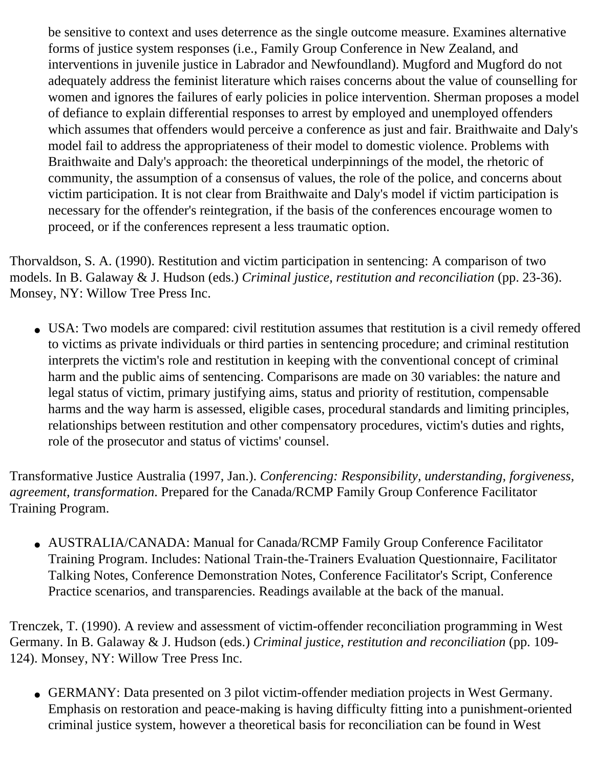be sensitive to context and uses deterrence as the single outcome measure. Examines alternative forms of justice system responses (i.e., Family Group Conference in New Zealand, and interventions in juvenile justice in Labrador and Newfoundland). Mugford and Mugford do not adequately address the feminist literature which raises concerns about the value of counselling for women and ignores the failures of early policies in police intervention. Sherman proposes a model of defiance to explain differential responses to arrest by employed and unemployed offenders which assumes that offenders would perceive a conference as just and fair. Braithwaite and Daly's model fail to address the appropriateness of their model to domestic violence. Problems with Braithwaite and Daly's approach: the theoretical underpinnings of the model, the rhetoric of community, the assumption of a consensus of values, the role of the police, and concerns about victim participation. It is not clear from Braithwaite and Daly's model if victim participation is necessary for the offender's reintegration, if the basis of the conferences encourage women to proceed, or if the conferences represent a less traumatic option.

Thorvaldson, S. A. (1990). Restitution and victim participation in sentencing: A comparison of two models. In B. Galaway & J. Hudson (eds.) *Criminal justice, restitution and reconciliation* (pp. 23-36). Monsey, NY: Willow Tree Press Inc.

• USA: Two models are compared: civil restitution assumes that restitution is a civil remedy offered to victims as private individuals or third parties in sentencing procedure; and criminal restitution interprets the victim's role and restitution in keeping with the conventional concept of criminal harm and the public aims of sentencing. Comparisons are made on 30 variables: the nature and legal status of victim, primary justifying aims, status and priority of restitution, compensable harms and the way harm is assessed, eligible cases, procedural standards and limiting principles, relationships between restitution and other compensatory procedures, victim's duties and rights, role of the prosecutor and status of victims' counsel.

Transformative Justice Australia (1997, Jan.). *Conferencing: Responsibility, understanding, forgiveness, agreement, transformation*. Prepared for the Canada/RCMP Family Group Conference Facilitator Training Program.

• AUSTRALIA/CANADA: Manual for Canada/RCMP Family Group Conference Facilitator Training Program. Includes: National Train-the-Trainers Evaluation Questionnaire, Facilitator Talking Notes, Conference Demonstration Notes, Conference Facilitator's Script, Conference Practice scenarios, and transparencies. Readings available at the back of the manual.

Trenczek, T. (1990). A review and assessment of victim-offender reconciliation programming in West Germany. In B. Galaway & J. Hudson (eds.) *Criminal justice, restitution and reconciliation* (pp. 109 124). Monsey, NY: Willow Tree Press Inc.

• GERMANY: Data presented on 3 pilot victim-offender mediation projects in West Germany. Emphasis on restoration and peace-making is having difficulty fitting into a punishment-oriented criminal justice system, however a theoretical basis for reconciliation can be found in West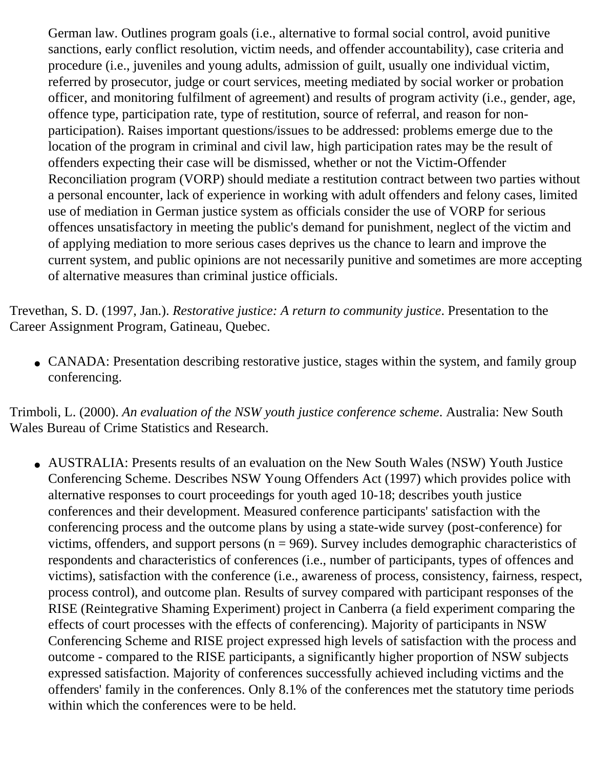German law. Outlines program goals (i.e., alternative to formal social control, avoid punitive sanctions, early conflict resolution, victim needs, and offender accountability), case criteria and procedure (i.e., juveniles and young adults, admission of guilt, usually one individual victim, referred by prosecutor, judge or court services, meeting mediated by social worker or probation officer, and monitoring fulfilment of agreement) and results of program activity (i.e., gender, age, offence type, participation rate, type of restitution, source of referral, and reason for nonparticipation). Raises important questions/issues to be addressed: problems emerge due to the location of the program in criminal and civil law, high participation rates may be the result of offenders expecting their case will be dismissed, whether or not the Victim-Offender Reconciliation program (VORP) should mediate a restitution contract between two parties without a personal encounter, lack of experience in working with adult offenders and felony cases, limited use of mediation in German justice system as officials consider the use of VORP for serious offences unsatisfactory in meeting the public's demand for punishment, neglect of the victim and of applying mediation to more serious cases deprives us the chance to learn and improve the current system, and public opinions are not necessarily punitive and sometimes are more accepting of alternative measures than criminal justice officials.

Trevethan, S. D. (1997, Jan.). *Restorative justice: A return to community justice*. Presentation to the Career Assignment Program, Gatineau, Quebec.

• CANADA: Presentation describing restorative justice, stages within the system, and family group conferencing.

Trimboli, L. (2000). *An evaluation of the NSW youth justice conference scheme*. Australia: New South Wales Bureau of Crime Statistics and Research.

• AUSTRALIA: Presents results of an evaluation on the New South Wales (NSW) Youth Justice Conferencing Scheme. Describes NSW Young Offenders Act (1997) which provides police with alternative responses to court proceedings for youth aged 10-18; describes youth justice conferences and their development. Measured conference participants' satisfaction with the conferencing process and the outcome plans by using a state-wide survey (post-conference) for victims, offenders, and support persons ( $n = 969$ ). Survey includes demographic characteristics of respondents and characteristics of conferences (i.e., number of participants, types of offences and victims), satisfaction with the conference (i.e., awareness of process, consistency, fairness, respect, process control), and outcome plan. Results of survey compared with participant responses of the RISE (Reintegrative Shaming Experiment) project in Canberra (a field experiment comparing the effects of court processes with the effects of conferencing). Majority of participants in NSW Conferencing Scheme and RISE project expressed high levels of satisfaction with the process and outcome - compared to the RISE participants, a significantly higher proportion of NSW subjects expressed satisfaction. Majority of conferences successfully achieved including victims and the offenders' family in the conferences. Only 8.1% of the conferences met the statutory time periods within which the conferences were to be held.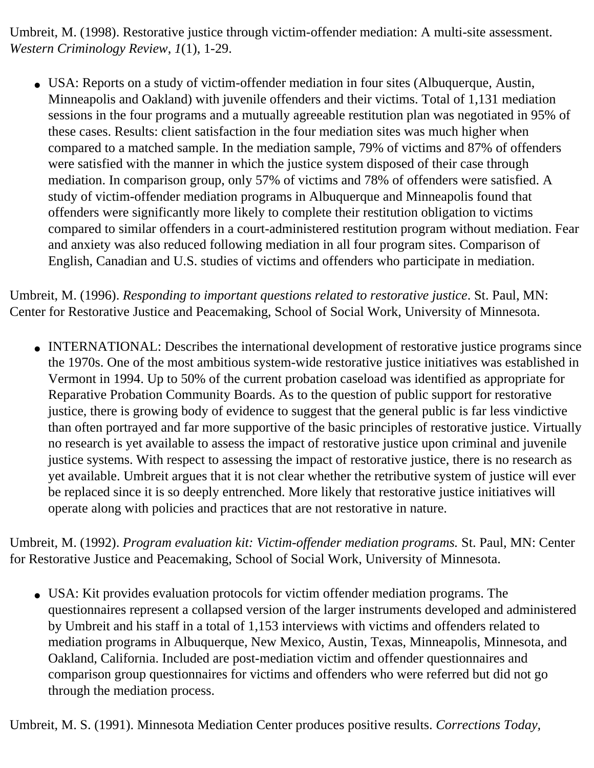Umbreit, M. (1998). Restorative justice through victim-offender mediation: A multi-site assessment. *Western Criminology Review*, *1*(1), 1-29.

• USA: Reports on a study of victim-offender mediation in four sites (Albuquerque, Austin, Minneapolis and Oakland) with juvenile offenders and their victims. Total of 1,131 mediation sessions in the four programs and a mutually agreeable restitution plan was negotiated in 95% of these cases. Results: client satisfaction in the four mediation sites was much higher when compared to a matched sample. In the mediation sample, 79% of victims and 87% of offenders were satisfied with the manner in which the justice system disposed of their case through mediation. In comparison group, only 57% of victims and 78% of offenders were satisfied. A study of victim-offender mediation programs in Albuquerque and Minneapolis found that offenders were significantly more likely to complete their restitution obligation to victims compared to similar offenders in a court-administered restitution program without mediation. Fear and anxiety was also reduced following mediation in all four program sites. Comparison of English, Canadian and U.S. studies of victims and offenders who participate in mediation.

Umbreit, M. (1996). *Responding to important questions related to restorative justice*. St. Paul, MN: Center for Restorative Justice and Peacemaking, School of Social Work, University of Minnesota.

• INTERNATIONAL: Describes the international development of restorative justice programs since the 1970s. One of the most ambitious system-wide restorative justice initiatives was established in Vermont in 1994. Up to 50% of the current probation caseload was identified as appropriate for Reparative Probation Community Boards. As to the question of public support for restorative justice, there is growing body of evidence to suggest that the general public is far less vindictive than often portrayed and far more supportive of the basic principles of restorative justice. Virtually no research is yet available to assess the impact of restorative justice upon criminal and juvenile justice systems. With respect to assessing the impact of restorative justice, there is no research as yet available. Umbreit argues that it is not clear whether the retributive system of justice will ever be replaced since it is so deeply entrenched. More likely that restorative justice initiatives will operate along with policies and practices that are not restorative in nature.

Umbreit, M. (1992). *Program evaluation kit: Victim-offender mediation programs.* St. Paul, MN: Center for Restorative Justice and Peacemaking, School of Social Work, University of Minnesota.

• USA: Kit provides evaluation protocols for victim offender mediation programs. The questionnaires represent a collapsed version of the larger instruments developed and administered by Umbreit and his staff in a total of 1,153 interviews with victims and offenders related to mediation programs in Albuquerque, New Mexico, Austin, Texas, Minneapolis, Minnesota, and Oakland, California. Included are post-mediation victim and offender questionnaires and comparison group questionnaires for victims and offenders who were referred but did not go through the mediation process.

Umbreit, M. S. (1991). Minnesota Mediation Center produces positive results. *Corrections Today,*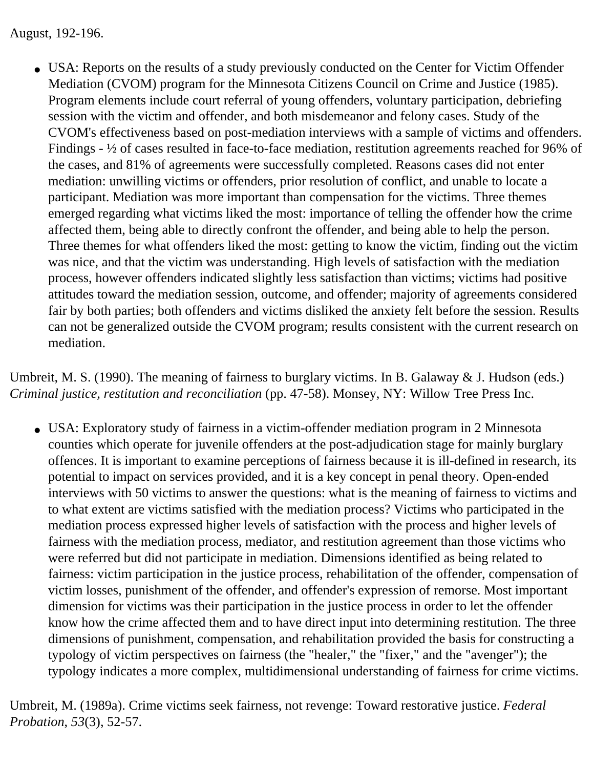August, 192-196.

• USA: Reports on the results of a study previously conducted on the Center for Victim Offender Mediation (CVOM) program for the Minnesota Citizens Council on Crime and Justice (1985). Program elements include court referral of young offenders, voluntary participation, debriefing session with the victim and offender, and both misdemeanor and felony cases. Study of the CVOM's effectiveness based on post-mediation interviews with a sample of victims and offenders. Findings - ½ of cases resulted in face-to-face mediation, restitution agreements reached for 96% of the cases, and 81% of agreements were successfully completed. Reasons cases did not enter mediation: unwilling victims or offenders, prior resolution of conflict, and unable to locate a participant. Mediation was more important than compensation for the victims. Three themes emerged regarding what victims liked the most: importance of telling the offender how the crime affected them, being able to directly confront the offender, and being able to help the person. Three themes for what offenders liked the most: getting to know the victim, finding out the victim was nice, and that the victim was understanding. High levels of satisfaction with the mediation process, however offenders indicated slightly less satisfaction than victims; victims had positive attitudes toward the mediation session, outcome, and offender; majority of agreements considered fair by both parties; both offenders and victims disliked the anxiety felt before the session. Results can not be generalized outside the CVOM program; results consistent with the current research on mediation.

Umbreit, M. S. (1990). The meaning of fairness to burglary victims. In B. Galaway & J. Hudson (eds.) *Criminal justice, restitution and reconciliation* (pp. 47-58). Monsey, NY: Willow Tree Press Inc.

• USA: Exploratory study of fairness in a victim-offender mediation program in 2 Minnesota counties which operate for juvenile offenders at the post-adjudication stage for mainly burglary offences. It is important to examine perceptions of fairness because it is ill-defined in research, its potential to impact on services provided, and it is a key concept in penal theory. Open-ended interviews with 50 victims to answer the questions: what is the meaning of fairness to victims and to what extent are victims satisfied with the mediation process? Victims who participated in the mediation process expressed higher levels of satisfaction with the process and higher levels of fairness with the mediation process, mediator, and restitution agreement than those victims who were referred but did not participate in mediation. Dimensions identified as being related to fairness: victim participation in the justice process, rehabilitation of the offender, compensation of victim losses, punishment of the offender, and offender's expression of remorse. Most important dimension for victims was their participation in the justice process in order to let the offender know how the crime affected them and to have direct input into determining restitution. The three dimensions of punishment, compensation, and rehabilitation provided the basis for constructing a typology of victim perspectives on fairness (the "healer," the "fixer," and the "avenger"); the typology indicates a more complex, multidimensional understanding of fairness for crime victims.

Umbreit, M. (1989a). Crime victims seek fairness, not revenge: Toward restorative justice. *Federal Probation*, *53*(3), 52-57.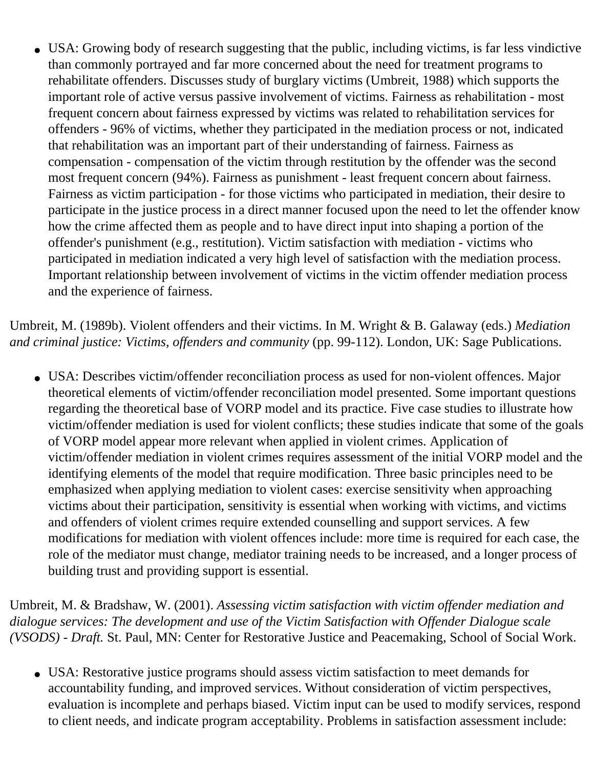• USA: Growing body of research suggesting that the public, including victims, is far less vindictive than commonly portrayed and far more concerned about the need for treatment programs to rehabilitate offenders. Discusses study of burglary victims (Umbreit, 1988) which supports the important role of active versus passive involvement of victims. Fairness as rehabilitation - most frequent concern about fairness expressed by victims was related to rehabilitation services for offenders - 96% of victims, whether they participated in the mediation process or not, indicated that rehabilitation was an important part of their understanding of fairness. Fairness as compensation - compensation of the victim through restitution by the offender was the second most frequent concern (94%). Fairness as punishment - least frequent concern about fairness. Fairness as victim participation - for those victims who participated in mediation, their desire to participate in the justice process in a direct manner focused upon the need to let the offender know how the crime affected them as people and to have direct input into shaping a portion of the offender's punishment (e.g., restitution). Victim satisfaction with mediation - victims who participated in mediation indicated a very high level of satisfaction with the mediation process. Important relationship between involvement of victims in the victim offender mediation process and the experience of fairness.

Umbreit, M. (1989b). Violent offenders and their victims. In M. Wright & B. Galaway (eds.) *Mediation and criminal justice: Victims, offenders and community* (pp. 99-112). London, UK: Sage Publications.

• USA: Describes victim/offender reconciliation process as used for non-violent offences. Major theoretical elements of victim/offender reconciliation model presented. Some important questions regarding the theoretical base of VORP model and its practice. Five case studies to illustrate how victim/offender mediation is used for violent conflicts; these studies indicate that some of the goals of VORP model appear more relevant when applied in violent crimes. Application of victim/offender mediation in violent crimes requires assessment of the initial VORP model and the identifying elements of the model that require modification. Three basic principles need to be emphasized when applying mediation to violent cases: exercise sensitivity when approaching victims about their participation, sensitivity is essential when working with victims, and victims and offenders of violent crimes require extended counselling and support services. A few modifications for mediation with violent offences include: more time is required for each case, the role of the mediator must change, mediator training needs to be increased, and a longer process of building trust and providing support is essential.

Umbreit, M. & Bradshaw, W. (2001). *Assessing victim satisfaction with victim offender mediation and dialogue services: The development and use of the Victim Satisfaction with Offender Dialogue scale (VSODS) - Draft.* St. Paul, MN: Center for Restorative Justice and Peacemaking, School of Social Work.

• USA: Restorative justice programs should assess victim satisfaction to meet demands for accountability funding, and improved services. Without consideration of victim perspectives, evaluation is incomplete and perhaps biased. Victim input can be used to modify services, respond to client needs, and indicate program acceptability. Problems in satisfaction assessment include: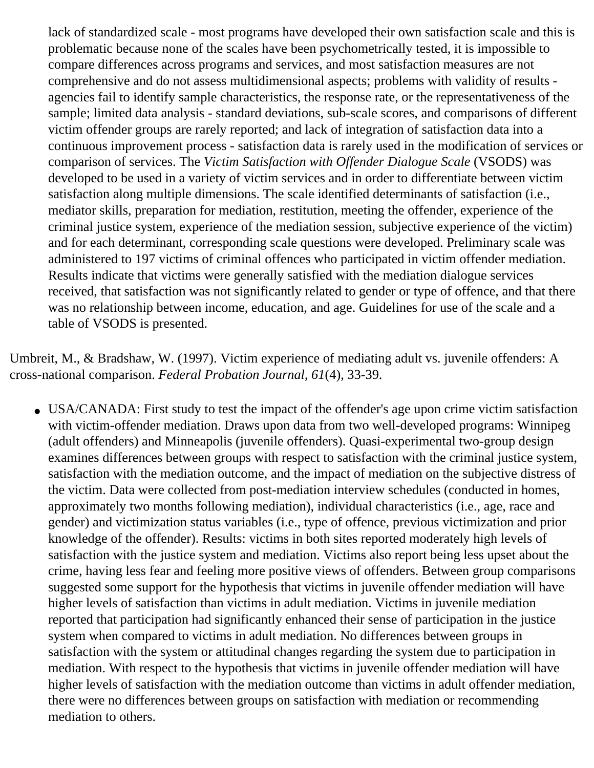lack of standardized scale - most programs have developed their own satisfaction scale and this is problematic because none of the scales have been psychometrically tested, it is impossible to compare differences across programs and services, and most satisfaction measures are not comprehensive and do not assess multidimensional aspects; problems with validity of results agencies fail to identify sample characteristics, the response rate, or the representativeness of the sample; limited data analysis - standard deviations, sub-scale scores, and comparisons of different victim offender groups are rarely reported; and lack of integration of satisfaction data into a continuous improvement process - satisfaction data is rarely used in the modification of services or comparison of services. The *Victim Satisfaction with Offender Dialogue Scale* (VSODS) was developed to be used in a variety of victim services and in order to differentiate between victim satisfaction along multiple dimensions. The scale identified determinants of satisfaction (i.e., mediator skills, preparation for mediation, restitution, meeting the offender, experience of the criminal justice system, experience of the mediation session, subjective experience of the victim) and for each determinant, corresponding scale questions were developed. Preliminary scale was administered to 197 victims of criminal offences who participated in victim offender mediation. Results indicate that victims were generally satisfied with the mediation dialogue services received, that satisfaction was not significantly related to gender or type of offence, and that there was no relationship between income, education, and age. Guidelines for use of the scale and a table of VSODS is presented.

Umbreit, M., & Bradshaw, W. (1997). Victim experience of mediating adult vs. juvenile offenders: A cross-national comparison. *Federal Probation Journal*, *61*(4), 33-39.

• USA/CANADA: First study to test the impact of the offender's age upon crime victim satisfaction with victim-offender mediation. Draws upon data from two well-developed programs: Winnipeg (adult offenders) and Minneapolis (juvenile offenders). Quasi-experimental two-group design examines differences between groups with respect to satisfaction with the criminal justice system, satisfaction with the mediation outcome, and the impact of mediation on the subjective distress of the victim. Data were collected from post-mediation interview schedules (conducted in homes, approximately two months following mediation), individual characteristics (i.e., age, race and gender) and victimization status variables (i.e., type of offence, previous victimization and prior knowledge of the offender). Results: victims in both sites reported moderately high levels of satisfaction with the justice system and mediation. Victims also report being less upset about the crime, having less fear and feeling more positive views of offenders. Between group comparisons suggested some support for the hypothesis that victims in juvenile offender mediation will have higher levels of satisfaction than victims in adult mediation. Victims in juvenile mediation reported that participation had significantly enhanced their sense of participation in the justice system when compared to victims in adult mediation. No differences between groups in satisfaction with the system or attitudinal changes regarding the system due to participation in mediation. With respect to the hypothesis that victims in juvenile offender mediation will have higher levels of satisfaction with the mediation outcome than victims in adult offender mediation, there were no differences between groups on satisfaction with mediation or recommending mediation to others.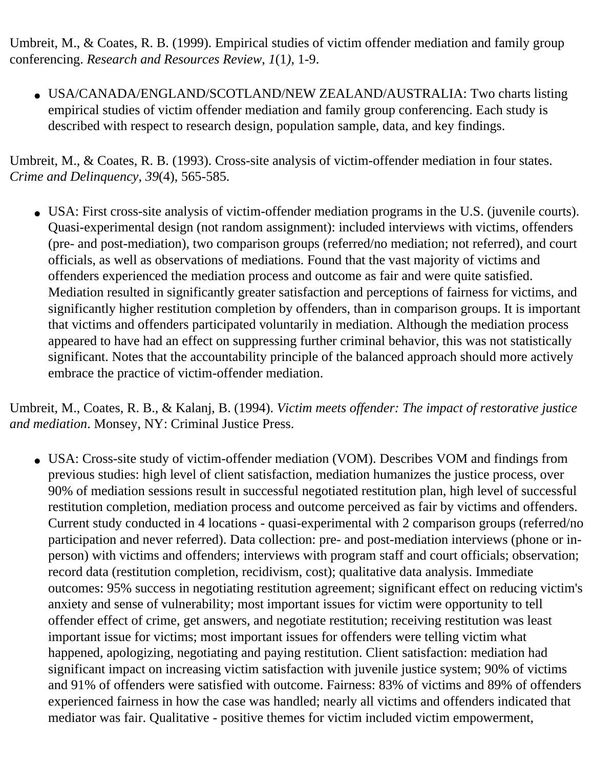Umbreit, M., & Coates, R. B. (1999). Empirical studies of victim offender mediation and family group conferencing. *Research and Resources Review*, *1*(1*)*, 1-9.

• USA/CANADA/ENGLAND/SCOTLAND/NEW ZEALAND/AUSTRALIA: Two charts listing empirical studies of victim offender mediation and family group conferencing. Each study is described with respect to research design, population sample, data, and key findings.

Umbreit, M., & Coates, R. B. (1993). Cross-site analysis of victim-offender mediation in four states. *Crime and Delinquency*, *39*(4), 565-585.

• USA: First cross-site analysis of victim-offender mediation programs in the U.S. (juvenile courts). Quasi-experimental design (not random assignment): included interviews with victims, offenders (pre- and post-mediation), two comparison groups (referred/no mediation; not referred), and court officials, as well as observations of mediations. Found that the vast majority of victims and offenders experienced the mediation process and outcome as fair and were quite satisfied. Mediation resulted in significantly greater satisfaction and perceptions of fairness for victims, and significantly higher restitution completion by offenders, than in comparison groups. It is important that victims and offenders participated voluntarily in mediation. Although the mediation process appeared to have had an effect on suppressing further criminal behavior, this was not statistically significant. Notes that the accountability principle of the balanced approach should more actively embrace the practice of victim-offender mediation.

Umbreit, M., Coates, R. B., & Kalanj, B. (1994). *Victim meets offender: The impact of restorative justice and mediation*. Monsey, NY: Criminal Justice Press.

• USA: Cross-site study of victim-offender mediation (VOM). Describes VOM and findings from previous studies: high level of client satisfaction, mediation humanizes the justice process, over 90% of mediation sessions result in successful negotiated restitution plan, high level of successful restitution completion, mediation process and outcome perceived as fair by victims and offenders. Current study conducted in 4 locations - quasi-experimental with 2 comparison groups (referred/no participation and never referred). Data collection: pre- and post-mediation interviews (phone or inperson) with victims and offenders; interviews with program staff and court officials; observation; record data (restitution completion, recidivism, cost); qualitative data analysis. Immediate outcomes: 95% success in negotiating restitution agreement; significant effect on reducing victim's anxiety and sense of vulnerability; most important issues for victim were opportunity to tell offender effect of crime, get answers, and negotiate restitution; receiving restitution was least important issue for victims; most important issues for offenders were telling victim what happened, apologizing, negotiating and paying restitution. Client satisfaction: mediation had significant impact on increasing victim satisfaction with juvenile justice system; 90% of victims and 91% of offenders were satisfied with outcome. Fairness: 83% of victims and 89% of offenders experienced fairness in how the case was handled; nearly all victims and offenders indicated that mediator was fair. Qualitative - positive themes for victim included victim empowerment,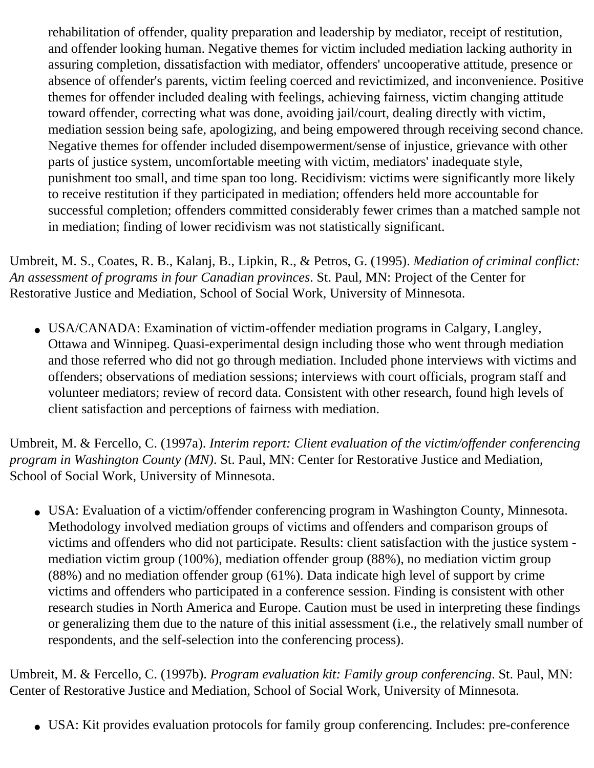rehabilitation of offender, quality preparation and leadership by mediator, receipt of restitution, and offender looking human. Negative themes for victim included mediation lacking authority in assuring completion, dissatisfaction with mediator, offenders' uncooperative attitude, presence or absence of offender's parents, victim feeling coerced and revictimized, and inconvenience. Positive themes for offender included dealing with feelings, achieving fairness, victim changing attitude toward offender, correcting what was done, avoiding jail/court, dealing directly with victim, mediation session being safe, apologizing, and being empowered through receiving second chance. Negative themes for offender included disempowerment/sense of injustice, grievance with other parts of justice system, uncomfortable meeting with victim, mediators' inadequate style, punishment too small, and time span too long. Recidivism: victims were significantly more likely to receive restitution if they participated in mediation; offenders held more accountable for successful completion; offenders committed considerably fewer crimes than a matched sample not in mediation; finding of lower recidivism was not statistically significant.

Umbreit, M. S., Coates, R. B., Kalanj, B., Lipkin, R., & Petros, G. (1995). *Mediation of criminal conflict: An assessment of programs in four Canadian provinces*. St. Paul, MN: Project of the Center for Restorative Justice and Mediation, School of Social Work, University of Minnesota.

• USA/CANADA: Examination of victim-offender mediation programs in Calgary, Langley, Ottawa and Winnipeg. Quasi-experimental design including those who went through mediation and those referred who did not go through mediation. Included phone interviews with victims and offenders; observations of mediation sessions; interviews with court officials, program staff and volunteer mediators; review of record data. Consistent with other research, found high levels of client satisfaction and perceptions of fairness with mediation.

Umbreit, M. & Fercello, C. (1997a). *Interim report: Client evaluation of the victim/offender conferencing program in Washington County (MN)*. St. Paul, MN: Center for Restorative Justice and Mediation, School of Social Work, University of Minnesota.

• USA: Evaluation of a victim/offender conferencing program in Washington County, Minnesota. Methodology involved mediation groups of victims and offenders and comparison groups of victims and offenders who did not participate. Results: client satisfaction with the justice system mediation victim group (100%), mediation offender group (88%), no mediation victim group (88%) and no mediation offender group (61%). Data indicate high level of support by crime victims and offenders who participated in a conference session. Finding is consistent with other research studies in North America and Europe. Caution must be used in interpreting these findings or generalizing them due to the nature of this initial assessment (i.e., the relatively small number of respondents, and the self-selection into the conferencing process).

Umbreit, M. & Fercello, C. (1997b). *Program evaluation kit: Family group conferencing*. St. Paul, MN: Center of Restorative Justice and Mediation, School of Social Work, University of Minnesota.

• USA: Kit provides evaluation protocols for family group conferencing. Includes: pre-conference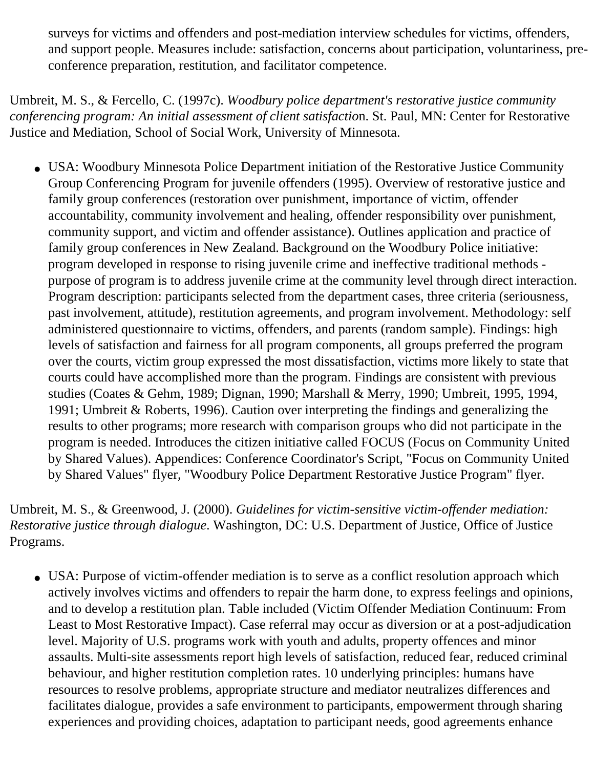surveys for victims and offenders and post-mediation interview schedules for victims, offenders, and support people. Measures include: satisfaction, concerns about participation, voluntariness, preconference preparation, restitution, and facilitator competence.

Umbreit, M. S., & Fercello, C. (1997c). *Woodbury police department's restorative justice community conferencing program: An initial assessment of client satisfactio*n. St. Paul, MN: Center for Restorative Justice and Mediation, School of Social Work, University of Minnesota.

• USA: Woodbury Minnesota Police Department initiation of the Restorative Justice Community Group Conferencing Program for juvenile offenders (1995). Overview of restorative justice and family group conferences (restoration over punishment, importance of victim, offender accountability, community involvement and healing, offender responsibility over punishment, community support, and victim and offender assistance). Outlines application and practice of family group conferences in New Zealand. Background on the Woodbury Police initiative: program developed in response to rising juvenile crime and ineffective traditional methods purpose of program is to address juvenile crime at the community level through direct interaction. Program description: participants selected from the department cases, three criteria (seriousness, past involvement, attitude), restitution agreements, and program involvement. Methodology: self administered questionnaire to victims, offenders, and parents (random sample). Findings: high levels of satisfaction and fairness for all program components, all groups preferred the program over the courts, victim group expressed the most dissatisfaction, victims more likely to state that courts could have accomplished more than the program. Findings are consistent with previous studies (Coates & Gehm, 1989; Dignan, 1990; Marshall & Merry, 1990; Umbreit, 1995, 1994, 1991; Umbreit & Roberts, 1996). Caution over interpreting the findings and generalizing the results to other programs; more research with comparison groups who did not participate in the program is needed. Introduces the citizen initiative called FOCUS (Focus on Community United by Shared Values). Appendices: Conference Coordinator's Script, "Focus on Community United by Shared Values" flyer, "Woodbury Police Department Restorative Justice Program" flyer.

Umbreit, M. S., & Greenwood, J. (2000). *Guidelines for victim-sensitive victim-offender mediation: Restorative justice through dialogue*. Washington, DC: U.S. Department of Justice, Office of Justice Programs.

• USA: Purpose of victim-offender mediation is to serve as a conflict resolution approach which actively involves victims and offenders to repair the harm done, to express feelings and opinions, and to develop a restitution plan. Table included (Victim Offender Mediation Continuum: From Least to Most Restorative Impact). Case referral may occur as diversion or at a post-adjudication level. Majority of U.S. programs work with youth and adults, property offences and minor assaults. Multi-site assessments report high levels of satisfaction, reduced fear, reduced criminal behaviour, and higher restitution completion rates. 10 underlying principles: humans have resources to resolve problems, appropriate structure and mediator neutralizes differences and facilitates dialogue, provides a safe environment to participants, empowerment through sharing experiences and providing choices, adaptation to participant needs, good agreements enhance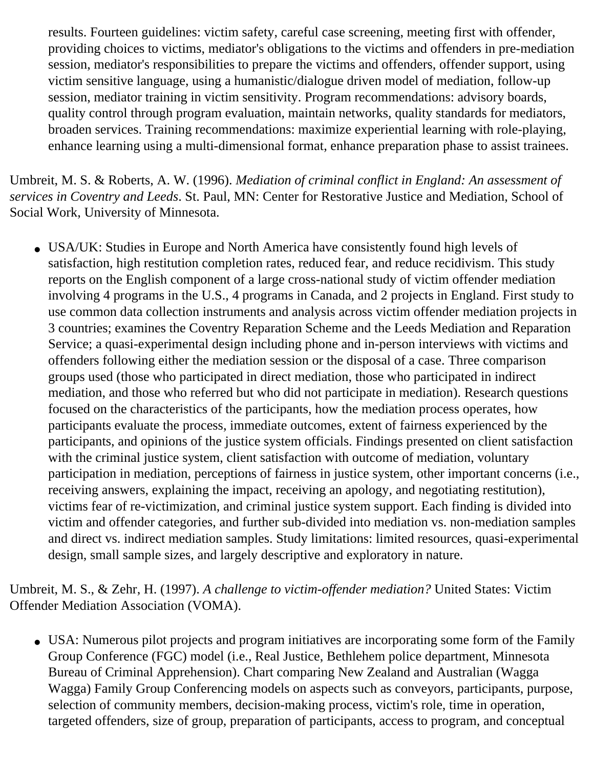results. Fourteen guidelines: victim safety, careful case screening, meeting first with offender, providing choices to victims, mediator's obligations to the victims and offenders in pre-mediation session, mediator's responsibilities to prepare the victims and offenders, offender support, using victim sensitive language, using a humanistic/dialogue driven model of mediation, follow-up session, mediator training in victim sensitivity. Program recommendations: advisory boards, quality control through program evaluation, maintain networks, quality standards for mediators, broaden services. Training recommendations: maximize experiential learning with role-playing, enhance learning using a multi-dimensional format, enhance preparation phase to assist trainees.

Umbreit, M. S. & Roberts, A. W. (1996). *Mediation of criminal conflict in England: An assessment of services in Coventry and Leeds*. St. Paul, MN: Center for Restorative Justice and Mediation, School of Social Work, University of Minnesota.

• USA/UK: Studies in Europe and North America have consistently found high levels of satisfaction, high restitution completion rates, reduced fear, and reduce recidivism. This study reports on the English component of a large cross-national study of victim offender mediation involving 4 programs in the U.S., 4 programs in Canada, and 2 projects in England. First study to use common data collection instruments and analysis across victim offender mediation projects in 3 countries; examines the Coventry Reparation Scheme and the Leeds Mediation and Reparation Service; a quasi-experimental design including phone and in-person interviews with victims and offenders following either the mediation session or the disposal of a case. Three comparison groups used (those who participated in direct mediation, those who participated in indirect mediation, and those who referred but who did not participate in mediation). Research questions focused on the characteristics of the participants, how the mediation process operates, how participants evaluate the process, immediate outcomes, extent of fairness experienced by the participants, and opinions of the justice system officials. Findings presented on client satisfaction with the criminal justice system, client satisfaction with outcome of mediation, voluntary participation in mediation, perceptions of fairness in justice system, other important concerns (i.e., receiving answers, explaining the impact, receiving an apology, and negotiating restitution), victims fear of re-victimization, and criminal justice system support. Each finding is divided into victim and offender categories, and further sub-divided into mediation vs. non-mediation samples and direct vs. indirect mediation samples. Study limitations: limited resources, quasi-experimental design, small sample sizes, and largely descriptive and exploratory in nature.

Umbreit, M. S., & Zehr, H. (1997). *A challenge to victim-offender mediation?* United States: Victim Offender Mediation Association (VOMA).

• USA: Numerous pilot projects and program initiatives are incorporating some form of the Family Group Conference (FGC) model (i.e., Real Justice, Bethlehem police department, Minnesota Bureau of Criminal Apprehension). Chart comparing New Zealand and Australian (Wagga Wagga) Family Group Conferencing models on aspects such as conveyors, participants, purpose, selection of community members, decision-making process, victim's role, time in operation, targeted offenders, size of group, preparation of participants, access to program, and conceptual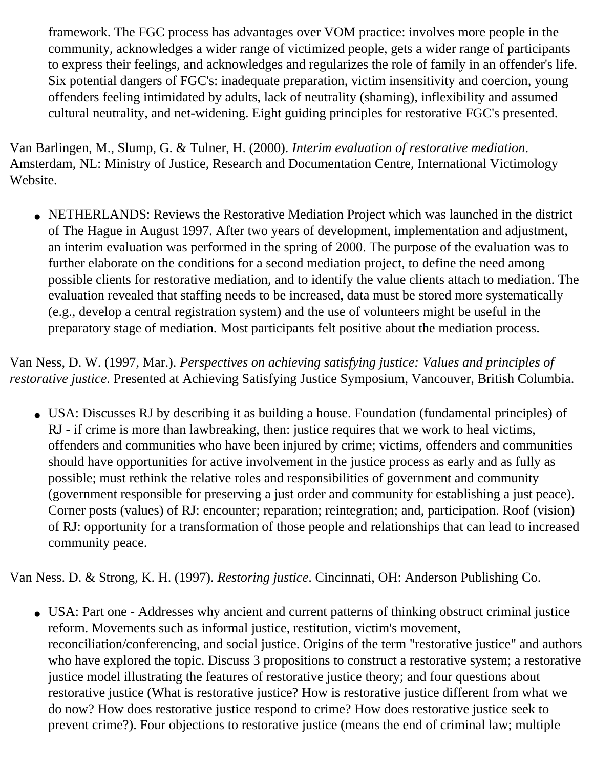framework. The FGC process has advantages over VOM practice: involves more people in the community, acknowledges a wider range of victimized people, gets a wider range of participants to express their feelings, and acknowledges and regularizes the role of family in an offender's life. Six potential dangers of FGC's: inadequate preparation, victim insensitivity and coercion, young offenders feeling intimidated by adults, lack of neutrality (shaming), inflexibility and assumed cultural neutrality, and net-widening. Eight guiding principles for restorative FGC's presented.

Van Barlingen, M., Slump, G. & Tulner, H. (2000). *Interim evaluation of restorative mediation*. Amsterdam, NL: Ministry of Justice, Research and Documentation Centre, International Victimology Website.

• NETHERLANDS: Reviews the Restorative Mediation Project which was launched in the district of The Hague in August 1997. After two years of development, implementation and adjustment, an interim evaluation was performed in the spring of 2000. The purpose of the evaluation was to further elaborate on the conditions for a second mediation project, to define the need among possible clients for restorative mediation, and to identify the value clients attach to mediation. The evaluation revealed that staffing needs to be increased, data must be stored more systematically (e.g., develop a central registration system) and the use of volunteers might be useful in the preparatory stage of mediation. Most participants felt positive about the mediation process.

Van Ness, D. W. (1997, Mar.). *Perspectives on achieving satisfying justice: Values and principles of restorative justice*. Presented at Achieving Satisfying Justice Symposium, Vancouver, British Columbia.

• USA: Discusses RJ by describing it as building a house. Foundation (fundamental principles) of RJ - if crime is more than lawbreaking, then: justice requires that we work to heal victims, offenders and communities who have been injured by crime; victims, offenders and communities should have opportunities for active involvement in the justice process as early and as fully as possible; must rethink the relative roles and responsibilities of government and community (government responsible for preserving a just order and community for establishing a just peace). Corner posts (values) of RJ: encounter; reparation; reintegration; and, participation. Roof (vision) of RJ: opportunity for a transformation of those people and relationships that can lead to increased community peace.

Van Ness. D. & Strong, K. H. (1997). *Restoring justice*. Cincinnati, OH: Anderson Publishing Co.

• USA: Part one - Addresses why ancient and current patterns of thinking obstruct criminal justice reform. Movements such as informal justice, restitution, victim's movement, reconciliation/conferencing, and social justice. Origins of the term "restorative justice" and authors who have explored the topic. Discuss 3 propositions to construct a restorative system; a restorative justice model illustrating the features of restorative justice theory; and four questions about restorative justice (What is restorative justice? How is restorative justice different from what we do now? How does restorative justice respond to crime? How does restorative justice seek to prevent crime?). Four objections to restorative justice (means the end of criminal law; multiple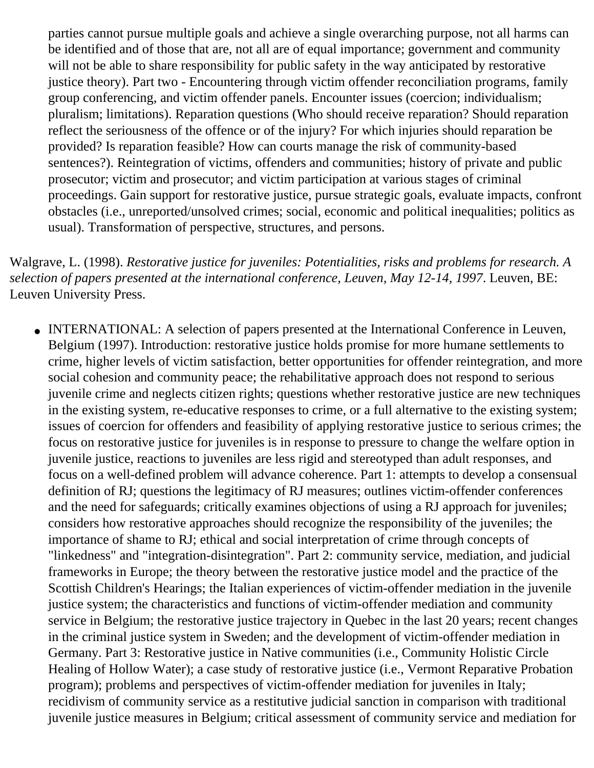parties cannot pursue multiple goals and achieve a single overarching purpose, not all harms can be identified and of those that are, not all are of equal importance; government and community will not be able to share responsibility for public safety in the way anticipated by restorative justice theory). Part two - Encountering through victim offender reconciliation programs, family group conferencing, and victim offender panels. Encounter issues (coercion; individualism; pluralism; limitations). Reparation questions (Who should receive reparation? Should reparation reflect the seriousness of the offence or of the injury? For which injuries should reparation be provided? Is reparation feasible? How can courts manage the risk of community-based sentences?). Reintegration of victims, offenders and communities; history of private and public prosecutor; victim and prosecutor; and victim participation at various stages of criminal proceedings. Gain support for restorative justice, pursue strategic goals, evaluate impacts, confront obstacles (i.e., unreported/unsolved crimes; social, economic and political inequalities; politics as usual). Transformation of perspective, structures, and persons.

Walgrave, L. (1998). *Restorative justice for juveniles: Potentialities, risks and problems for research. A selection of papers presented at the international conference, Leuven, May 12-14, 1997*. Leuven, BE: Leuven University Press.

• INTERNATIONAL: A selection of papers presented at the International Conference in Leuven, Belgium (1997). Introduction: restorative justice holds promise for more humane settlements to crime, higher levels of victim satisfaction, better opportunities for offender reintegration, and more social cohesion and community peace; the rehabilitative approach does not respond to serious juvenile crime and neglects citizen rights; questions whether restorative justice are new techniques in the existing system, re-educative responses to crime, or a full alternative to the existing system; issues of coercion for offenders and feasibility of applying restorative justice to serious crimes; the focus on restorative justice for juveniles is in response to pressure to change the welfare option in juvenile justice, reactions to juveniles are less rigid and stereotyped than adult responses, and focus on a well-defined problem will advance coherence. Part 1: attempts to develop a consensual definition of RJ; questions the legitimacy of RJ measures; outlines victim-offender conferences and the need for safeguards; critically examines objections of using a RJ approach for juveniles; considers how restorative approaches should recognize the responsibility of the juveniles; the importance of shame to RJ; ethical and social interpretation of crime through concepts of "linkedness" and "integration-disintegration". Part 2: community service, mediation, and judicial frameworks in Europe; the theory between the restorative justice model and the practice of the Scottish Children's Hearings; the Italian experiences of victim-offender mediation in the juvenile justice system; the characteristics and functions of victim-offender mediation and community service in Belgium; the restorative justice trajectory in Quebec in the last 20 years; recent changes in the criminal justice system in Sweden; and the development of victim-offender mediation in Germany. Part 3: Restorative justice in Native communities (i.e., Community Holistic Circle Healing of Hollow Water); a case study of restorative justice (i.e., Vermont Reparative Probation program); problems and perspectives of victim-offender mediation for juveniles in Italy; recidivism of community service as a restitutive judicial sanction in comparison with traditional juvenile justice measures in Belgium; critical assessment of community service and mediation for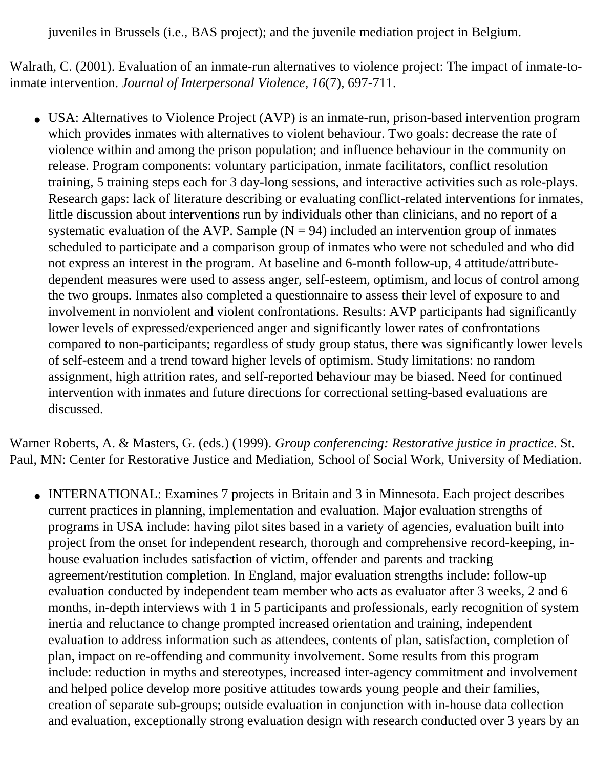juveniles in Brussels (i.e., BAS project); and the juvenile mediation project in Belgium.

Walrath, C. (2001). Evaluation of an inmate-run alternatives to violence project: The impact of inmate-toinmate intervention. *Journal of Interpersonal Violence*, *16*(7), 697-711.

• USA: Alternatives to Violence Project (AVP) is an inmate-run, prison-based intervention program which provides inmates with alternatives to violent behaviour. Two goals: decrease the rate of violence within and among the prison population; and influence behaviour in the community on release. Program components: voluntary participation, inmate facilitators, conflict resolution training, 5 training steps each for 3 day-long sessions, and interactive activities such as role-plays. Research gaps: lack of literature describing or evaluating conflict-related interventions for inmates, little discussion about interventions run by individuals other than clinicians, and no report of a systematic evaluation of the AVP. Sample  $(N = 94)$  included an intervention group of inmates scheduled to participate and a comparison group of inmates who were not scheduled and who did not express an interest in the program. At baseline and 6-month follow-up, 4 attitude/attributedependent measures were used to assess anger, self-esteem, optimism, and locus of control among the two groups. Inmates also completed a questionnaire to assess their level of exposure to and involvement in nonviolent and violent confrontations. Results: AVP participants had significantly lower levels of expressed/experienced anger and significantly lower rates of confrontations compared to non-participants; regardless of study group status, there was significantly lower levels of self-esteem and a trend toward higher levels of optimism. Study limitations: no random assignment, high attrition rates, and self-reported behaviour may be biased. Need for continued intervention with inmates and future directions for correctional setting-based evaluations are discussed.

Warner Roberts, A. & Masters, G. (eds.) (1999). *Group conferencing: Restorative justice in practice*. St. Paul, MN: Center for Restorative Justice and Mediation, School of Social Work, University of Mediation.

• INTERNATIONAL: Examines 7 projects in Britain and 3 in Minnesota. Each project describes current practices in planning, implementation and evaluation. Major evaluation strengths of programs in USA include: having pilot sites based in a variety of agencies, evaluation built into project from the onset for independent research, thorough and comprehensive record-keeping, inhouse evaluation includes satisfaction of victim, offender and parents and tracking agreement/restitution completion. In England, major evaluation strengths include: follow-up evaluation conducted by independent team member who acts as evaluator after 3 weeks, 2 and 6 months, in-depth interviews with 1 in 5 participants and professionals, early recognition of system inertia and reluctance to change prompted increased orientation and training, independent evaluation to address information such as attendees, contents of plan, satisfaction, completion of plan, impact on re-offending and community involvement. Some results from this program include: reduction in myths and stereotypes, increased inter-agency commitment and involvement and helped police develop more positive attitudes towards young people and their families, creation of separate sub-groups; outside evaluation in conjunction with in-house data collection and evaluation, exceptionally strong evaluation design with research conducted over 3 years by an